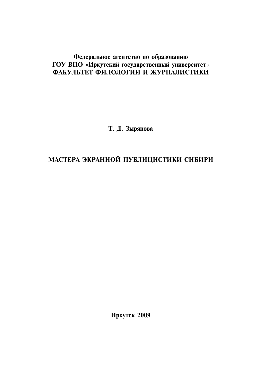### Федеральное агентство по образованию ГОУ ВПО «Иркутский государственный университет» ФАКУЛЬТЕТ ФИЛОЛОГИИ И ЖУРНАЛИСТИКИ

Т. Д. Зырянова

# МАСТЕРА ЭКРАННОЙ ПУБЛИЦИСТИКИ СИБИРИ

Иркутск 2009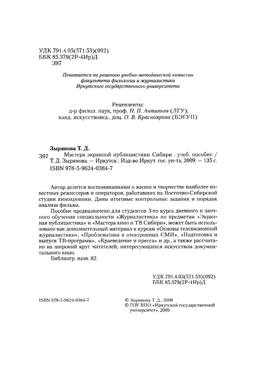#### УДК 791.4.05(571.53)(092) ББК 85.379(2Р-4Ир)Д 397

Печатается по решению ичебно-методической комиссии факильтета филологии и жирналистики Иркитского госидарственного иниверситета

Ренензенты: д-р филол. наук, проф. Н. П. Антипьев (ЛГУ); канд. искусствовед., доц. О. В. Красноярова (БЭГУП)

#### Зырянова Т. Д.

Мастера экранной публицистики Сибири: учеб. пособие / 397 Т. Д. Зырянова. – Иркутск: Изд-во Иркут. гос. ун-та, 2009. – 135 с. ISBN 978-5-9624-0384-7

Автор делится воспоминаниями о жизни и творчестве наиболее известных режиссеров и операторов, работавших на Восточно-Сибирской студии кинохроники. Даны итоговые контрольные задания и порядок анализа фильма.

Пособие предназначено для студентов 3-го курса дневного и заочного обучения специальности «Журналистика» по предметам «Экранная публицистика» и «Мастера кино и ТВ Сибири», может быть использовано как дополнительный материал к курсам «Основы телевизионной журналистики», «Проблематика в электронных СМИ», «Подготовка и выпуск ТВ-программ», «Краеведение и пресса» и др., а также рассчитано на широкий круг читателей, интересующихся искусством документального кино.

Библиогр. назв. 82.

УДК 791.4.05(571.53)(092) ББК 85.379(2Р-4Ир)Д

ISBN 978-5-9624-0384-7

© Зырянова Т. Л., 2009 © ГОУ ВПО «Иркутский государственный университет», 2009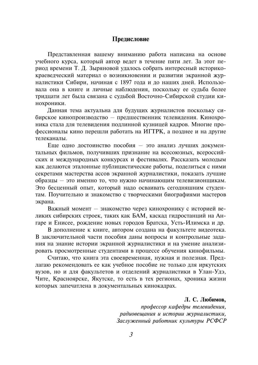### Предисловие

Представленная вашему вниманию работа написана на основе учебного курса, который автор велет в течение пяти лет. За этот период времени Т. Д. Зыряновой удалось собрать интересный историкокраеведческий материал о возникновении и развитии экранной журналистики Сибири, начиная с 1897 года и до наших дней. Использовала она в книге и личные наблюдения, поскольку ее судьба более тридцати лет была связана с судьбой Восточно-Сибирской студии кинохроники.

Данная тема актуальна для будущих журналистов поскольку сибирское кинопроизволство - предшественник телевидения. Кинохроника стала лля телевиления поллинной кузницей калров. Многие профессионалы кино перешли работать на ИГТРК, а позднее и на другие телеканалы.

Еще одно достоинство пособия - это анализ лучших документальных фильмов, получивших признание на всесоюзных, всероссийских и международных конкурсах и фестивалях. Рассказать молодым как делаются эталонные публицистические работы, поделиться с ними секретами мастерства ассов экранной журналистики, показать лучшие образцы - это именно то, что нужно начинающим телевизионщикам. Это бесценный опыт, который надо осваивать сегодняшним студентам. Поучительно и знакомство с творческими биографиями мастеров экрана.

Важный момент - знакомство через кинохронику с историей великих сибирских строек, таких как БАМ, каскад гидростанций на Ангаре и Енисее, рождение новых городов Братска, Усть-Илимска и др.

В дополнение к книге, автором создана на факультете видеотека. В заключительной части пособия даны вопросы и контрольные задания на знание истории экранной журналистики и на умение анализировать просмотренные студентами в процессе обучения кинофильмы.

Считаю, что книга эта своевременная, нужная и полезная. Предлагаю рекомендовать ее как учебное пособие не только для иркутских вузов, но и для факультетов и отделений журналистики в Улан-Удэ. Чите, Красноярске, Якутске, то есть в тех регионах, хроника жизни которых запечатлена в документальных кинокадрах.

> Л. С. Любимов. профессор кафедры телевидения. радиовещания и истории журналистики, Заслуженный работник культуры РСФСР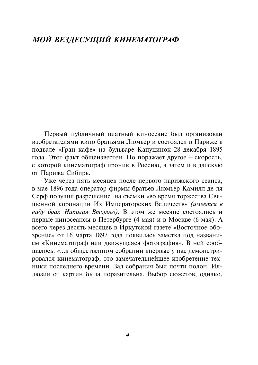# МОЙ ВЕЗДЕСУШИЙ КИНЕМАТОГРАФ

Первый публичный платный киносеанс был организован изобретателями кино братьями Люмьер и состоялся в Париже в подвале «Гран кафе» на бульваре Капуцинок 28 декабря 1895 года. Этот факт общеизвестен. Но поражает другое - скорость, с которой кинематограф проник в Россию, а затем и в далекую от Парижа Сибирь.

Уже через пять месяцев после первого парижского сеанса, в мае 1896 года оператор фирмы братьев Люмьер Камилл де ля Серф получил разрешение на съемки «во время торжества Священной коронации Их Императорских Величеств» (имеется в виду брак Николая Второго). В этом же месяце состоялись и первые киносеансы в Петербурге (4 мая) и в Москве (6 мая). А всего через десять месяцев в Иркутской газете «Восточное обозрение» от 16 марта 1897 года появилась заметка под названием «Кинематограф или движущаяся фотография». В ней сообщалось: «... в общественном собрании впервые у нас демонстрировался кинематограф, это замечательнейшее изобретение техники последнего времени. Зал собрания был почти полон. Иллюзия от картин была поразительна. Выбор сюжетов, однако,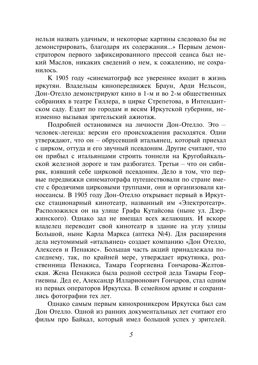нельзя назвать удачным, и некоторые картины следовало бы не демонстрировать, благодаря их содержания...» Первым демонстратором первого зафиксированного прессой сеанса был некий Маслов, никаких сведений о нем, к сожалению, не сохранилось.

К 1905 году «синематограф все увереннее входит в жизнь иркутян. Владельцы кинопередвижек Браун. Арди Нельсон. Дон-Отелло демонстрируют кино в 1-м и во 2-м общественных собраниях в театре Гиллера, в цирке Стрепетова, в Интендантском саду. Ездят по городам и весям Иркутской губернии, неизменно вызывая зрительский ажиотаж.

Подробней остановимся на личности Дон-Отелло. Это человек-легенда: версии его происхождения расходятся. Одни утверждают, что он - обрусевший итальянец, который приехал с цирком, оттуда и его звучный псевдоним. Другие считают, что он прибыл с итальянцами строить тоннели на Кругобайкальской железной дороге и там разбогател. Третьи - что он сибиряк, взявший себе цирковой псевдоним. Дело в том, что первые передвижки синематографа путешествовали по стране вместе с бродячими цирковыми труппами, они и организовали киносеансы. В 1905 году Дон-Отелло открывает первый в Иркутске стационарный кинотеатр, названный им «Электротеатр». Расположился он на улице Графа Кутайсова (ныне ул. Дзержинского). Однако зал не вмещал всех желающих. И вскоре владелец переводит свой кинотеатр в здание на углу улицы Большой, ныне Карла Маркса (аптека №4). Для расширения дела неутомимый «итальянец» создает компанию «Дон Отелло, Алексеев и Пенакис». Большая часть акций принадлежала последнему, так, по крайней мере, утверждает иркутянка, родственница Пенакиса, Тамара Георгиевна Гончарова-Желтовская. Жена Пенакиса была родной сестрой деда Тамары Георгиевны. Дед ее, Александр Илларионович Гончаров, стал одним из первых операторов Иркутска. В семейном архиве и сохранились фотографии тех лет.

Однако самым первым кинохроникером Иркутска был сам Дон Отелло. Одной из ранних документальных лет считают его фильм про Байкал, который имел большой успех у зрителей.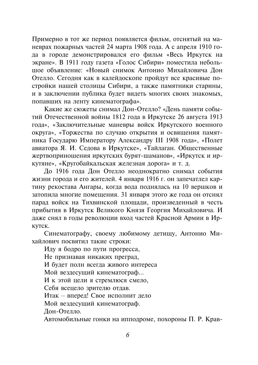Примерно в тот же период появляется фильм, отснятый на маневрах пожарных частей 24 марта 1908 года. А с апреля 1910 года в городе демонстрировался его фильм «Весь Иркутск на экране». В 1911 году газета «Голос Сибири» поместила небольппое объявление: «Новый снимок Антонио Михайловича Дон Отелло. Сегодня как в калейдоскопе пройдут все красивые постройки нашей столицы Сибири, а также памятники старины, и в заключении публика будет видеть многих своих знакомых, попавших на ленту кинематографа».

Какие же сюжеты снимал Дон-Отелло? «День памяти событий Отечественной войны 1812 года в Иркутске 26 августа 1913 года», «Заключительные маневры войск Иркутского военного округа», «Торжества по случаю открытия и освящения памятника Государю Императору Александру III 1908 года», «Полет авиатора Я. И. Седова в Иркутске», «Тайлаган. Общественные жертвоприношения иркутских бурят-шаманов», «Иркутск и иркутяне», «Кругобайкальская железная дорога» и т. д.

До 1916 года Дон Отелло неоднократно снимал события жизни города и его жителей. 4 января 1916 г. он запечатлел картину рекостава Ангары, когда вода поднялась на 10 вершков и затопила многие помещения. 31 января этого же года он отснял парад войск на Тихвинской площади, произведенный в честь прибытия в Иркутск Великого Князя Георгия Михайловича. И даже снял в годы революции вход частей Красной Армии в Ир-KVTCK.

Синематографу, своему любимому детищу, Антонио Михайлович посвятил такие строки:

Илу я болро по пути прогресса.

Не признавая никаких преград,

И будет полн всегда живого интереса

Мой вездесущий кинематограф...

И к этой цели я стремлюся смело,

Себя всецело зрителю отдав.

Итак - вперед! Свое исполнит дело

Мой вездесущий кинематограф.

Лон-Отелло.

Автомобильные гонки на ипподроме, похороны П. Р. Крав-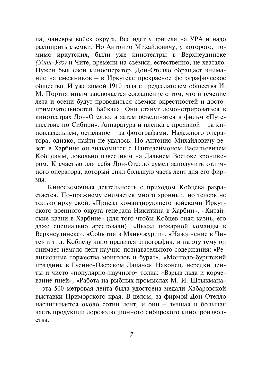ца, маневры войск округа. Все идет у зрителя на УРА и надо расширить съемки. Но Антонио Михайловичу, у которого, помимо иркутских, были уже кинотеатры в Верхнеудинске (Улан-Удэ) и Чите, времени на съемки, естественно, не хватало. Нужен был свой кинооператор. Дон-Отелло обращает внимание на смежников - в Иркутске прекрасное фотографическое общество. И уже зимой 1910 года с председателем общества И. М. Портнягиным заключается соглашение о том, что в течение лета и осени будут проводиться съемки окрестностей и достопримечательностей Байкала. Они станут демонстрироваться в кинотеатрах Дон-Отелло, а затем объединятся в фильм «Путешествие по Сибири». Аппаратура и пленка с проявкой - за киновладельцем, остальное - за фотографами. Надежного оператора, однако, найти не удалось. Но Антонио Михайловичу везет: в Харбине он знакомится с Пантелеймоном Васильевичем Кобцевым, довольно известным на Дальнем Востоке хроникёром. К счастью для себя Дон-Отелло сумел заполучить отличного оператора, который снял большую часть лент для его фир-MЫ.

Киносъемочная деятельность с приходом Кобцева разрастается. По-прежнему снимается много хроники, но теперь не только иркутской. «Приезд командирующего войсками Иркутского военного округа генерала Никитина в Харбин», «Китайские казни в Харбине» (для того чтобы Кобцев снял казнь, его даже специально арестовали), «Выезд пожарной команды в Верхнеудинске», «События в Маньчжурии», «Наводнение в Чите» и т. д. Кобцеву явно нравится этнография, и на эту тему он снимает немало лент научно-познавательного содержания: «Религиозные торжества монголов и бурят», «Монголо-бурятский праздник в Гусино-Озёрском Дацане». Наконец, нередки ленты и чисто «популярно-научного» толка: «Взрыв льда и корчевание пней», «Работа на рыбных промыслах М. И. Штыкмана» - эта 500-метровая лента была удостоена медали Хабаровской выставки Приморского края. В целом, за фирмой Дон-Отелло насчитывается около сотни лент, и они - лучшая и большая часть продукции дореволюционного сибирского кинопроизводства.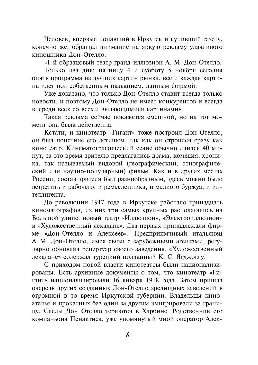Человек, впервые попавший в Иркутск и купивший газету, конечно же, обращал внимание на яркую рекламу удачливого киношника Дон-Отелло.

«1-й образцовый театр гранд-иллюзион А. М. Дон-Отелло.

Только два дня: пятницу 4 и субботу 5 ноября сегодня опять программа из лучших картин рынка, все и каждая картина илет под собственным названием, данным фирмой.

Уже доказано, что только Дон-Отелло ставит всегда только новости, и поэтому Дон-Отелло не имеет конкурентов и всегда впереди всех со всеми выдающимися картинами».

Такая реклама сейчас покажется смешной, но на тот момент она была лейственна.

Кстати, и кинотеатр «Гигант» тоже построил Дон-Отелло, он был поистине его детищем, так как он строился сразу как кинотеатр. Кинематографический сеанс обычно длился 40 минут, за это время зрителю предлагались драма, комедия, хроника, так называемый видовой (географический, этнографический или научно-популярный) фильм. Как и в других местах России, состав зрителя был разнообразным, здесь можно было встретить и рабочего, и ремесленника, и мелкого буржуа, и интеллигента

До революции 1917 года в Иркутске работало тринадцать кинематографов, из них три самых крупных располагались на Большой улице: новый театр «Иллюзион», «Электроиллюзион» и «Художественный декаданс». Два первых принадлежали фирме «Дон-Отелло и Алексеев». Предприимчивый итальянец А. М. Дон-Отелло, имея связи с зарубежными агентами, регулярно обновлял репертуар своего заведения. «Художественный декаданс» содержал турецкий подданный К. С. Ягджоглу.

С приходом новой власти кинотеатры были национализированы. Есть архивные документы о том, что кинотеатр «Гигант» национализировали 16 января 1918 года. Затем пришла очередь других созданных Дон-Отелло зрелищных заведений в огромной в то время Иркутской губернии. Владельцы киноателье и прокатных баз один за другим эмигрировали за границу. Следы Дон Отелло теряются в Харбине. Родственник его компаньона Пенактиса, уже упомянутый мной оператор Алек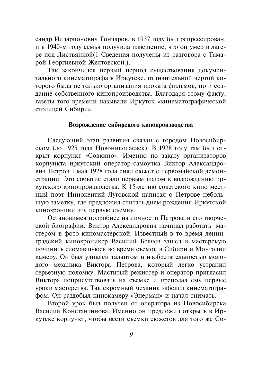сандр Илларионович Гончаров, в 1937 году был репрессирован, и в 1940-м году семья получила извещение, что он умер в лагере под Листвянкой(1 Сведения получены из разговора с Тамарой Георгиевной Желтовской.).

Так закончился первый период существования документального кинематографа в Иркутске, отличительной чертой которого была не только организация проката фильмов, но и создание собственного кинопроизводства. Благодаря этому факту, газеты того времени называли Иркутск «кинематографической столицей Сибири».

### Возрождение сибирского кинопроизводства

Следующий этап развития связан с городом Новосибирском (до 1925 года Новониколаевск). В 1928 году там был открыт корпункт «Совкино». Именно по заказу организаторов корпункта иркутский оператор-самоучка Виктор Александрович Петров 1 мая 1928 года снял сюжет с первомайской демонстрации. Это событие стало первым шагом к возрождению иркутского кинопроизводства. К 15-летию советского кино местный поэт Иннокентий Луговской написал о Петрове небольшую заметку, где предложил считать днем рождения Иркутской кинохроники эту первую съемку.

Остановимся подробнее на личности Петрова и его творческой биографии. Виктор Александрович начинал работать мастером в фото-киномастерской. Известный в то время ленинградский кинохроникер Василий Беляев зашел в мастерскую починить сломавшуюся во время съемок в Сибири и Монголии камеру. Он был удивлен талантом и изобретательностью молодого механика Виктора Петрова, который легко устранил серьезную поломку. Маститый режиссер и оператор пригласил Виктора поприсутствовать на съемке и преподал ему первые уроки мастерства. Так скромный механик заболел кинематографом. Он раздобыл кинокамеру «Энерман» и начал снимать.

Второй урок был получен от оператора из Новосибирска Василия Константинова. Именно он предложил открыть в Иркутске корпункт, чтобы вести съемки сюжетов для того же Со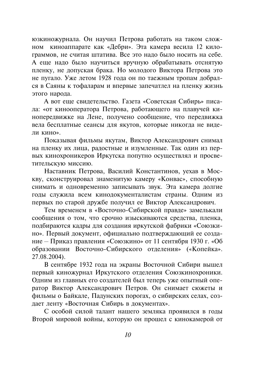юзкиножурнала. Он научил Петрова работать на таком сложном киноаппарате как «Дебри». Эта камера весила 12 килограммов, не считая штатива. Все это надо было носить на себе. А еще надо было научиться вручную обрабатывать отснятую пленку, не допуская брака. Но молодого Виктора Петрова это не пугало. Уже летом 1928 года он по таежным тропам добрался в Саяны к тофаларам и впервые запечатлел на пленку жизнь этого народа.

А вот еще свидетельство. Газета «Советская Сибирь» писала: «от кинооператора Петрова, работающего на плавучей кинопередвижке на Лене, получено сообщение, что передвижка вела бесплатные сеансы для якутов, которые никогда не видели кино».

Показывая фильмы якутам, Виктор Александрович снимал на пленку их лица, радостные и изумленные. Так один из первых кинохроникеров Иркутска попутно осуществлял и просветительскую миссию.

Наставник Петрова, Василий Константинов, уехав в Москву, сконструировал знаменитую камеру «Конвас», способную снимать и одновременно записывать звук. Эта камера долгие годы служила всем кинодокументалистам страны. Одним из первых по старой дружбе получил ее Виктор Александрович.

Тем временем в «Восточно-Сибирской правде» замелькали сообщения о том, что срочно изыскиваются средства, пленка, подбираются кадры для создания иркутской фабрики «Союзкино». Первый документ, официально подтверждающий ее создание – Приказ правления «Союзкино» от 11 сентября 1930 г. «Об образовании Восточно-Сибирского отделения» («Копейка». 27.08.2004).

В сентябре 1932 года на экраны Восточной Сибири вышел первый киножурнал Иркутского отделения Союзкинохроники. Одним из главных его создателей был теперь уже опытный оператор Виктор Александрович Петров. Он снимает сюжеты и фильмы о Байкале, Падунских порогах, о сибирских селах, создает ленту «Восточная Сибирь в документах».

С особой силой талант нашего земляка проявился в годы Второй мировой войны, которую он прошел с кинокамерой от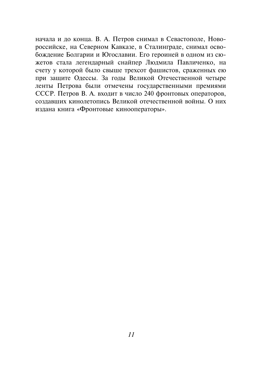начала и до конца. В. А. Петров снимал в Севастополе, Новороссийске, на Северном Кавказе, в Сталинграде, снимал освобождение Болгарии и Югославии. Его героиней в одном из сюжетов стала легендарный снайпер Людмила Павличенко, на счету у которой было свыше трехсот фашистов, сраженных ею при защите Одессы. За годы Великой Отечественной четыре ленты Петрова были отмечены государственными премиями СССР. Петров В. А. входит в число 240 фронтовых операторов, создавших кинолетопись Великой отечественной войны. О них издана книга «Фронтовые кинооператоры».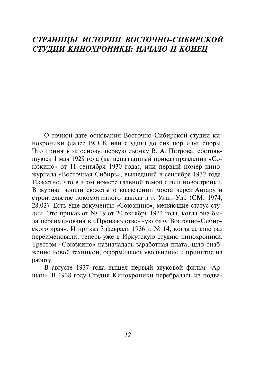# СТРАНИЦЫ ИСТОРИИ ВОСТОЧНО-СИБИРСКОЙ СТУДИИ КИНОХРОНИКИ: НАЧАЛО И КОНЕЦ

О точной дате основания Восточно-Сибирской студии кинохроники (далее ВССК или студия) до сих пор идут споры. Что принять за основу: первую съемку В. А. Петрова, состоявшуюся 1 мая 1928 года (вышеназванный приказ правления «Союзкино» от 11 сентября 1930 года), или первый номер киножурнала «Восточная Сибирь», вышедший в сентябре 1932 года. Известно, что в этом номере главной темой стали новостройки. В журнал вошли сюжеты о возведении моста через Ангару и строительстве локомотивного завода в г. Улан-Удэ (СМ, 1974, 28.02). Есть еще документы «Союзкино», меняющие статус студии. Это приказ от № 19 от 20 октября 1934 года, когда она была переименована в «Производственную базу Восточно-Сибирского края». И приказ 7 февраля 1936 г. № 14, когда ее еще раз переименовали, теперь уже в Иркутскую студию кинохроники. Трестом «Союзкино» назначалась заработная плата, шло снабжение новой техникой, оформлялось увольнение и принятие на работу.

В августе 1937 года вышел первый звуковой фильм «Аршан». В 1938 году Студия Кинохроники перебралась из подва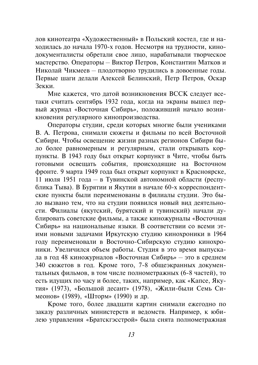лов кинотеатра «Художественный» в Польский костел, где и находилась до начала 1970-х годов. Несмотря на трудности, кинодокументалисты обретали свое лицо, нарабатывали творческое мастерство. Операторы - Виктор Петров, Константин Матков и Николай Чикмеев - плодотворно трудились в довоенные годы. Первые шаги делали Алексей Белинский, Петр Петров, Оскар Зекки

Мне кажется, что датой возникновения ВССК следует всетаки считать сентябрь 1932 года, когда на экраны вышел первый журнал «Восточная Сибирь», положивший начало возникновения регулярного кинопроизводства.

Операторы студии, среди которых многие были учениками В. А. Петрова, снимали сюжеты и фильмы по всей Восточной Сибири. Чтобы освешение жизни разных регионов Сибири было более равномерным и регулярным, стали открывать корпункты. В 1943 году был открыт корпункт в Чите, чтобы быть готовыми освещать события, происходящие на Восточном фронте. 9 марта 1949 года был открыт корпункт в Красноярске, 11 июля 1951 года - в Тувинской автономной области (республика Тыва). В Бурятии и Якутии в начале 60-х корреспондентские пункты были переименованы в филиалы студии. Это было вызвано тем, что на студии появился новый вид деятельности. Филиалы (якутский, бурятский и тувинский) начали дублировать советские фильмы, а также киножурналы «Восточная Сибирь» на национальные языки. В соответствии со всеми этими новыми задачами Иркутскую студию кинохроники в 1964 году переименовали в Восточно-Сибирскую студию кинохроники. Увеличился объем работы. Студия в это время выпускала в год 48 киножурналов «Восточная Сибирь» - это в среднем 340 сюжетов в год. Кроме того, 7-8 общеэкранных документальных фильмов, в том числе полнометражных (6-8 частей), то есть илуших по часу и более, таких, например, как «Капсе, Якутия» (1973), «Большой десант» (1978), «Жили-были Семь Симеонов» (1989), «Шторм» (1990) и др.

Кроме того, более двадцати картин снимали ежегодно по заказу различных министерств и ведомств. Например, к юбилею управления «Братскгэсстрой» была снята полнометражная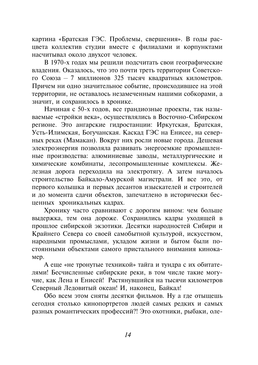картина «Братская ГЭС. Проблемы, свершения». В годы расцвета коллектив студии вместе с филиалами и корпунктами насчитывал около двухсот человек.

В 1970-х годах мы решили подсчитать свои географические владения. Оказалось, что это почти треть территории Советского Союза - 7 миллионов 325 тысяч квадратных километров. Причем ни одно значительное событие, происходившее на этой территории, не оставалось незамеченным нашими собкорами, а значит, и сохранилось в хронике.

Начиная с 50-х годов, все грандиозные проекты, так называемые «стройки века», осуществлялись в Восточно-Сибирском регионе. Это ангарские гидростанции: Иркутская, Братская, Усть-Илимская, Богучанская. Каскад ГЭС на Енисее, на северных реках (Мамакан). Вокруг них росли новые города. Дешевая электроэнергия позволяла развивать энергоемкие промышленные производства: алюминиевые заводы, металлургические и химические комбинаты, лесопромышленные комплексы. Железная дорога переходила на электротягу. А затем началось строительство Байкало-Амурской магистрали. И все это, от первого колышка и первых десантов изыскателей и строителей и до момента сдачи объектов, запечатлено в исторически бесценных хроникальных калрах.

Хронику часто сравнивают с дорогим вином: чем больше выдержка, тем она дороже. Сохранились кадры уходящей в прошлое сибирской экзотики. Десятки народностей Сибири и Крайнего Севера со своей самобытной культурой, искусством, народными промыслами, укладом жизни и бытом были постоянными объектами самого пристального внимания кинокамер.

А еще «не тронутые техникой» тайга и тундра с их обитателями! Бесчисленные сибирские реки, в том числе такие могучие, как Лена и Енисей! Растянувшийся на тысячи километров Северный Ледовитый океан! И, наконец, Байкал!

Обо всем этом сняты десятки фильмов. Ну а где отыщешь сегодня столько кинопортретов людей самых редких и самых разных романтических профессий?! Это охотники, рыбаки, оле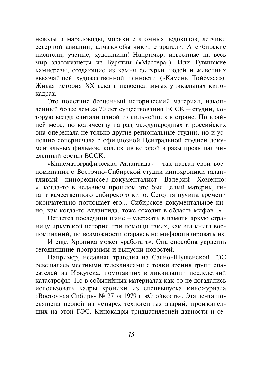неводы и мараловоды, моряки с атомных ледоколов, летчики северной авиации, алмазодобытчики, старатели. А сибирские писатели, ученые, художники! Например, известные на весь мир златокузнецы из Бурятии («Мастера»). Или Тувинские камнерезы, создающие из камня фигурки людей и животных высочайшей художественной ценности («Камень Тойбухаа»). Живая история XX века в невосполнимых уникальных кинокадрах.

Это поистине бесценный исторический материал, накопленный более чем за 70 лет существования ВССК - студии, которую всегда считали одной из сильнейших в стране. По крайней мере, по количеству наград международных и российских она опережала не только другие региональные студии, но и успешно соперничала с официозной Центральной студией документальных фильмов, коллектив которой в разы превышал численный состав ВССК

«Кинематографическая Атлантида» - так назвал свои воспоминания о Восточно-Сибирской студии кинохроники талантливый кинорежиссер-документалист Валерий Хоменко: «... КОГДА-ТО В НЕДАВНЕМ ПРОШЛОМ ЭТО был целый материк, гигант качественного сибирского кино. Сегодня пучина времени окончательно поглощает его... Сибирское документальное кино, как когда-то Атлантида, тоже отходит в область мифов...»

Остается последний шанс - удержать в памяти яркую страницу иркутской истории при помощи таких, как эта книга воспоминаний, по возможности стараясь не мифологизировать их.

И еще. Хроника может «работать». Она способна украсить сегодняшние программы и выпуски новостей.

Например, недавняя трагедия на Саяно-Шушенской ГЭС освещалась местными телеканалами с точки зрения групп спасателей из Иркутска, помогавших в ликвидации последствий катастрофы. Но в событийных материалах как-то не догадались использовать кадры хроники из спецвыпуска киножурнала «Восточная Сибирь» № 27 за 1979 г. «Стойкость». Эта лента посвящена первой из четырех техногенных аварий, произошедших на этой ГЭС. Кинокадры тридцатилетней давности и се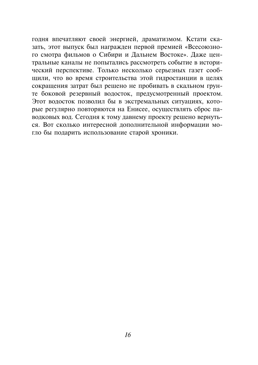годня впечатляют своей энергией, драматизмом. Кстати сказать, этот выпуск был награжден первой премией «Всесоюзного смотра фильмов о Сибири и Дальнем Востоке». Даже центральные каналы не попытались рассмотреть событие в исторический перспективе. Только несколько серьезных газет сообщили, что во время строительства этой гидростанции в целях сокращения затрат был решено не пробивать в скальном грунте боковой резервный водосток, предусмотренный проектом. Этот водосток позволил бы в экстремальных ситуациях, которые регулярно повторяются на Енисее, осуществлять сброс паводковых вод. Сегодня к тому давнему проекту решено вернуться. Вот сколько интересной дополнительной информации могло бы подарить использование старой хроники.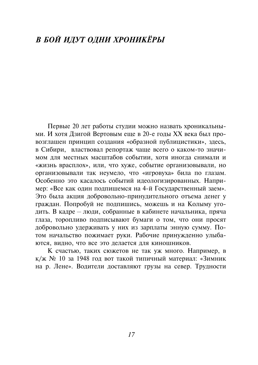# В БОЙ ИЛУТ ОЛНИ ХРОНИКЁРЫ

Первые 20 лет работы студии можно назвать хроникальными. И хотя Дзигой Вертовым еще в 20-е годы XX века был провозглашен принцип создания «образной публицистики», здесь, в Сибири, властвовал репортаж чаще всего о каком-то значимом для местных масштабов событии, хотя иногда снимали и «жизнь врасплох», или, что хуже, событие организовывали, но организовывали так неумело, что «игровуха» била по глазам. Особенно это касалось событий идеологизированных. Например: «Все как один подпишемся на 4-й Государственный заем». Это была акция добровольно-принудительного отъема денег у граждан. Попробуй не подпишись, можешь и на Колыму угодить. В кадре - люди, собранные в кабинете начальника, пряча глаза, торопливо подписывают бумаги о том, что они просят добровольно удерживать у них из зарплаты энную сумму. Потом начальство пожимает руки. Рабочие принужденно улыбаются, видно, что все это делается для киношников.

К счастью, таких сюжетов не так уж много. Например, в к/ж № 10 за 1948 год вот такой типичный материал: «Зимник на р. Лене». Водители доставляют грузы на север. Трудности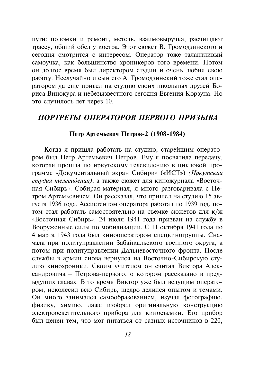пути: поломки и ремонт, метель, взаимовыручка, расчищают трассу, общий обед у костра. Этот сюжет В. Громодзинского и сегодня смотрится с интересом. Оператор тоже талантливый самоучка, как большинство хроникеров того времени. Потом он долгое время был директором студии и очень любил свою работу. Неслучайно и сын его А. Громолзинский тоже стал оператором да еще привел на студию своих школьных друзей Бориса Винокура и небезызвестного сегодня Евгения Корзуна. Но это случилось лет через 10.

## ПОРТРЕТЫ ОПЕРАТОРОВ ПЕРВОГО ПРИЗЫВА

### Петр Артемьевич Петров-2 (1908-1984)

Когда я пришла работать на студию, старейшим оператором был Петр Артемьевич Петров. Ему я посвятила передачу, которая прошла по иркутскому телевидению в цикловой программе «Документальный экран Сибири» («ИСТ») (Иркутская студия телевидения), а также сюжет для киножурнала «Восточная Сибирь». Собирая материал, я много разговаривала с Петром Артемьевичем. Он рассказал, что пришел на студию 15 августа 1936 года. Ассистентом оператора работал по 1939 год. потом стал работать самостоятельно на съемке сюжетов для к/ж «Восточная Сибирь». 24 июля 1941 года призван на службу в Вооруженные силы по мобилизации. С 11 октября 1941 года по 4 марта 1943 года был кинооператором спецкиногруппы. Сначала при политуправлении Забайкальского военного округа, а потом при политуправлении Дальневосточного фронта. После службы в армии снова вернулся на Восточно-Сибирскую студию кинохроники. Своим учителем он считал Виктора Александровича - Петрова-первого, о котором рассказано в предыдущих главах. В то время Виктор уже был ведущим оператором, исколесил всю Сибирь, щедро делился опытом и темами. Он много занимался самообразованием, изучал фотографию, физику, химию, даже изобрел оригинальную конструкцию электроосветительного прибора для киносъемки. Его прибор был ценен тем, что мог питаться от разных источников в 220,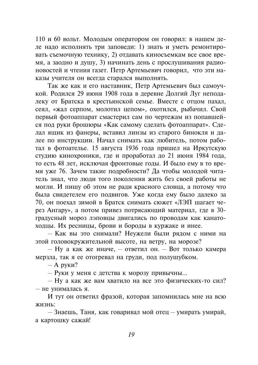110 и 60 вольт. Молодым оператором он говорил: в нашем деле надо исполнять три заповеди: 1) знать и уметь ремонтировать съемочную технику, 2) отдавать киносъемкам все свое время, а заодно и душу, 3) начинать день с прослушивания радионовостей и чтения газет. Петр Артемьевич говорил, что эти наказы учителя он всегда старался выполнять.

Так же как и его наставник. Петр Артемьевич был самоучкой. Родился 29 июня 1908 года в деревне Долгий Луг неподалеку от Братска в крестьянской семье. Вместе с отцом пахал, сеял, «жал серпом, молотил цепом», охотился, рыбачил. Свой первый фотоаппарат смастерил сам по чертежам из попавшейся под руки брошюры «Как самому сделать фотоаппарат». Сделал ящик из фанеры, вставил линзы из старого бинокля и далее по инструкции. Начал снимать как любитель, потом работал в фотоателье. 15 августа 1936 года пришел на Иркутскую студию кинохроники, где и проработал до 21 июня 1984 года, то есть 48 лет, исключая фронтовые годы. И было ему в то время уже 76. Зачем такие подробности? Да чтобы молодой читатель знал, что люди того поколения жить без своей работы не могли. И пишу об этом не ради красного словца, а потому что была свидетелем его подвигов. Уже когда ему было далеко за 70, он поехал зимой в Братск снимать сюжет «ЛЭП шагает через Ангару», а потом привез потрясающий материал, где в 30градусный мороз лэповцы двигались по проводам как канатоходцы. Их ресницы, брови и бороды в куржаке и инее.

- Как вы это снимали? Неужели были рядом с ними на этой головокружительной высоте, на ветру, на морозе?

- Ну а как же иначе, - ответил он. - Вот только камера мерзла, так я ее отогревал на груди, под полушубком.

 $- A$  pyk $u$ ?

- Руки у меня с детства к морозу привычны...

- Ну а как же вам хватило на все это физических-то сил? - не унималась я.

И тут он ответил фразой, которая запомнилась мне на всю жизнь:

- Знаешь, Таня, как говаривал мой отец - умирать умирай, а картошку сажай!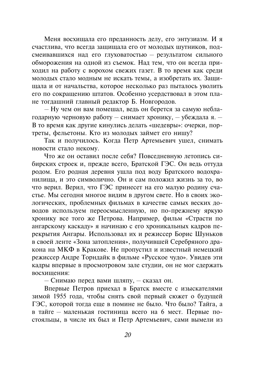Меня восхищала его преданность делу, его энтузиазм. И я счастлива, что всегда защищала его от молодых шутников, подсмеивавшихся над его глуховатостью - результатом сильного обморожения на одной из съемок. Над тем, что он всегда приходил на работу с ворохом свежих газет. В то время как среди молодых стало модным не искать темы, а изобретать их. Защищала и от начальства, которое несколько раз пыталось уволить его по сокращению штатов. Особенно усердствовал в этом плане тоглашний главный релактор Б. Новгородов.

- Ну чем он вам помешал, вель он берется за самую неблагодарную черновую работу - снимает хронику, - убеждала я. -В то время как другие кинулись делать «шедевры»: очерки, портреты, фельетоны. Кто из молодых займет его нишу?

Так и получилось. Когда Петр Артемьевич ушел, снимать новости стало некому.

Что же он оставил после себя? Повседневную летопись сибирских строек и, прежде всего, Братской ГЭС. Он ведь оттуда родом. Его родная деревня ушла под воду Братского водохранилища, и это символично. Он и сам положил жизнь за то, во что верил. Верил, что ГЭС принесет на его малую родину счастье. Мы сегодня многое видим в другом свете. Но в своих экологических, проблемных фильмах в качестве самых веских доводов используем переосмысленную, но по-прежнему яркую хронику все того же Петрова. Например, фильм «Страсти по ангарскому каскаду» я начинаю с его хроникальных кадров перекрытия Ангары. Использовал их и режиссер Борис Шуньков в своей ленте «Зона затопления», получившей Серебряного дракона на МКФ в Кракове. Не пропустил и известный немецкий режиссер Андре Торндайк в фильме «Русское чудо». Увидев эти кадры впервые в просмотровом зале студии, он не мог сдержать восхишения:

- Снимаю перед вами шляпу, - сказал он.

Впервые Петров приехал в Братск вместе с изыскателями зимой 1955 года, чтобы снять свой первый сюжет о будущей ГЭС, которой тогда еще в помине не было. Что было? Тайга, а в тайге - маленькая гостиница всего на 6 мест. Первые постояльны, в числе их был и Петр Артемьевич, сами вымели из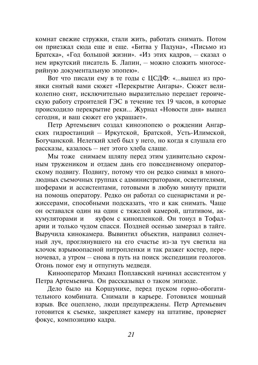комнат свежие стружки, стали жить, работать снимать. Потом он приезжал сюда еще и еще. «Битва у Падуна», «Письмо из Братска», «Год большой жизни». «Из этих кадров, - сказал о нем иркутский писатель Б. Лапин, - можно сложить многосерийную документальную эпопею».

Вот что писали ему в те годы с ЦСДФ: «...вышел из проявки снятый вами сюжет «Перекрытие Ангары». Сюжет великолепно снят, исключительно выразительно передает героическую работу строителей ГЭС в течение тех 19 часов, в которые происходило перекрытие реки... Журнал «Новости дня» вышел сегодня, и ваш сюжет его украшает».

Петр Артемьевич создал киноэпопею о рождении Ангарских гидростанций - Иркутской, Братской, Усть-Илимской, Богучанской. Нелегкий хлеб был у него, но когда я слушала его рассказы, казалось - нет этого хлеба слаще.

Мы тоже снимаем шляпу перед этим удивительно скромным тружеником и отдаем дань его повседневному операторскому подвигу. Подвигу, потому что он редко снимал в многолюдных съемочных группах с администраторами, осветителями, шоферами и ассистентами, готовыми в любую минуту придти на помошь оператору. Редко он работал со сценаристами и режиссерами, способными полсказать, что и как снимать. Чаше он оставался один на один с тяжелой камерой, штативом, аккумуляторами и яуфом с кинопленкой. Он тонул в Тофаларии и только чудом спасся. Поздней осенью замерзал в тайге. Выручила кинокамера. Вывинтил объектив, направил солнечный луч, проглянувшего на его счастье из-за туч светила на клочок взрывоопасной нитропленки и так разжег костер, переночевал, а утром - снова в путь на поиск экспедиции геологов. Огонь помог ему и отпугнуть медведя.

Кинооператор Михаил Поплавский начинал ассистентом у Петра Артемьевича. Он рассказывал о таком эпизоде.

Дело было на Коршунихе, перед пуском горно-обогатительного комбината. Снимали в карьере. Готовился мощный взрыв. Все оцеплено, люди предупреждены. Петр Артемьевич готовится к съемке, закрепляет камеру на штативе, проверяет фокус, композицию кадра.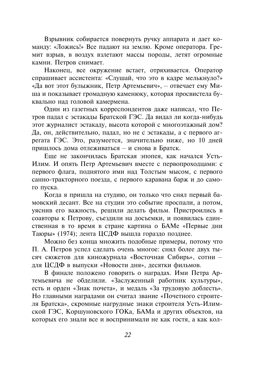Взрывник собирается повернуть ручку аппарата и дает команду: «Ложись!» Все падают на землю. Кроме оператора. Гремит взрыв, в воздух взлетают массы породы, летят огромные камни. Петров снимает.

Наконец, все окружение встает, отряхивается. Оператор спрашивает ассистента: «Слушай, что это в кадре мелькнуло?» «Да вот этот булыжник, Петр Артемьевич», – отвечает ему Миша и показывает громадную каменюку, которая просвистела буквально над головой камермена.

Олин из газетных корреспондентов даже написал, что Петров падал с эстакалы Братской ГЭС. Да видал ли когда-нибудь этот журналист эстакаду, высота которой с многоэтажный дом? Да, он, действительно, падал, но не с эстакады, а с первого агрегата ГЭС. Это, разумеется, значительно ниже, но 10 дней пришлось дома отлеживаться - и снова в Братск.

Еще не закончилась Братская эпопея, как начался Усть-Илим. И опять Петр Артемьевич вместе с первопроходцами: с первого флага, поднятого ими над Толстым мысом, с первого санно-тракторного поезда, с первого каравана барж и до самого пуска.

Когда я пришла на студию, он только что снял первый бамовский десант. Все на студии это событие проспали, а потом, уяснив его важность, решили делать фильм. Пристроились в соавторы к Петрову, съездили на досъемки, и появилась единственная в то время в стране картина о БАМе «Первые лни Таюры» (1974); лента ЦСДФ вышла гораздо позднее.

Можно без конца множить подобные примеры, потому что П. А. Петров успел сделать очень многое: снял более двух тысяч сюжетов для киножурнала «Восточная Сибирь», сотни для ЦСДФ в выпуски «Новости дня», десятки фильмов.

В финале положено говорить о наградах. Ими Петра Артемьевича не обделили. «Заслуженный работник культуры», есть и орден «Знак почета», и медаль «За трудовую доблесть». Но главными наградами он считал звание «Почетного строителя Братска», скромные нагрудные знаки строителя Усть-Илимской ГЭС, Коршуновского ГОКа, БАМа и других объектов, на которых его знали все и воспринимали не как гостя, а как кол-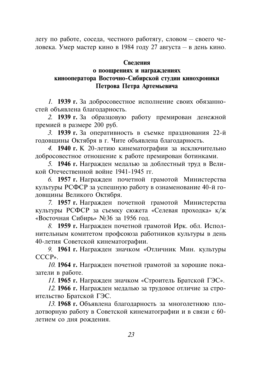легу по работе, соседа, честного работягу, словом - своего человека. Умер мастер кино в 1984 году 27 августа – в день кино.

#### Свеления

### о поощрениях и награждениях кинооператора Восточно-Сибирской студии кинохроники Петрова Петра Артемьевича

1. 1939 г. За добросовестное исполнение своих обязанностей объявлена благодарность.

2. 1939 г. За образцовую работу премирован денежной премией в размере 200 руб.

3. 1939 г. За оперативность в съемке празднования 22-й годовшины Октября в г. Чите объявлена благодарность.

4. 1940 г. К 20-летию кинематографии за исключительно добросовестное отношение к работе премирован ботинками.

5. 1946 г. Награжден медалью за доблестный труд в Великой Отечественной войне 1941-1945 гг.

6. 1957 г. Награжден почетной грамотой Министерства культуры РСФСР за успешную работу в ознаменование 40-й годовщины Великого Октября.

7. 1957 г. Награжден почетной грамотой Министерства культуры РСФСР за съемку сюжета «Селевая проходка» к/ж «Восточная Сибирь» №36 за 1956 год.

8. 1959 г. Награжден почетной грамотой Ирк. обл. Исполнительным комитетом профсоюза работников культуры в день 40-летия Советской кинематографии.

9. 1961 г. Награжден значком «Отличник Мин. культуры  $CCCP<sub>></sub>$ 

10. 1964 г. Награжден почетной грамотой за хорошие показатели в работе.

11. 1965 г. Награжден значком «Строитель Братской ГЭС».

12. 1966 г. Награжден медалью за трудовое отличие за строительство Братской ГЭС.

13. 1968 г. Объявлена благодарность за многолетнюю плодотворную работу в Советской кинематографии и в связи с 60летием со дня рождения.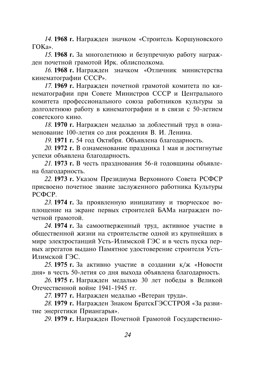14. 1968 г. Награжден значком «Строитель Коршуновского  $\Gamma$ OKa»

15. 1968 г. За многолетнюю и безупречную работу награжден почетной грамотой Ирк. облисполкома.

16. 1968 г. Награжден значком «Отличник министерства кинематографии СССР».

17. 1969 г. Награжден почетной грамотой комитета по кинематографии при Совете Министров СССР и Центрального комитета профессионального союза работников культуры за лолголетнюю работу в кинематографии и в связи с 50-летием СОВЕТСКОГО КИНО

18. 1970 г. Награжден медалью за доблестный труд в ознаменование 100-летия со дня рождения В. И. Ленина.

19. 1971 г. 54 год Октября. Объявлена благодарность.

20. 1972 г. В ознаменование праздника 1 мая и достигнутые успехи объявлена благодарность.

21. 1973 г. В честь празднования 56-й годовщины объявлена благоларность.

22. 1973 г. Указом Презилиума Верховного Совета РСФСР присвоено почетное звание заслуженного работника Культуры  $PC$  $\Phi$  $CP$ 

23. 1974 г. За проявленную инициативу и творческое воплощение на экране первых строителей БАМа награжден почетной грамотой.

24. 1974 г. За самоотверженный труд, активное участие в общественной жизни на строительстве одной из крупнейших в мире электростанций Усть-Илимской ГЭС и в честь пуска первых агрегатов вылано Памятное удостоверение строителя Усть-Илимской ГЭС.

25. 1975 г. За активно участие в создании к/ж «Новости дня» в честь 50-летия со дня выхода объявлена благодарность.

26. 1975 г. Награжден медалью 30 лет победы в Великой Отечественной войне 1941-1945 гг.

27. 1977 г. Награжден медалью «Ветеран труда».

28. 1979 г. Награжден Знаком БратскГЭССТРОЯ «За развитие энергетики Приангарья».

29. 1979 г. Награжден Почетной Грамотой Государственно-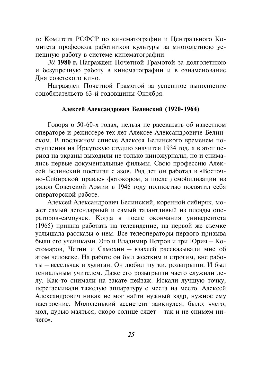го Комитета РСФСР по кинематографии и Центрального Комитета профсоюза работников культуры за многолетнюю успешную работу в системе кинематографии.

30. 1980 г. Награжден Почетной Грамотой за долголетнюю и безупречную работу в кинематографии и в ознаменование Дня советского кино.

Награжден Почетной Грамотой за успешное выполнение соцобязательств 63-й годовщины Октября.

### Алексей Александрович Белинский (1920-1964)

Говоря о 50-60-х годах, нельзя не рассказать об известном операторе и режиссере тех лет Алексее Александровиче Белинском. В послужном списке Алексея Белинского временем поступления на Иркутскую студию значится 1934 год, а в этот период на экраны выходили не только киножурналы, но и снимались первые документальные фильмы. Свою профессию Алексей Белинский постигал с азов. Ряд лет он работал в «Восточно-Сибирской правде» фотокором, а после демобилизации из рядов Советской Армии в 1946 году полностью посвятил себя операторской работе.

Алексей Александрович Белинский, коренной сибиряк, может самый легендарный и самый талантливый из плеяды операторов-самоучек. Когда я после окончания университета (1965) пришла работать на телевидение, на первой же съемке услышала рассказы о нем. Все телеоператоры первого призыва были его учениками. Это и Владимир Петров и три Юрия - Костомаров, Четин и Самохин - взахлеб рассказывали мне об этом человеке. На работе он был жестким и строгим, вне работы - весельчак и хулиган. Он любил шутки, розыгрыши. И был гениальным учителем. Даже его розыгрыши часто служили делу. Как-то снимали на закате пейзаж. Искали лучшую точку, перетаскивали тяжелую аппаратуру с места на место. Алексей Александрович никак не мог найти нужный кадр, нужное ему настроение. Молоденький ассистент заикнулся, было: «чего, мол, дурью маяться, скоро солнце сядет - так и не снимем ничего».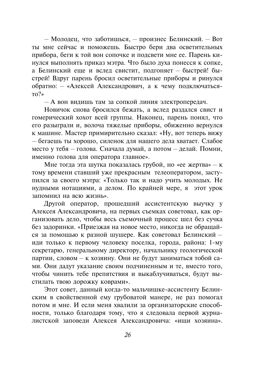- Молодец, что заботишься, - произнес Белинский. - Вот ты мне сейчас и поможешь. Быстро бери два осветительных прибора, беги к той вон сопочке и подсвети мне ее. Парень кинулся выполнять приказ мэтра. Что было духа понесся к сопке, а Белинский еще и вслед свистит, подгоняет - быстрей! быстрей! Вдруг парень бросил осветительные приборы и ринулся обратно: - «Алексей Александрович, а к чему подключаться- $T_0$ <sup>2</sup>

- А вон видишь там за сопкой линия электропередач.

Новичок снова бросился бежать, а вслед раздался свист и гомерический хохот всей группы. Наконец, парень понял, что его разыграли и, волоча тяжелые приборы, обиженно вернулся к машине. Мастер примирительно сказал: «Ну, вот теперь вижу - бегаешь ты хорошо, силенок для нашего дела хватает. Слабое место у тебя - голова. Сначала думай, а потом - делай. Помни, именно голова для оператора главное».

Мне тогда эта шутка показалась грубой, но «ее жертва» - к тому времени ставший уже прекрасным телеоператором, заступился за своего мэтра: «Только так и надо учить молодых. Не нудными нотациями, а делом. По крайней мере, я этот урок запомнил на всю жизнь».

Другой оператор, прошедший ассистентскую выучку у Алексея Александровича, на первых съемках советовал, как организовать дело, чтобы весь съемочный процесс шел без сучка без залоринки. «Приезжая на новое место, никогда не обрашайся за помошью к разной шушере. Как советовал Белинский иди только к первому человеку поселка, города, района: 1-му секретарю, генеральному директору, начальнику геологической партии, словом - к хозяину. Они не будут заниматься тобой сами. Они дадут указание своим подчиненным и те, вместо того, чтобы чинить тебе препятствия и выкаблучиваться, будут выстилать твою дорожку коврами».

Этот совет, данный когда-то мальчишке-ассистенту Белинским в свойственной ему грубоватой манере, не раз помогал потом и мне. И если меня хвалили за организаторские способности, только благодаря тому, что я следовала первой журналистской заповеди Алексея Александровича: «ищи хозяина».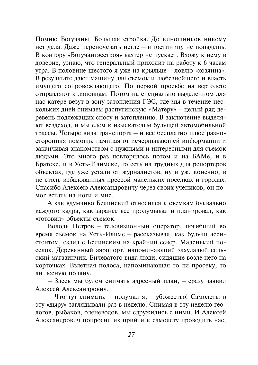Помню Богучаны. Большая стройка. До киношников никому нет дела. Даже переночевать негде - в гостиницу не попадешь. В контору «Богучангэсстроя» вахтер не пускает. Вхожу к нему в доверие, узнаю, что генеральный приходит на работу к 6 часам утра. В половине шестого я уже на крыльце - ловлю «хозяина». В результате дают машину для съемок и любезнейшего и власть имущего сопровождающего. По первой просьбе на вертолете отправляют к лэповцам. Потом на специально выделенном для нас катере везут в зону затопления ГЭС, где мы в течение нескольких дней снимаем распутинскую «Матёру» - целый ряд деревень подлежащих сносу и затоплению. В заключение выделяют вездеход, и мы едем к изыскателям будущей автомобильной трассы. Четыре вида транспорта - и все бесплатно плюс разносторонняя помощь, начиная от исчерпывающей информации и заканчивая знакомством с нужными и интересными для съемок людьми. Это много раз повторялось потом и на БАМе, и в Братске, и в Усть-Илимске, то есть на трудных для репортеров объектах, где уже устали от журналистов, ну и уж, конечно, в не столь избалованных прессой маленьких поселках и городах. Спасибо Алексею Александровичу через своих учеников, он помог встать на ноги и мне

А как вдумчиво Белинский относился к съемкам буквально каждого кадра, как заранее все продумывал и планировал, как «готовил» объекты съемок.

Володя Петров - телевизионный оператор, погибший во время съемок на Усть-Илиме - рассказывал, как будучи ассистентом, ездил с Белинским на крайний север. Маленький поселок. Деревянный аэропорт, напоминающий захудалый сельский магазинчик. Бичеватого вида люди, сидящие возле него на корточках. Взлетная полоса, напоминающая то ли просеку, то ли лесную поляну.

- Здесь мы будем снимать адресный план, - сразу заявил Алексей Александрович.

- Что тут снимать, - подумал я, - убожество! Самолеты в эту «лыру» заглялывали раз в нелелю. Снимая в эту неделю геологов, рыбаков, оленеводов, мы сдружились с ними. И Алексей Александрович попросил их прийти к самолету проводить нас.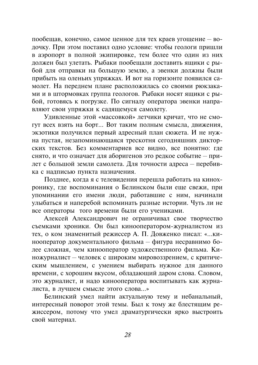пообещав, конечно, самое ценное для тех краев угощение - водочку. При этом поставил одно условие: чтобы геологи пришли в аэропорт в полной экипировке, тем более что один из них должен был улетать. Рыбаки пообещали доставить ящики с рыбой для отправки на большую землю, а эвенки должны были прибыть на оленьих упряжках. И вот на горизонте появился самолет. На переднем плане расположилась со своими рюкзаками и в штормовках группа геологов. Рыбаки носят ящики с рыбой, готовясь к погрузке. По сигналу оператора эвенки направляют свои упряжки к саляшемуся самолету.

Уливленные этой «массовкой» летчики кричат, что не смогут всех взять на борт... Вот таким полным смысла, движения, экзотики получился первый адресный план сюжета. И не нужна пустая, незапоминающаяся трескотня сегодняшних дикторских текстов. Без комментариев все видно, все понятно: где снято, и что означает для аборигенов это редкое событие - прилет с большой земли самолета. Для точности адреса - перебивка с налписью пункта назначения.

Позднее, когда я с телевидения перешла работать на кинохронику, где воспоминания о Белинском были еще свежи, при упоминании его имени люди, работавшие с ним, начинали улыбаться и наперебой вспоминать разные истории. Чуть ли не все операторы того времени были его учениками.

Алексей Александрович не ограничивал свое творчество съемками хроники. Он был кинооператором-журналистом из тех, о ком знаменитый режиссер А. П. Довженко писал: «...кинооператор документального фильма - фигура несравнимо более сложная, чем кинооператор художественного фильма. Киножурналист - человек с широким мировоззрением, с критическим мышлением, с умением выбирать нужное для данного времени, с хорошим вкусом, обладающий даром слова. Словом, это журналист, и надо кинооператора воспитывать как журналиста, в лучшем смысле этого слова...»

Белинский умел найти актуальную тему и небанальный, интересный поворот этой темы. Был к тому же блестящим режиссером, потому что умел драматургически ярко выстроить свой материал.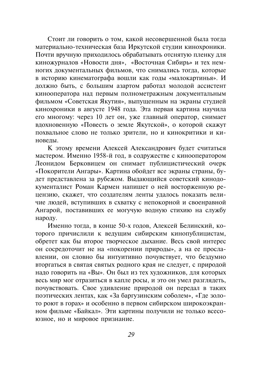Стоит ли говорить о том, какой несовершенной была тогда материально-техническая база Иркутской студии кинохроники. Почти вручную приходилось обрабатывать отснятую пленку для киножурналов «Новости дня», «Восточная Сибирь» и тех немногих документальных фильмов, что снимались тогда, которые в историю кинематографа вошли как годы «малокартинья». И должно быть, с большим азартом работал молодой ассистент кинооператора над первым полнометражным документальным фильмом «Советская Якутия», выпущенным на экраны студией кинохроники в августе 1948 года. Эта первая картина научила его многому: через 10 лет он, уже главный оператор, снимает вдохновенную «Повесть о земле Якутской», о которой скажут похвальное слово не только зрители, но и кинокритики и киновелы.

К этому времени Алексей Александрович будет считаться мастером. Именно 1958-й год, в содружестве с кинооператором Леонидом Берковицем он снимает публицистический очерк «Покорители Ангары». Картина обойдет все экраны страны, булет представлена за рубежом. Выдающийся советский кинодокументалист Роман Кармен напишет о ней восторженную рецензию, скажет, что создателям ленты удалось показать величие людей, вступивших в схватку с непокорной и своенравной Ангарой, поставивших ее могучую водную стихию на службу народу.

Именно тогда, в конце 50-х годов, Алексей Белинский, которого причислили к ведущим сибирским кинопублицистам, обретет как бы второе творческое дыхание. Весь свой интерес он сосредоточит не на «покорении природы», а на ее прославлении, он словно бы интуитивно почувствует, что бездумно вторгаться в святая святых родного края не следует, с природой надо говорить на «Вы». Он был из тех художников, для которых весь мир мог отразиться в капле росы, и это он умел разглядеть, почувствовать. Свое удивление природой он передал в таких поэтических лентах, как «За баргузинским соболем», «Где золото роют в горах» и особенно в первом сибирском широкоэкранном фильме «Байкал». Эти картины получили не только всесоюзное, но и мировое признание.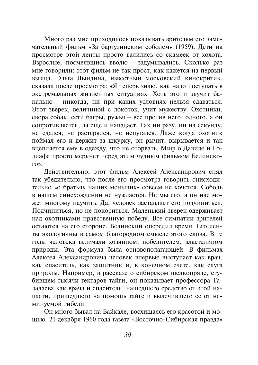Много раз мне приходилось показывать зрителям его замечательный фильм «За баргузинским соболем» (1959). Дети на просмотре этой ленты просто валились со скамеек от хохота. Взрослые, посмеявшись вволю - задумывались. Сколько раз мне говорили: этот фильм не так прост, как кажется на первый взгляд. Эльга Лындина, известный московский кинокритик, сказала после просмотра: «Я теперь знаю, как надо поступать в экстремальных жизненных ситуациях. Хоть это и звучит банально - никогда, ни при каких условиях нельзя сдаваться. Этот зверек, величиной с локоток, учит мужеству. Охотники, свора собак, сети багры, ружья - все против него одного, а он сопротивляется, да еще и нападает. Так ни разу, ни на секунду, не сдался, не растерялся, не испугался. Даже когда охотник поймал его и держит за шкурку, он рычит, вырывается и так вцепляется ему в одежду, что не оторвать. Миф о Давиде и Голиафе просто меркнет перед этим чудным фильмом Белинско- $\sum_{i=1}^{n}$ 

Действительно, этот фильм Алексей Александрович снял так убелительно, что после его просмотра говорить снисходительно «о братьях наших меньших» совсем не хочется. Соболь в нашем снисхождении не нуждается. Не мы его, а он нас может многому научить. Да, человек заставляет его подчиниться. Подчиниться, но не покориться. Маленький зверек одерживает над охотниками нравственную победу. Все симпатии зрителей остаются на его стороне. Белинский опередил время. Его ленты экологичны в самом благородном смысле этого слова. В те голы человека величали хозяином, победителем, властелином природы. Эта формула была основополагающей. В фильмах Алексея Александровича человек впервые выступает как врач, как спаситель, как зашитник и, в конечном счете, как слуга природы. Например, в рассказе о сибирском шелкопряде, сгубившем тысячи гектаров тайги, он показывает профессора Талалаева как врача и спасителя, нашедшего средство от этой напасти, пришедшего на помощь тайге и вылечившего ее от неминуемой гибели.

Он много бывал на Байкале, восхищаясь его красотой и мощью. 21 декабря 1960 года газета «Восточно-Сибирская правда»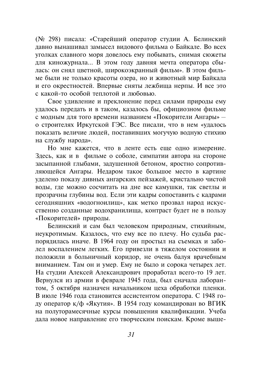(№ 298) писала: «Старейший оператор студии А. Белинский давно вынашивал замысел видового фильма о Байкале. Во всех уголках славного моря довелось ему побывать, снимая сюжеты для киножурнала... В этом году давняя мечта оператора сбылась: он снял цветной, широкоэкранный фильм». В этом фильме были не только красоты озера, но и животный мир Байкала и его окрестностей. Впервые сняты лежбища нерпы. И все это с какой-то особой теплотой и любовью.

Свое удивление и преклонение перед силами природы ему удалось передать и в таком, казалось бы, официозном фильме с модным для того времени названием «Покорители Ангары» о строителях Иркутской ГЭС. Все писали, что в нем «удалось показать величие людей, поставивших могучую водную стихию на службу народа».

Но мне кажется, что в ленте есть еще одно измерение. Здесь, как и в фильме о соболе, симпатии автора на стороне засыпанной глыбами, задушенной бетоном, яростно сопротивляющейся Ангары. Недаром такое большое место в картине уделено показу дивных ангарских пейзажей, кристально чистой волы, гле можно сосчитать на лне все камушки, так светлы и прозрачны глубины вод. Если эти кадры сопоставить с кадрами сегодняшних «водогноилиш», как метко прозвал народ искусственно созданные водохранилища, контраст будет не в пользу «Покорителей» природы.

Белинский и сам был человеком природным, стихийным, неукротимым. Казалось, что ему все по плечу. Но судьба распорядилась иначе. В 1964 году он простыл на съемках и заболел воспалением легких. Его привезли в тяжелом состоянии и положили в больничный коридор, не очень балуя врачебным вниманием. Там он и умер. Ему не было и сорока четырех лет. На стулии Алексей Александрович проработал всего-то 19 лет. Вернулся из армии в феврале 1945 года, был сначала лаборантом. 5 октября назначен начальником цеха обработки пленки. В июле 1946 года становится ассистентом оператора. С 1948 году оператор к/ф «Якутия». В 1954 году командирован во ВГИК на полуторамесячные курсы повышения квалификации. Учеба дала новое направление его творческим поискам. Кроме выше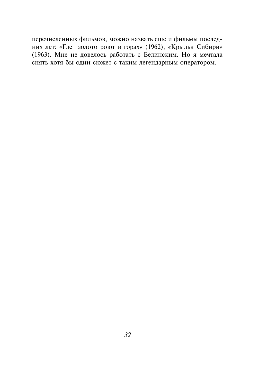перечисленных фильмов, можно назвать еще и фильмы последних лет: «Где золото роют в горах» (1962), «Крылья Сибири» (1963). Мне не довелось работать с Белинским. Но я мечтала снять хотя бы один сюжет с таким легендарным оператором.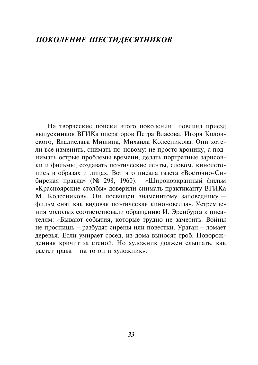## ПОКОЛЕНИЕ ШЕСТИЛЕСЯТНИКОВ

На творческие поиски этого поколения повлиял приезд выпускников ВГИКа операторов Петра Власова, Игоря Коловского, Владислава Мишина, Михаила Колесникова. Они хотели все изменить, снимать по-новому: не просто хронику, а поднимать острые проблемы времени, делать портретные зарисовки и фильмы, создавать поэтические ленты, словом, кинолетопись в образах и лицах. Вот что писала газета «Восточно-Сибирская правда» (№ 298, 1960): «Широкоэкранный фильм «Красноярские столбы» доверили снимать практиканту ВГИКа М. Колесникову. Он посвящен знаменитому заповеднику фильм снят как видовая поэтическая киноновелла». Устремления молодых соответствовали обращению И. Эренбурга к писателям: «Бывают события, которые трудно не заметить. Войны не проспишь - разбудят сирены или повестки. Ураган - ломает деревья. Если умирает сосед, из дома выносят гроб. Новорожденная кричит за стеной. Но художник должен слышать, как растет трава - на то он и художник».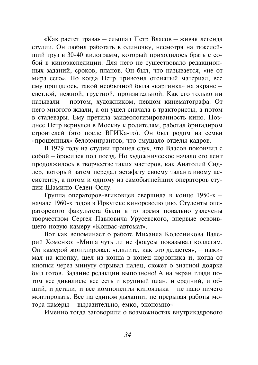«Как растет трава» — слышал Петр Власов — живая легенда студии. Он любил работать в одиночку, несмотря на тяжелейший груз в 30-40 килограмм, который приходилось брать с собой в киноэкспедиции. Для него не существовало редакционных заданий, сроков, планов. Он был, что называется, «не от мира сего». Но когда Петр привозил отснятый материал, все ему прощалось, такой необычной была «картинка» на экране светлой, нежной, грустной, пронзительной. Как его только ни называли - поэтом, художником, певцом кинематографа. От него многого ждали, а он ушел сначала в трактористы, а потом в сталевары. Ему претила заидеологизированность кино. Позднее Петр вернулся в Москву к родителям, работал бригадиром строителей (это после ВГИКа-то). Он был родом из семьи «прощенных» белоэмигрантов, что смущало отделы кадров.

В 1979 году на студии прошел слух, что Власов покончил с собой - бросился под поезд. Но художническое начало его лент продолжилось в творчестве таких мастеров, как Анатолий Сидлер, который затем передал эстафету своему талантливому ассистенту, а потом и одному из самобытнейших операторов стулии Шамилю Селен-Оолу.

Группа операторов-вгиковцев свершила в конце 1950-х начале 1960-х годов в Иркутске кинореволюцию. Студенты операторского факультета были в то время повально увлечены творчеством Сергея Павловича Урусевского, впервые освоившего новую камеру «Конвас-автомат».

Вот как вспоминает о работе Михаила Колесникова Валерий Хоменко: «Миша чуть ли не фокусы показывал коллегам. Он камерой жонглировал: «глядите, как это делается», - нажимал на кнопку, шел из конца в конец коровника и, когда от кнопки через минуту отрывал палец, сюжет о знатной доярке был готов. Задание редакции выполнено! А на экран глядя потом все дивились: все есть и крупный план, и средний, и общий, и детали, и все компоненты киноязыка - не надо ничего монтировать. Все на едином дыхании, не прерывая работы мотора камеры - выразительно, емко, экономно».

Именно тогда заговорили о возможностях внутрикалрового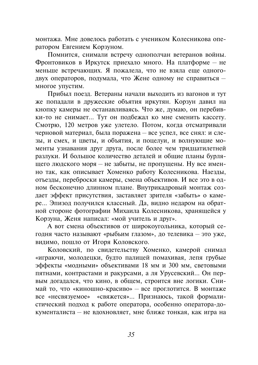монтажа. Мне довелось работать с учеником Колесникова оператором Евгением Корзуном.

Помнится, снимали встречу однополчан ветеранов войны. Фронтовиков в Иркутск приехало много. На платформе - не меньше встречающих. Я пожалела, что не взяла еще одногодвух операторов, подумала, что Жене одному не справиться многое упустим.

Прибыл поезд. Ветераны начали выходить из вагонов и тут же попадали в дружеские объятия иркутян. Корзун давил на кнопку камеры не останавливаясь. Что же, думаю, он перебивки-то не снимает... Тут он подбежал ко мне сменить кассету. Смотрю, 120 метров уже улетело. Потом, когда отсматривали черновой материал, была поражена - все успел, все снял: и слезы, и смех, и цветы, и объятия, и поцелуи, и волнующие моменты узнавания друг друга, после более чем тридцатилетней разлуки. И большое количество деталей и общие планы бурлящего людского моря – не забыты, не пропущены. Ну все именно так, как описывает Хоменко работу Колесникова. Наезды, отъезды, переброски камеры, смена объективов. И все это в одном бесконечно длинном плане. Внутрикалровый монтаж созлает эффект присутствия, заставляет зрителя «забыть» о камере... Эпизод получился классный. Да, видно недаром на обратной стороне фотографии Михаила Колесникова, хранящейся у Корзуна, Женя написал: «мой учитель и друг».

А вот смена объективов от широкоугольника, который сегодня часто называют «рыбьим глазом», до телевика - это уже, видимо, пошло от Игоря Коловского.

Коловский, по свидетельству Хоменко, камерой снимал «играючи, молодецки, будто палицей помахивая, лепя грубые эффекты «модными» объективами 18 мм и 300 мм, световыми пятнами, контрастами и ракурсами, а ля Урусевский... Он первым догадался, что кино, в общем, строится вне логики. Снимай то, что «киношно-красиво» - все проглотится. В монтаже все «несвязуемое» «свяжется»... Признаюсь, такой формалистический подход к работе оператора, особенно оператора-документалиста - не вдохновляет, мне ближе тонкая, как игра на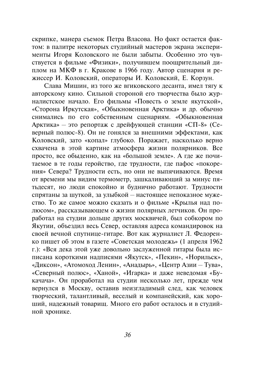скрипке, манера съемок Петра Власова. Но факт остается фактом: в палитре некоторых студийный мастеров экрана эксперименты Игоря Коловского не были забыты. Особенно это чувствуется в фильме «Физики», получившем поощрительный диплом на МКФ в г. Кракове в 1966 году. Автор сценария и режиссер И. Коловский, операторы И. Коловский, Е. Корзун.

Слава Мишин, из того же вгиковского лесанта, имел тягу к авторскому кино. Сильной стороной его творчества было журналистское начало. Его фильмы «Повесть о земле якутской», «Сторона Иркутская», «Обыкновенная Арктика» и др. обычно снимались по его собственным сценариям. «Обыкновенная Арктика» — это репортаж с дрейфующей станции «СП-8» (Северный полюс-8). Он не гонялся за внешними эффектами, как Коловский, зато «копал» глубоко. Поражает, насколько верно схвачена в этой картине атмосфера жизни полярников. Все просто, все обыденно, как на «большой земле». А где же почитаемое в те годы геройство, где трудности, где пафос «покорения» Севера? Трудности есть, но они не выпячиваются. Время от времени мы видим термометр, зашкаливающий за минус пятьдесят, но люди спокойно и буднично работают. Трудности спрятаны за шуткой, за улыбкой - настоящее непоказное мужество. То же самое можно сказать и о фильме «Крылья над полюсом», рассказывающем о жизни полярных летчиков. Он проработал на студии дольше других москвичей, был собкором по Якутии, объездил весь Север, оставляя адреса командировок на своей вечной спутнице-гитаре. Вот как журналист Л. Федоренко пишет об этом в газете «Советская молодежь» (1 апреля 1962 г.): «Вся дека этой уже довольно заслуженной гитары была исписана короткими надписями «Якутск», «Пекин», «Норильск», «Диксон», «Атомоход Ленин», «Анадырь», «Центр Азии - Тува», «Северный полюс», «Ханой», «Игарка» и даже неведомая «Букачача». Он проработал на студии несколько лет, прежде чем вернулся в Москву, оставив неизгладимый след, как человек творческий, талантливый, веселый и компанейский, как хороший, надежный товарищ. Много его работ осталось и в студийной хронике.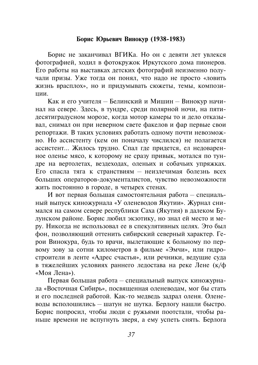#### Борис Юрьевич Винокур (1938-1983)

Борис не заканчивал ВГИКа. Но он с девяти лет увлекся фотографией, ходил в фотокружок Иркутского дома пионеров. Его работы на выставках детских фотографий неизменно получали призы. Уже тогда он понял, что надо не просто «ловить жизнь врасплох», но и придумывать сюжеты, темы, композинии.

Как и его учителя – Белинский и Мишин – Винокур начинал на севере. Злесь, в тундре, среди полярной ночи, на пятидесятиградусном морозе, когда мотор камеры то и дело отказывал, снимал он при неверном свете факелов и фар первые свои репортажи. В таких условиях работать одному почти невозможно. Но ассистенту (кем он поначалу числился) не полагается ассистент... Жилось трудно. Спал где придется, ел недоваренное оленье мясо, к которому не сразу привык, мотался по тундре на вертолетах, вездеходах, оленьих и собачьих упряжках. Его спасла тяга к странствиям - неизлечимая болезнь всех больших операторов-документалистов, чувство невозможности жить постоянно в городе, в четырех стенах.

И вот первая большая самостоятельная работа - специальный выпуск киножурнала «У оленеводов Якутии». Журнал снимался на самом севере республики Саха (Якутия) в далеком Булунском районе. Борис любил экзотику, но знал ей место и меру. Никогда не использовал ее в спекулятивных целях. Это был фон, позволяющий оттенить сибирский северный характер. Герои Винокура, буль то врачи, вылетающие к больному по первому зову за сотни километров в фильме «Эмчи», или гидростроители в ленте «Адрес счастья», или речники, ведущие суда в тяжелейших условиях раннего ледостава на реке Лене (к/ф «Моя Лена»).

Первая большая работа - специальный выпуск киножурнала «Восточная Сибирь», посвященная оленеводам, мог бы стать и его последней работой. Как-то медведь задрал оленя. Оленеводы всполошились - шатун не шутка. Берлогу нашли быстро. Борис попросил, чтобы люди с ружьями поотстали, чтобы раньше времени не вспугнуть зверя, а ему успеть снять. Берлога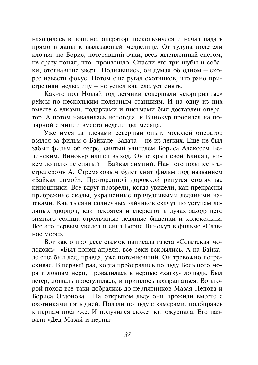находилась в лощине, оператор поскользнулся и начал падать прямо в лапы к вылезающей медведице. От тулупа полетели клочья, но Борис, потерявший очки, весь залепленный снегом, не сразу понял, что произошло. Спасли его три шубы и собаки, отогнавшие зверя. Поднявшись, он думал об одном - скорее навести фокус. Потом еще ругал охотников, что рано пристрелили медведицу - не успел как следует снять.

Как-то под Новый год летчики совершали «сюрпризные» рейсы по нескольким полярным станциям. И на одну из них вместе с елками, подарками и письмами был доставлен оператор. А потом навалилась непогода, и Винокур просидел на полярной станции вместо недели два месяца.

Уже имея за плечами северный опыт, молодой оператор взялся за фильм о Байкале. Задача - не из легких. Еще не был забыт фильм об озере, снятый учителем Бориса Алексеем Белинским. Винокур нашел выход. Он открыл свой Байкал, никем ло него не снятый – Байкал зимний. Намного позлнее «гастролером» А. Стремяковым будет снят фильм под названием «Байкал зимой». Проторенной дорожкой ринутся столичные киношники. Все вдруг прозрели, когда увидели, как прекрасны прибрежные скалы, украшенные причудливыми ледяными натеками. Как тысячи солнечных зайчиков скачут по уступам ледяных дворцов, как искрятся и сверкают в лучах заходящего зимнего солнца стрельчатые ледяные башенки и колокольни. Все это первым увидел и снял Борис Винокур в фильме «Славное море».

Вот как о процессе съемок написала газета «Советская молодожь»: «Был конец апреля, все реки вскрылись. А на Байкале еще был лед, правда, уже потемневший. Он тревожно потрескивал. В первый раз, когда пробирались по льду Большого моря к ловцам нерп. провалилась в нерпью «хатку» лошаль. Был ветер, лошаль простудилась, и пришлось возвращаться. Во второй поход все-таки добрались до нерпятников Мазая Непова и Бориса Огдонова. На открытом льду они прожили вместе с охотниками пять дней. Ползли по льду с камерами, подбираясь к нерпам поближе. И получился сюжет киножурнала. Его назвали «Дед Мазай и нерпы».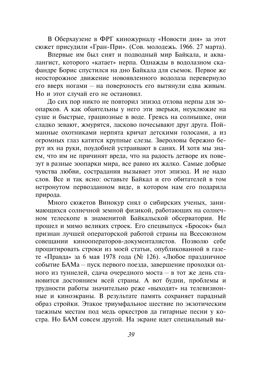В Оберхаузене в ФРГ киножурналу «Новости дня» за этот сюжет присудили «Гран-При». (Сов. молодежь. 1966. 27 марта).

Впервые им был снят и подводный мир Байкала, и аквалангист, которого «катает» нерпа. Однажды в водолазном скафандре Борис спустился на дно Байкала для съемок. Первое же неосторожное движение новоявленного водолаза перевернуло его вверх ногами - на поверхность его вытянули едва живым. Но и этот случай его не остановил.

До сих пор никто не повторил эпизод отлова нерпы для зоопарков. А как обаятельны у него эти зверьки, неуклюжие на суще и быстрые, грациозные в воде. Греясь на солнышке, они сладко зевают, жмурятся, ласково почесывают друг друга. Пойманные охотниками нерпята кричат детскими голосами, а из огромных глаз катятся крупные слезы. Звероловы бережно берут их на руки, поудобней устраивают в санях. И хотя мы знаем, что им не причинят вреда, что на радость детворе их повезут в разные зоопарки мира, все равно их жалко. Самые добрые чувства любви, сострадания вызывает этот эпизод. И не надо слов. Все и так ясно: оставьте Байкал и его обитателей в том нетронутом первозданном виде, в котором нам его подарила природа.

Много сюжетов Винокур снял о сибирских ученых, занимающихся солнечной земной физикой, работающих на солнечном телескопе в знаменитой Байкальской обсерватории. Не прошел и мимо великих строек. Его спецвыпуск «Бросок» был признан лучшей операторской работой страны на Всесоюзном совещании кинооператоров-документалистов. Позволю себе процитировать строки из моей статьи, опубликованной в газете «Правда» за 6 мая 1978 года (№ 126). «Любое праздничное событие БАМа - пуск первого поезда, завершение проходки одного из туннелей, сдача очередного моста - в тот же день становится достоянием всей страны. А вот будни, проблемы и трудности работы значительно реже «выходят» на телевизионные и киноэкраны. В результате память сохраняет парадный образ стройки. Этакое триумфальное шествие по экзотическим таежным местам под медь оркестров да гитарные песни у костра. Но БАМ совсем другой. На экране идет специальный вы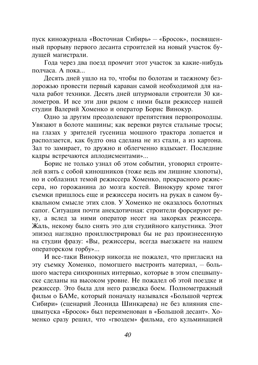пуск киножурнала «Восточная Сибирь» - «Бросок», посвященный прорыву первого десанта строителей на новый участок будущей магистрали.

Гола через два поезд промчит этот участок за какие-нибудь полчаса А пока

Десять дней ушло на то, чтобы по болотам и таежному бездорожью провести первый караван самой необходимой для начала работ техники. Десять дней штурмовали строители 30 километров. И все эти лни рялом с ними были режиссер нашей студии Валерий Хоменко и оператор Борис Винокур.

Одно за другим преодолевают препятствия первопроходцы. Увязают в болоте машины; как веревки рвутся стальные тросы; на глазах у зрителей гусеница мощного трактора лопается и расползается, как будто она сделана не из стали, а из картона. Зал то замирает, то дружно и облегченно вздыхает. Последние кадры встречаются аплодисментами»...

Борис не только узнал об этом событии, уговорил строителей взять с собой киношников (тоже ведь им лишние хлопоты), но и соблазнил темой режиссера Хоменко, прекрасного режиссера, но горожанина до мозга костей. Винокуру кроме тягот съемки пришлось еще и режиссера носить на руках в самом буквальном смысле этих слов. У Хоменко не оказалось болотных сапог. Ситуация почти анекдотичная: строители форсируют реку, а вслед за ними оператор несет на закорках режиссера. Жаль, некому было снять это для студийного капустника. Этот эпизод наглядно проиллюстрировал бы не раз произнесенную на студии фразу: «Вы, режиссеры, всегда выезжаете на нашем операторском горбу»...

И все-таки Винокур никогда не пожалел, что пригласил на эту съемку Хоменко, помогшего выстроить материал, - большого мастера синхронных интервью, которые в этом спецвыпуске сделаны на высоком уровне. Не пожалел об этой поездке и режиссер. Это была для него разведка боем. Полнометражный фильм о БАМе, который поначалу назывался «Большой чертеж Сибири» (сценарий Леонида Шинкарева) не без влияния спецвыпуска «Бросок» был переименован в «Большой десант». Хоменко сразу решил, что «гвоздем» фильма, его кульминацией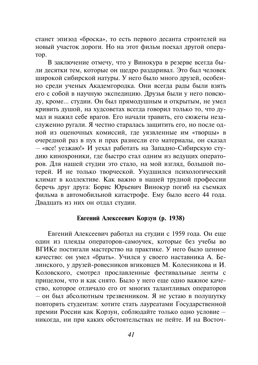станет эпизод «броска», то есть первого десанта строителей на новый участок дороги. Но на этот фильм поехал другой опера-TOP.

В заключение отмечу, что у Винокура в резерве всегда были десятки тем, которые он щедро раздаривал. Это был человек широкой сибирской натуры. У него было много друзей, особенно среди ученых Академгородка. Они всегда рады были взять его с собой в научную экспедицию. Друзья были у него повсюду, кроме... студии. Он был прямодушным и открытым, не умел кривить душой, на худсоветах всегда говорил только то, что думал и нажил себе врагов. Его начали травить, его сюжеты незаслуженно ругали. Я честно старалась защитить его, но после одной из оценочных комиссий, где уязвленные им «творцы» в очередной раз в пух и прах разнесли его материалы, он сказал - «все! уезжаю!» И уехал работать на Западно-Сибирскую студию кинохроники, где быстро стал одним из ведущих операторов. Для нашей студии это стало, на мой взгляд, большой потерей. И не только творческой. Ухудшился психологический климат в коллективе. Как важно в нашей трудной профессии беречь друг друга: Борис Юрьевич Винокур погиб на съемках фильма в автомобильной катастрофе. Ему было всего 44 года. Двадцать из них он отдал студии.

## Евгений Алексеевич Корзун (р. 1938)

Евгений Алексеевич работал на студии с 1959 года. Он еще один из плеяды операторов-самоучек, которые без учебы во ВГИКе постигали мастерство на практике. У него было ценное качество: он умел «брать». Учился у своего наставника А. Белинского, у друзей-ровесников вгиковцев М. Колесникова и И. Коловского, смотрел прославленные фестивальные ленты с прицелом, что и как снято. Было у него еще одно важное качество, которое отличало его от многих талантливых операторов - он был абсолютным трезвенником. Я не устаю в полушутку повторять студентам: хотите стать лауреатами Государственной премии России как Корзун, соблюдайте только одно условие никогда, ни при каких обстоятельствах не пейте. И на Восточ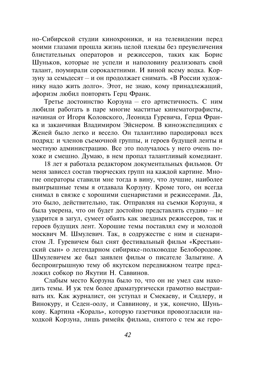но-Сибирской студии кинохроники, и на телевидении перед моими глазами прошла жизнь целой плеяды без преувеличения блистательных операторов и режиссеров, таких как Борис Шуньков, которые не успели и наполовину реализовать свой талант, поумирали сорокалетними. И виной всему водка. Корзуну за семьдесят - и он продолжает снимать. «В России художнику надо жить долго». Этот, не знаю, кому принадлежащий, афоризм любил повторять Герц Франк.

Третье достоинство Корзуна - его артистичность. С ним любили работать в паре многие маститые кинематографисты, начиная от Игоря Коловского, Леонида Гуревича, Герца Франка и заканчивая Владимиром Эйснером. В киноэкспедициях с Женей было легко и весело. Он талантливо пародировал всех полряд: и членов съемочной группы, и героев будущей ленты и местную администрацию. Все это получалось у него очень похоже и смешно. Думаю, в нем пропал талантливый комедиант.

18 лет я работала редактором документальных фильмов. От меня зависел состав творческих групп на каждой картине. Многие операторы ставили мне тогда в вину, что лучшие, наиболее выигрышные темы я отдавала Корзуну. Кроме того, он всегда снимал в связке с хорошими сценаристами и режиссерами. Да, это было, действительно, так. Отправляя на съемки Корзуна, я была уверена, что он будет достойно представлять студию - не ударится в загул, сумеет обаять как звездных режиссеров, так и героев будущих лент. Хорошие темы поставлял ему и молодой москвич М. Шмулевич. Так, в содружестве с ним и сценаристом Л. Гуревичем был снят фестивальный фильм «Крестьянский сын» о легендарном сибиряке-полководце Белобородове. Шмулевичем же был заявлен фильм о писателе Залыгине. А беспроигрышную тему об якутском передвижном театре предложил собкор по Якутии Н. Саввинов.

Слабым место Корзуна было то, что он не умел сам находить темы. И уж тем более драматургически грамотно выстраивать их. Как журналист, он уступал и Смекаеву, и Сидлеру, и Винокуру, и Седен-оолу, и Саввинову, и уж, конечно, Шунькову. Картина «Кораль», которую газетчики провозгласили находкой Корзуна, лишь римейк фильма, снятого с тем же геро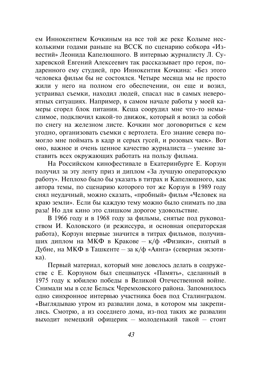ем Иннокентием Кочкиным на все той же реке Колыме несколькими годами раньше на ВССК по сценарию собкора «Известий» Леонида Капелюшного. В интервью журналисту Л. Сухаревской Евгений Алексеевич так рассказывает про героя, подаренного ему студией, про Иннокентия Кочкина: «Без этого человека фильм бы не состоялся. Четыре месяца мы не просто жили у него на полном его обеспечении, он еще и возил, устраивал съемки, находил людей, спасал нас в самых невероятных ситуациях. Например, в самом начале работы у моей камеры сгорел блок питания. Кеша соорудил мне что-то немыслимое, подключил какой-то движок, который я возил за собой по снегу на железном листе. Кочкин мог договориться с кем угодно, организовать съемки с вертолета. Его знание севера помогло мне поймать в кадр и серых гусей, и розовых чаек». Вот оно, важное и очень ценное качество журналиста - умение заставить всех окружающих работать на пользу фильма.

На Российском кинофестивале в Екатеринбурге Е. Корзун получил за эту ленту приз и диплом «За лучшую операторскую работу». Неплохо было бы указать в титрах и Капелюшного, как автора темы, по сценарию которого тот же Корзун в 1989 году снял неудачный, можно сказать, «пробный» фильм «Человек на краю земли». Если бы каждую тему можно было снимать по два раза! Но для кино это слишком дорогое удовольствие.

В 1966 году и в 1968 году за фильмы, снятые под руководством И. Коловского (и режиссура, и основная операторская работа), Корзун впервые значится в титрах фильмов, получивших диплом на МКФ в Кракове - к/ф «Физики», снятый в Дубне, на МКФ в Ташкенте - за к/ф «Аянга» (северная экзоти- $\mathbf{K}$ a).

Первый материал, который мне довелось делать в содружестве с Е. Корзуном был спецвыпуск «Память», сделанный в 1975 году к юбилею победы в Великой Отечественной войне. Снимали мы в селе Бельск Черемховского района. Запомнилось одно синхронное интервью участника боев под Сталинградом. «Выглядываю утром из развалин дома, в котором мы закрепились. Смотрю, а из соседнего дома, из-под таких же развалин выходит немецкий офицерик - молоденький такой - стоит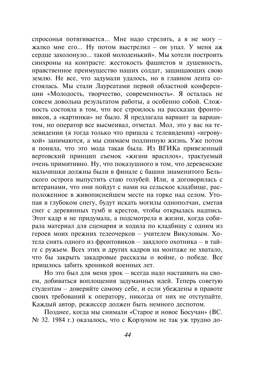спросонья потягивается... Мне надо стрелять, а я не могу жалко мне его... Ну потом выстрелил - он упал. У меня аж сердце захолонуло... такой молоденький». Мы хотели построить синхроны на контрасте: жестокость фашистов и душевность. нравственное преимущество наших солдат, защищающих свою землю. Не все, что задумали удалось, но в главном лента состоялась. Мы стали Лауреатами первой областной конференции «Молодость, творчество, современность». Я осталась не совсем довольна результатом работы, а особенно собой. Сложность состояла в том, что все строилось на рассказах фронтовиков, а «картинки» не было. Я предлагала вариант за вариантом, но оператор все высмеивал, отметал. Мол, это у вас на телевидении (я тогда только что пришла с телевидения) «игровухой» занимаются, а мы снимаем подлинную жизнь. Уже потом я поняла, что это мола такая была. Из ВГИКа привезенный вертовский принцип съемок «жизни врасплох», трактуемый очень примитивно. Ну, что показушного в том, что деревенские мальчишки должны были в финале с башни знаменитого Бельского острога выпустить стаю голубей. Или, я договорилась с ветеранами, что они пойдут с нами на сельское кладбище, расположенное в живописнейшем месте на горке над селом. Утопая в глубоком снегу, будут искать могилы однополчан, сметая снег с деревянных тумб и крестов, чтобы открылась надпись. Этот кадр я не придумала, а подсмотрела в жизни, когда собирала материал для сценария и ходила по кладбишу с одним из героев моих прежних телеочерков - учителем Викуловым. Хотела снять одного из фронтовиков - заядлого охотника - в тайге с ружьем. Всех этих и других кадров на монтаже не хватало, что бы закрыть закадровые рассказы о войне, о победе. Все пришлось забить хроникой военных лет.

Но это был для меня урок - всегда надо настаивать на своем, добиваться воплощения задуманных идей. Теперь советую студентам - доверяйте самому себе, и если убеждены в правоте своих требований к оператору, никогда от них не отступайте. Каждый автор, режиссер должен быть немного деспотом.

Позднее, когда мы снимали «Старое и новое Босучан» (ВС. № 32. 1984 г.) оказалось, что с Корзуном не так уж трудно до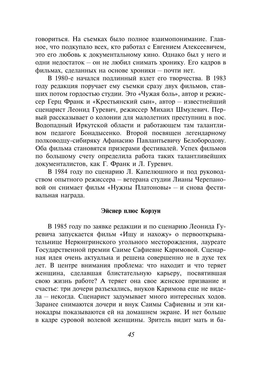говориться. На съемках было полное взаимопонимание. Главное, что подкупало всех, кто работал с Евгением Алексеевичем, это его любовь к документальному кино. Однако был у него и одни недостаток - он не любил снимать хронику. Его кадров в фильмах, сделанных на основе хроники - почти нет.

В 1980-е начался подлинный взлет его творчества. В 1983 году редакция поручает ему съемки сразу двух фильмов, ставших потом гордостью студии. Это «Чужая боль», автор и режиссер Герц Франк и «Крестьянский сын», автор - известнейший сценарист Леонид Гуревич, режиссер Михаил Шмулевич. Первый рассказывает о колонии для малолетних преступниц в пос. Водопадный Иркутской области и работающем там талантливом педагоге Бонадысенко. Второй посвящен легендарному полководцу-сибиряку Афанасию Павлантьевичу Белобородову. Оба фильма становятся призерами фестивалей. Успех фильмов по большому счету определила работа таких талантливейших документалистов, как Г. Франк и Л. Гуревич.

В 1984 году по сценарию Л. Капелюшного и под руководством опытного режиссера - ветерана студии Лианы Черепановой он снимает фильм «Нужны Платоновы» - и снова фестивальная награда.

#### Эйснер плюс Корзун

В 1985 году по заявке редакции и по сценарию Леонида Гуревича запускается фильм «Ищу и нахожу» о первооткрывательнице Нерюнгринского угольного месторождения, лауреате Государственной премии Саиме Сафиевне Каримовой. Сценарная идея очень актуальна и решена совершенно не в духе тех лет. В центре внимания проблема: что находит и что теряет женщина, сделавшая блистательную карьеру, посвятившая свою жизнь работе? А теряет она свое женское призвание и счастье: три дочери разъехались, внуков Каримова еще не видела - некогда. Сценарист задумывает много интересных ходов. Заранее снимаются дочери и внук Саимы Сафиевны и эти кинокадры показываются ей на домашнем экране. И нет больше в кадре суровой волевой женщины. Зритель видит мать и ба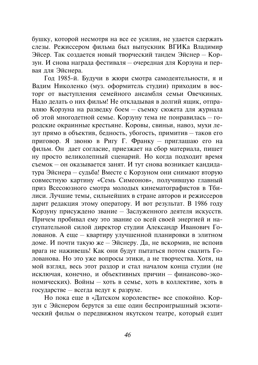бушку, которой несмотря на все ее усилия, не удается сдержать слезы. Режиссером фильма был выпускник ВГИКа Владимир Эйсер. Так создается новый творческий тандем Эйснер - Корзун. И снова награда фестиваля – очередная для Корзуна и первая для Эйснера.

Год 1985-й. Будучи в жюри смотра самодеятельности, я и Вадим Николенко (муз. оформитель студии) приходим в восторг от выступления семейного ансамбля семьи Овечкиных. Надо делать о них фильм! Не откладывая в долгий ящик, отправляю Корзуна на разведку боем - съемку сюжета для журнала об этой многодетной семье. Корзуну тема не понравилась - городские окраинные крестьяне. Коровы, свиньи, навоз, мухи лезут прямо в объектив, бедность, убогость, примитив - таков его приговор. Я звоню в Ригу Г. Франку - приглашаю его на фильм. Он дает согласие, приезжает на сбор материала, пишет ну просто великолепный сценарий. Но когда подходит время съемок - он оказывается занят. И тут снова возникает канлилатура Эйснера - судьба! Вместе с Корзуном они снимают вторую совместную картину «Семь Симеонов», получившую главный приз Всесоюзного смотра молодых кинематографистов в Тбилиси. Лучшие темы, сильнейших в стране авторов и режиссеров дарит редакция этому оператору. И вот результат. В 1986 году Корзуну присуждено звание - Заслуженного деятеля искусств. Причем пробивал ему это звание со всей своей энергией и наступательной силой директор студии Александр Иванович Голованов. А еще - квартиру улучшенной планировки в элитном доме. И почти такую же - Эйснеру. Да, не вскормив, не вспоив врага не наживешь! Как они будут пытаться потом свалить Голованова. Но это уже вопросы этики, а не творчества. Хотя, на мой взгляд, весь этот раздор и стал началом конца студии (не исключая, конечно, и объективных причин - финансово-экономических). Войны - хоть в семье, хоть в коллективе, хоть в государстве - всегда ведут к разрухе.

Но пока еще в «Датском королевстве» все спокойно. Корзун с Эйснером берутся за еще один беспроигрышный экзотический фильм о передвижном якутском театре, который ездит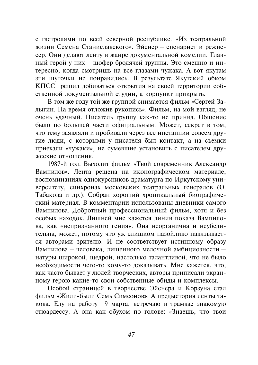с гастролями по всей северной республике. «Из театральной жизни Семена Станиславского». Эйснер - сценарист и режиссер. Они делают ленту в жанре документальной комедии. Главный герой у них - шофер бродячей труппы. Это смешно и интересно, когда смотришь на все глазами чужака. А вот якутам эти шуточки не понравились. В результате Якутский обком КПСС решил добиваться открытия на своей территории собственной документальной студии, а корпункт прикрыть.

В том же году той же группой снимается фильм «Сергей Залыгин. На время отложив рукопись». Фильм, на мой взгляд, не очень удачный. Писатель группу как-то не принял. Общение было по большей части официальным. Может, секрет в том, что тему заявляли и пробивали через все инстанции совсем другие люди, с которыми у писателя был контакт, а на съемки приехали «чужаки», не сумевшие установить с писателем дружеские отношения.

1987-й год. Выходит фильм «Твой современник Александр Вампилов». Лента решена на иконографическом материале, воспоминаниях однокурсников драматурга по Иркутскому университету, синхронах московских театральных генералов (О. Табакова и др.). Собран хороший хроникальный биографический материал. В комментарии использованы дневники самого Вампилова. Добротный профессиональный фильм, хотя и без особых находок. Лишней мне кажется линия показа Вампилова, как «непризнанного гения». Она неорганична и неубелительна, может, потому что уж слишком назойливо навязывается авторами зрителю. И не соответствует истинному образу Вампилова - человека, лишенного мелочной амбициозности натуры широкой, щедрой, настолько талантливой, что не было необходимости чего-то кому-то доказывать. Мне кажется, что, как часто бывает у людей творческих, авторы приписали экранному герою какие-то свои собственные обиды и комплексы.

Особой страницей в творчестве Эйснера и Корзуна стал фильм «Жили-были Семь Симеонов». А предыстория ленты такова. Еду на работу 9 марта, встречаю в трамвае знакомую стюардессу. А она как обухом по голове: «Знаешь, что твои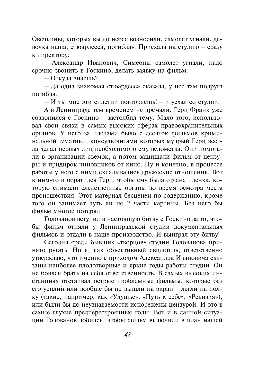Овечкины, которых вы до небес возносили, самолет угнали, девочка наша, стюардесса, погибла». Приехала на студию - сразу к директору:

- Александр Иванович, Симеоны самолет угнали, надо срочно звонить в Госкино, делать заявку на фильм.

- Откуда знаешь?

- Да одна знакомая стюардесса сказала, у нее там подруга погибла...

- И ты мне эти сплетни повторяешь! - и уехал со студии.

А в Ленинграде тем временем не дремали. Герц Франк уже созвонился с Госкино - застолбил тему. Мало того, использовал свои связи в самых высоких сферах правоохранительных органов. У него за плечами было с десяток фильмов криминальной тематики, консультантами которых мудрый Герц всегда делал первых лиц необходимого ему ведомства. Они помогали в организации съемок, а потом защищали фильм от цензуры и придирок чиновников от кино. Ну и конечно, в процессе работы у него с ними склалывались дружеские отношения. Вот к ним-то и обратился Герц, чтобы ему была отдана пленка, которую снимали следственные органы во время осмотра места происшествия. Этот материал бесценен по содержанию, кроме того он занимает чуть ли не 2 части картины. Без него бы фильм многое потерял.

Голованов вступил в настоящую битву с Госкино за то, чтобы фильм отняли у Ленинградской студии документальных фильмов и отдали в наше производство. И выиграл эту битву!

Сегодня среди бывших «творцов» студии Голованова принято ругать. Но я, как объективный свидетель, ответственно утверждаю, что именно с приходом Александра Ивановича связаны наиболее плодотворные и яркие годы работы студии. Он не боялся брать на себя ответственность. В самых высоких инстанциях отстаивал острые проблемные фильмы, которые без его усилий или вообще бы не вышли на экран - легли на полку (такие, например, как «Удушье», «Путь к себе», «Ревизия»), или были бы до неузнаваемости искорежены цензурой. И это в самые глухие предперестроечные годы. Вот и в данной ситуации Голованов добился, чтобы фильм включили в план нашей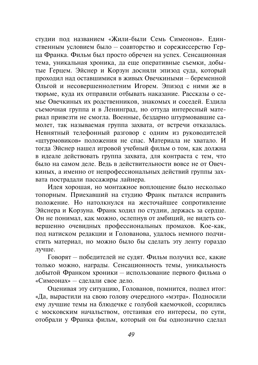студии под названием «Жили-были Семь Симеонов». Единственным условием было - соавторство и сорежиссерство Герца Франка. Фильм был просто обречен на успех. Сенсационная тема, уникальная хроника, да еще оперативные съемки, добытые Герцем. Эйснер и Корзун досняли эпизод суда, который проходил над оставшимися в живых Овечкиными - беременной Ольгой и несовершеннолетним Игорем. Эпизод с ними же в тюрьме, куда их отправили отбывать наказание. Рассказы о семье Овечкиных их родственников, знакомых и соседей. Ездила съемочная группа и в Ленинград, но оттуда интересный материал привезти не смогла. Военные, бездарно штурмовавшие самолет, так называемая группа захвата, от встречи отказалась. Невнятный телефонный разговор с одним из руководителей «штурмовиков» положения не спас. Материала не хватало. И тогла Эйснер нашел игровой учебный фильм о том, как должна в идеале действовать группа захвата, для контраста с тем, что было на самом деле. Вель в действительности вовсе не от Овечкиных, а именно от непрофессиональных действий группы захвата пострадали пассажиры лайнера.

Идея хорошая, но монтажное воплощение было несколько топорным. Приехавший на студию Франк пытался исправить положение. Но натолкнулся на жесточайшее сопротивление Эйснера и Корзуна. Франк ходил по студии, держась за сердце. Он не понимал, как можно, ослепнув от амбиций, не видеть совершенно очевидных профессиональных промахов. Кое-как, под натиском редакции и Голованова, удалось немного подчистить материал, но можно было бы сделать эту ленту гораздо лучше.

Говорят - победителей не судят. Фильм получил все, какие только можно, награды. Сенсационность темы, уникальность добытой Франком хроники - использование первого фильма о «Симеонах» - слелали свое лело.

Оценивая эту ситуацию, Голованов, помнится, подвел итог: «Да, вырастили на свою голову очередного «мэтра». Подносили ему лучшие темы на блюдечке с голубой каемочкой, ссорились с московским начальством, отстаивая его интересы, по сути, отобрали у Франка фильм, который он бы однозначно сделал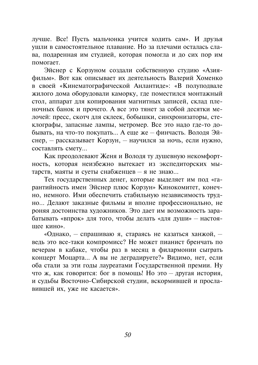лучше. Все! Пусть мальчонка учится ходить сам». И друзья ушли в самостоятельное плавание. Но за плечами осталась слава, подаренная им студией, которая помогла и до сих пор им помогает.

Эйснер с Корзуном создали собственную студию «Азияфильм». Вот как описывает их деятельность Валерий Хоменко в своей «Кинематографической Анлантиле»: «В полуподвале жилого дома оборудовали каморку, где поместился монтажный стол, аппарат для копирования магнитных записей, склад пленочных банок и прочего. А все это тянет за собой десятки мелочей: пресс, скотч для склеек, бобышки, синхронизаторы, стеклографы, запасные лампы, метромер. Все это надо где-то добывать, на что-то покупать... А еще же - финчасть. Володя Эйснер, - рассказывает Корзун, - научился за ночь, если нужно, составлять смету...

Как преодолевают Женя и Володя ту душевную некомфортность, которая неизбежно вытекает из экспедиторских мытарств, маяты и суеты снабженцев - я не знаю...

Тех государственных денег, которые выделяет им под «гарантийность имен Эйснер плюс Корзун» Кинокомитет, конечно, немного. Ими обеспечить стабильную независимость трудно... Делают заказные фильмы и вполне профессионально, не роняя достоинства художников. Это дает им возможность зарабатывать «впрок» для того, чтобы делать «для души» - настояшее кино»

«Однако, - спрашиваю я, стараясь не казаться ханжой, ведь это все-таки компромисс? Не может пианист бренчать по вечерам в кабаке, чтобы раз в месяц в филармонии сыграть концерт Моцарта... А вы не деградируете?» Видимо, нет, если оба стали за эти годы лауреатами Государственной премии. Ну что ж. как говорится: бог в помощь! Но это - другая история, и судьбы Восточно-Сибирской студии, вскормившей и прославившей их, уже не касается».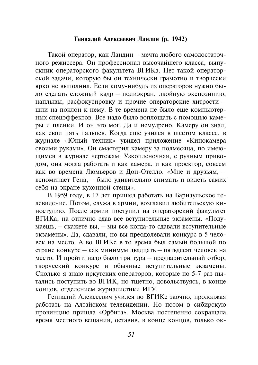### Геннадий Алексеевич Ландин (р. 1942)

Такой оператор, как Ландин - мечта любого самодостаточного режиссера. Он профессионал высочайшего класса, выпускник операторского факультета ВГИКа. Нет такой операторской задачи, которую бы он технически грамотно и творчески ярко не выполнил. Если кому-нибудь из операторов нужно было сделать сложный кадр - полиэкран, двойную экспозицию, наплывы, расфокусировку и прочие операторские хитрости шли на поклон к нему. В те времена не было еще компьютерных спецэффектов. Все надо было воплощать с помощью камеры и пленки. И он это мог. Да и немудрено. Камеру он знал, как свои пять пальцев. Когда еще учился в шестом классе, в журнале «Юный техник» увидел приложение «Кинокамера своими руками». Он смастерил камеру за полмесяца, по имеющимся в журнале чертежам. Узкопленочная, с ручным приводом, она могла работать и как камера, и как проектор, совсем как во времена Люмьеров и Дон-Отелло. «Мне и друзьям. вспоминает Гена, - было удивительно снимать и видеть самих себя на экране кухонной стены».

В 1959 году, в 17 лет пришел работать на Барнаульское телевидение. Потом, служа в армии, возглавил любительскую киностудию. После армии поступил на операторский факультет ВГИКа, на отлично слав все вступительные экзамены. «Полумаешь, - скажете вы, - мы все когда-то сдавали вступительные экзамены». Да, сдавали, но вы преодолевали конкурс в 5 человек на место. А во ВГИКе в то время был самый большой по стране конкурс - как минимум двадцать - пятьдесят человек на место. И пройти надо было три тура – предварительный отбор, творческий конкурс и обычные вступительные экзамены. Сколько я знаю иркутских операторов, которые по 5-7 раз пытались поступить во ВГИК, но тщетно, довольствуясь, в конце концов, отделением журналистики ИГУ.

Геннадий Алексеевич учился во ВГИКе заочно, продолжая работать на Алтайском телевидении. Но потом в сибирскую провинцию пришла «Орбита». Москва постепенно сокращала время местного вешания, оставив, в конце концов, только ок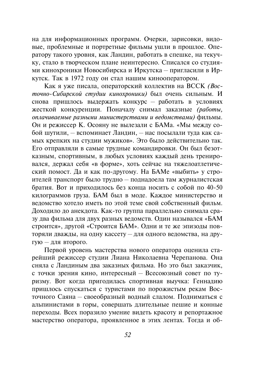на для информационных программ. Очерки, зарисовки, видовые, проблемные и портретные фильмы ушли в прошлое. Оператору такого уровня, как Ландин, работать в спешке, на текучку, стало в творческом плане неинтересно. Списался со студиями кинохроники Новосибирска и Иркутска - пригласили в Иркутск. Так в 1972 году он стал нашим кинооператором.

Как я уже писала, операторский коллектив на ВССК (Восточно-Сибирской студии кинохроники) был очень сильным. И снова пришлось выдержать конкурс - работать в условиях жесткой конкуренции. Поначалу снимал заказные (работы, оплачиваемые разными министерствами и ведомствами) фильмы. Он и режиссер К. Осояну не вылезали с БАМа. «Мы между собой шутили, - вспоминает Ландин, - нас посылали туда как самых крепких на студии мужиков». Это было действительно так. Его отправляли в самые трудные командировки. Он был безотказным, спортивным, в любых условиях каждый день тренировался, держал себя «в форме», хоть сейчас на тяжелоатлетический помост. Да и как по-лругому. На БАМе «выбить» у строителей транспорт было трудно - поднадоела там журналистская братия. Вот и приходилось без конца носить с собой по 40-50 килограммов груза. БАМ был в моде. Каждое министерство и ведомство хотело иметь по этой теме свой собственный фильм. Доходило до анекдота. Как-то группа параллельно снимала сразу два фильма для двух разных ведомств. Один назывался «БАМ строится», другой «Строится БАМ». Одни и те же эпизоды повторяли дважды, на одну кассету - для одного ведомства, на другую - для второго.

Первой уровень мастерства нового оператора оценила старейший режиссер студии Лиана Николаевна Черепанова. Она сняла с Ландиным два заказных фильма. Но это был заказчик, с точки зрения кино, интересный - Всесоюзный совет по туризму. Вот когда пригодилась спортивная выучка: Геннадию пришлось спускаться с туристами по порожистым рекам Восточного Саяна - своеобразный водный слалом. Подниматься с альпинистами в горы, совершать длительные пешие и конные переходы. Всех поразило умение видеть красоту и репортажное мастерство оператора, проявленное в этих лентах. Тогда и об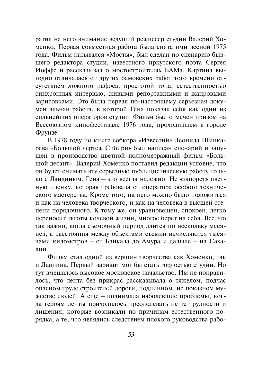ратил на него внимание ведущий режиссер студии Валерий Хоменко. Первая совместная работа была снята ими весной 1975 года. Фильм назывался «Мосты», был сделан по сценарию бывшего редактора студии, известного иркутского поэта Сергея Иоффе и рассказывал о мостостроителях БАМа. Картина выгодно отличалась от других бамовских работ того времени отсутствием ложного пафоса, простотой тона, естественностью синхронных интервью, живыми репортажными и жанровыми зарисовками. Это была первая по-настоящему серьезная документальная работа, в которой Гена показал себя как один из сильнейших операторов студии. Фильм был отмечен призом на Всесоюзном кинофестивале 1976 года, проходившем в городе Фрунзе.

В 1978 году по книге собкора «Известий» Леонида Шинкарёва «Большой чертеж Сибири» был написан сценарий и запущен в производство цветной полнометражный фильм «Большой десант». Валерий Хоменко поставил редакции условие, что он будет снимать эту серьезную публицистическую работу только с Ландиным. Гена - это всегда надежно. Не «запорет» цветную пленку, которая требовала от оператора особого технического мастерства. Кроме того, на него можно было положиться и как на человека творческого, и как на человека в высшей степени порядочного. К тому же, он уравновешен, спокоен, легко переносит тяготы кочевой жизни, многое берет на себя. Все это так важно, когда съемочный период длится по нескольку месяцев, а расстояния между объектами съемки исчисляются тысячами километров - от Байкала до Амура и дальше - на Сахалин.

Фильм стал одной из вершин творчества как Хоменко, так и Ландина. Первый вариант мог бы стать гордостью студии. Но тут вмешалось высокое московское начальство. Им не понравилось, что лента без прикрас рассказывала о тяжелом, подчас опасном труде строителей дороги, подлинном, не показном мужестве людей. А еще - поднимала наболевшие проблемы, когда героям ленты приходилось преодолевать не те трудности и лишения, которые возникали по причинам естественного порядка, а те, что являлись следствием плохого руководства рабо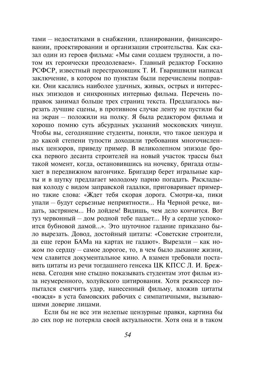тами - недостатками в снабжении, планировании, финансировании, проектировании и организации строительства. Как сказал один из героев фильма: «Мы сами создаем трудности, а потом их героически преодолеваем». Главный редактор Госкино РСФСР, известный перестраховщик Т. И. Гваришвили написал заключение, в котором по пунктам были перечислены поправки. Они касались наиболее удачных, живых, острых и интересных эпизодов и синхронных интервью фильма. Перечень поправок занимал больше трех страниц текста. Предлагалось вырезать лучшие сцены, в противном случае ленту не пустили бы на экран – положили на полку. Я была редактором фильма и хорошо помню суть абсурдных указаний московских чинуш. Чтобы вы, сеголняшние студенты, поняли, что такое цензура и ло какой степени тупости лоходили требования многочисленных цензоров, привелу пример. В великолепном эпизоле броска первого десанта строителей на новый участок трассы был такой момент, когда, остановившись на ночевку, бригада отдыхает в передвижном вагончике. Бригадир берет игральные карты и в шутку предлагает молодому парню погадать. Раскладывая колоду с видом заправской гадалки, приговаривает примерно такие слова: «Ждет тебя скорая дорога. Смотри-ка, пики упали - будут серьезные неприятности... На Черной речке, видать, застрянем... Но дойдем! Видишь, чем дело кончится. Вот туз червонный – дом родной тебе падает... Ну а сердце успокоится бубновой дамой...». Это шуточное гадание приказано было вырезать. Довод, достойный цитаты: «Советские строители, да еще герои БАМа на картах не гадают». Вырезали – как ножом по сердцу - самое дорогое, то, в чем было дыхание жизни, чем славится документальное кино. А взамен требовали поставить цитаты из речи тогдашнего генсека ЦК КПСС Л. И. Брежнева. Сегодня мне стыдно показывать студентам этот фильм изза неумеренного, холуйского цитирования. Хотя режиссер попытался смягчить удар, нанесенный фильму, вложив цитаты «вождя» в уста бамовских рабочих с симпатичными, вызывающими доверие лицами.

Если бы не все эти нелепые цензурные правки, картина бы до сих пор не потеряла своей актуальности. Хотя она и в таком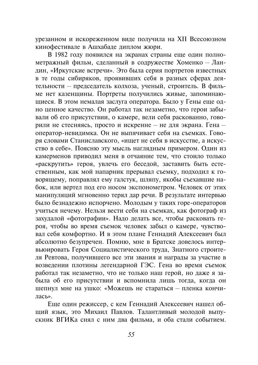урезанном и искореженном виде получила на XII Всесоюзном кинофестивале в Ашхабаде диплом жюри.

В 1982 году появился на экранах страны еще один полнометражный фильм, сделанный в содружестве Хоменко - Ландин, «Иркутские встречи». Это была серия портретов известных в те годы сибиряков, проявивших себя в разных сферах деятельности - председатель колхоза, ученый, строитель. В фильме нет казенщины. Портреты получились живые, запоминающиеся. В этом немалая заслуга оператора. Было у Гены еще одно ценное качество. Он работал так незаметно, что герои забывали об его присутствии, о камере, вели себя раскованно, говорили не стесняясь, просто и искренне - не для экрана. Гена оператор-невидимка. Он не выпячивает себя на съемках. Говоря словами Станиславского, «ищет не себя в искусстве, а искусство в себе». Поясню эту мысль наглядным примером. Один из камерменов приводил меня в отчаяние тем, что стоило только «раскрутить» героя, увлечь его беседой, заставить быть естественным, как мой напарник прерывал съемку, подходил к говорящему, поправлял ему галстук, шляпу, якобы съехавшие набок, или вертел под его носом экспонометром. Человек от этих манипуляций мгновенно терял дар речи. В результате интервью было безнадежно испорчено. Молодым у таких горе-операторов учиться нечему. Нельзя вести себя на съемках, как фотограф из захудалой «фотографии». Надо делать все, чтобы расковать героя, чтобы во время съемок человек забыл о камере, чувствовал себя комфортно. И в этом плане Геннадий Алексеевич был абсолютно безупречен. Помню, мне в Братске довелось интервьюировать Героя Социалистического труда, Знатного строителя Ревтова, получившего все эти звания и награды за участие в возведении плотины легендарной ГЭС. Гена во время съемок работал так незаметно, что не только наш герой, но даже я забыла об его присутствии и вспомнила лишь тогда, когда он шепнул мне на ушко: «Можешь не стараться - пленка кончилась».

Еще один режиссер, с кем Геннадий Алексеевич нашел общий язык, это Михаил Павлов. Талантливый молодой выпускник ВГИКа снял с ним два фильма, и оба стали событием.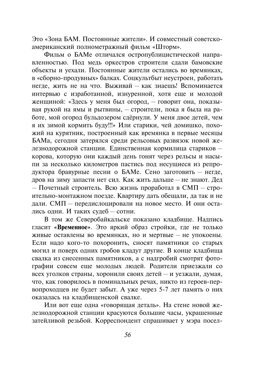Это «Зона БАМ. Постоянные жители». И совместный советскоамериканский полнометражный фильм «Шторм».

Фильм о БАМе отличался остропублицистической направленностью. Под медь оркестров строители сдали бамовские объекты и уехали. Постоянные жители остались во времянках, в «сборно-продувных» балках. Соцкультбыт неустроен, работать негле, жить не на что. Выживай - как знаешь! Вспоминается интервью с изработанной, изнуренной, хотя еще и молодой женщиной: «Здесь у меня был огород, - говорит она, показывая рукой на ямы и рытвины, - строители, пока я была на работе, мой огород бульдозером сдёрнули. У меня двое детей, чем я их зимой кормить буду!!!» Или старики, чей домишко, похожий на курятник, построенный как времянка в первые месяцы БАМа, сегодня затерялся среди рельсовых развязок новой железнодорожной станции. Единственная кормилица стариков корова, которую они каждый день гонят через рельсы и насыпи за несколько километров пастись под несущиеся из репродуктора бравурные песни о БАМе. Сено заготовить - негде, дров на зиму запасти нет сил. Как жить дальше - не знают. Дед — Почетный строитель. Всю жизнь проработал в СМП - строительно-монтажном поезле. Квартиру дать обешали, да так и не лали. СМП - перелислоцировали на новое место. И они остались одни. И таких судеб - сотни.

В том же Северобайкальске показано кладбище. Надпись гласит «Временное». Это яркий образ стройки, где не только живые оставлены во времянках, но и мертвые - не упокоены. Если надо кого-то похоронить, сносят памятники со старых могил и поверх одних гробов кладут другие. В конце кладбища свалка из снесенных памятников, а с надгробий смотрят фотографии совсем еще молодых людей. Родители приезжали со всех уголков страны, хоронили своих детей - и уезжали, думая, что, как говорилось в поминальных речах, никто из героев-первопроходцев не будет забыт. А уже через 5-7 лет память о них оказалась на клалбишенской свалке.

Или вот еще одна «говорящая леталь». На стене новой железнолорожной станции красуются большие часы, украшенные затейливой резьбой. Корреспондент спрашивает у мэра посел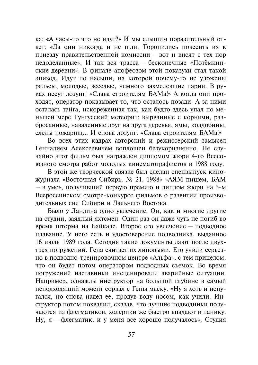ка: «А часы-то что не идут?» И мы слышим поразительный ответ: «Да они никогда и не шли. Торопились повесить их к приезду правительственной комиссии - вот и висят с тех пор недоделанные». И так вся трасса - бесконечные «Потёмкинские деревни». В финале апофеозом этой показухи стал такой эпизод. Идут по насыпи, на которой почему-то не уложены рельсы, молодые, веселые, немного захмелевшие парни. В руках несут лозунг: «Слава строителям БАМа!» А когда они проходят, оператор показывает то, что осталось позади. А за ними осталась тайга, искореженная так, как будто здесь упал по меньшей мере Тунгусский метеорит: вырванные с корнями, разбросанные, наваленные друг на друга деревья, ямы, колдобины, следы пожарищ... И снова лозунг: «Слава строителям БАМа!»

Во всех этих калрах авторский и режиссерский замысел Генналием Алексеевичем воплошен безукоризненно. Не случайно этот фильм был награжден дипломом жюри 4-го Всесоюзного смотра работ молодых кинематографистов в 1988 году.

В этой же творческой связке был сделан спецвыпуск киножурнала «Восточная Сибирь. № 21. 1988» «АЯМ пишем, БАМ - в уме», получивший первую премию и диплом жюри на 3-м Всероссийском смотре-конкурсе фильмов о развитии произволительных сил Сибири и Дальнего Востока.

Было у Ландина одно увлечение. Он, как и многие другие на студии, заядлый яхтсмен. Один раз он даже чуть не погиб во время шторма на Байкале. Второе его увлечение - подводное плавание. У него есть и удостоверение подводника, выданное 16 июля 1989 года. Сегодня такие документы дают после двухтрех погружений. Гена считает их липовыми. Его учили серьезно в подводно-тренировочном центре «Альфа», с тем прицелом, что он будет потом оператором подводных съемок. Во время погружений наставники инсценировали аварийные ситуации. Например, однажды инструктор на большой глубине в самый неподходящий момент сорвал с Гены маску. «Ну я хоть и испугался, но снова надел ее, продув воду носом, как учили. Инструктор потом похвалил, сказав, что лучшие подводники получаются из флегматиков, холерики же быстро впадают в панику. Ну, я - флегматик, и у меня все хорошо получалось». Студия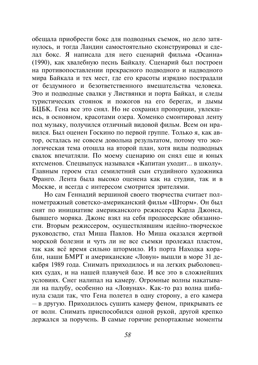обещала приобрести бокс для подводных съемок, но дело затянулось, и тогда Ландин самостоятельно сконструировал и сделал бокс. Я написала для него сценарий фильма «Осанна» (1990), как хвалебную песнь Байкалу. Сценарий был построен на противопоставлении прекрасного подводного и надводного мира Байкала и тех мест, где его красоты изрядно пострадали от безлумного и безответственного вмешательства человека. Это и подводные свалки у Листвянки и порта Байкал, и следы туристических стоянок и пожогов на его берегах, и дымы БЦБК. Гена все это снял. Но не сохранил пропорции, увлекшись, в основном, красотами озера. Хоменко смонтировал ленту под музыку, получился отличный видовой фильм. Всем он нравился. Был оценен Госкино по первой группе. Только я, как автор, осталась не совсем довольна результатом, потому что экологическая тема отошла на второй план, хотя виды подводных свалок впечатляли. По моему сценарию он снял еще и юных яхтсменов. Спецвыпуск назывался «Капитан уходит... в школу». Главным героем стал семилетний сын студийного художника Франго. Лента была высоко оценена как на студии, так и в Москве, и всегда с интересом смотрится зрителями.

Но сам Геннадий вершиной своего творчества считает полнометражный советско-американский фильм «Шторм». Он был снят по инициативе американского режиссера Карла Джонса, бывшего моряка. Джонс взял на себя продюсерские обязанности. Вторым режиссером, осуществлявшим идейно-творческое руководство, стал Миша Павлов. Но Миша оказался жертвой морской болезни и чуть ли не все съемки пролежал пластом, так как всё время сильно штормило. Из порта Находка корабли, наши БМРТ и американские «Ловун» вышли в море 31 декабря 1989 года. Снимать приходилось и на легких рыболовецких судах, и на нашей плавучей базе. И все это в сложнейших условиях. Снег налипал на камеру. Огромные волны накатывали на палубу, особенно на «Ловунах». Как-то раз волна шибанула сзади так, что Гена полетел в одну сторону, а его камера - в другую. Приходилось сушить камеру феном, прикрывать ее от волн. Снимать приспособился одной рукой, другой крепко держался за поручень. В самые горячие репортажные моменты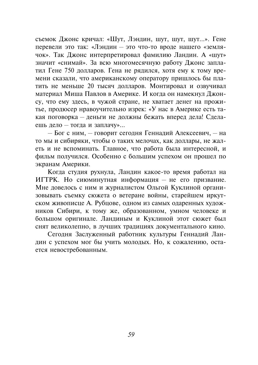съемок Джонс кричал: «Шут, Лэндин, шут, шут, шут...». Гене перевели это так: «Лэндин - это что-то вроде нашего «землячок». Так Джонс интерпретировал фамилию Ландин. А «шут» значит «снимай». За всю многомесячную работу Джонс заплатил Гене 750 долларов. Гена не рядился, хотя ему к тому времени сказали, что американскому оператору пришлось бы платить не меньше 20 тысяч долларов. Монтировал и озвучивал материал Миша Павлов в Америке. И когда он намекнул Джонсу, что ему здесь, в чужой стране, не хватает денег на прожитье, продюсер нравоучительно изрек: «У нас в Америке есть такая поговорка - деньги не должны бежать вперед дела! Сделаешь дело - тогда и заплачу»...

– Бог с ним, – говорит сегодня Геннадий Алексеевич, – на то мы и сибиряки, чтобы о таких мелочах, как доллары, не жалеть и не вспоминать. Главное, что работа была интересной, и фильм получился. Особенно с большим успехом он прошел по экранам Америки.

Когда студия рухнула, Ландин какое-то время работал на ИГТРК. Но сиюминутная информация - не его призвание. Мне довелось с ним и журналистом Ольгой Куклиной организовывать съемку сюжета о ветеране войны, старейшем иркутском живописце А. Рубцове, одном из самых одаренных художников Сибири, к тому же, образованном, умном человеке и большом оригинале. Ландиным и Куклиной этот сюжет был снят великолепно, в лучших традициях документального кино.

Сегодня Заслуженный работник культуры Геннадий Ландин с успехом мог бы учить молодых. Но, к сожалению, остается невостребованным.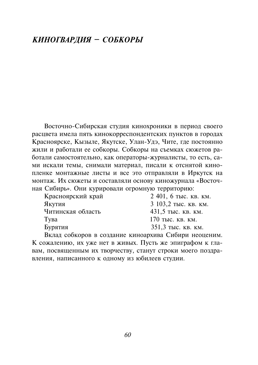# КИНОГВАРЛИЯ - СОБКОРЫ

Восточно-Сибирская студия кинохроники в период своего расцвета имела пять кинокорреспондентских пунктов в городах Красноярске, Кызыле, Якутске, Улан-Удэ, Чите, где постоянно жили и работали ее собкоры. Собкоры на съемках сюжетов работали самостоятельно, как операторы-журналисты, то есть, сами искали темы, снимали материал, писали к отснятой кинопленке монтажные листы и все это отправляли в Иркутск на монтаж. Их сюжеты и составляли основу киножурнала «Восточная Сибирь». Они курировали огромную территорию:

| Красноярский край | 2 401, 6 тыс. кв. км.  |
|-------------------|------------------------|
| Якутия            | 3 103,2 тыс. кв. км.   |
| Читинская область | 431,5 тыс. кв. км.     |
| Тува              | 170 тыс. кв. км.       |
| Бурятия           | 351,3 тыс. кв. км.     |
|                   | $D_{\text{max}} = 1.5$ |

Вклад собкоров в создание киноархива Сибири неоценим. К сожалению, их уже нет в живых. Пусть же эпиграфом к главам, посвященным их творчеству, станут строки моего поздравления, написанного к одному из юбилеев студии.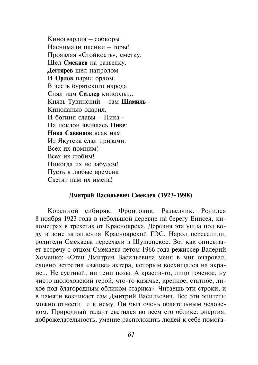Киногвардия — собкоры Наснимали пленки - горы! Проявляя «Стойкость», сметку, Шел Смекаев на развелку. Дегтярев шел напролом И Орлов парил орлом. В честь бурятского народа Снял нам Сидлер кинооды... Князь Тувинский - сам Шамиль -Киноданью одарил. И богиня славы - Ника -На поклон являлась Нике Ника Саввинов ясак нам Из Якутска слал призами. Всех их помним! Всех их любим! Никогда их не забудем! Пусть в любые времена Светят нам их имена!

#### Лмитрий Васильевич Смекаев (1923-1998)

Коренной сибиряк. Фронтовик. Разведчик. Родился 8 ноября 1923 года в небольшой деревне на берегу Енисея, километрах в трехстах от Красноярска. Деревня эта ушла под воду в зоне затопления Красноярской ГЭС. Народ переселили, родители Смекаева переехали в Шушенское. Вот как описывает встречу с отцом Смекаева летом 1966 года режиссер Валерий Хоменко: «Отец Дмитрия Васильевича меня в миг очаровал, словно встретил «вживе» актера, которым восхищался на экране... Не суетный, ни тени позы. А красив-то, лицо точеное, ну чисто шолоховский герой, что-то казачье, крепкое, статное, лихое под благородным обликом старика». Читаешь эти строки, и в памяти возникает сам Дмитрий Васильевич. Все эти эпитеты можно отнести и к нему. Он был очень обаятельным человеком. Природный талант светился во всем его облике: энергия, доброжелательность, умение расположить людей к себе помога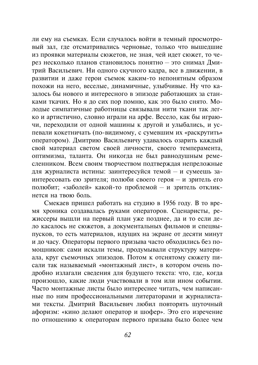ли ему на съемках. Если случалось войти в темный просмотровый зал, где отсматривались черновые, только что вышедшие из проявки материалы сюжетов, не зная, чей идет сюжет, то через несколько планов становилось понятно - это снимал Дмитрий Васильевич. Ни одного скучного кадра, все в движении, в развитии и даже герои съемок каким-то непонятным образом похожи на него, веселые, динамичные, улыбчивые. Ну что казалось бы нового и интересного в эпизоде работающих за станками ткачих. Но я до сих пор помню, как это было снято. Мололые симпатичные работницы связывали нити ткани так легко и артистично, словно играли на арфе. Весело, как бы играючи, переходили от одной машины к другой и улыбались, и успевали кокетничать (по-видимому, с сумевшим их «раскрутить» оператором). Дмитрию Васильевичу удавалось озарить каждый свой материал светом своей личности, своего темперамента, оптимизма, таланта. Он никогда не был равнодушным ремесленником. Всем своим творчеством подтверждая непреложные для журналиста истины: заинтересуйся темой - и сумеешь заинтересовать ею зрителя; полюби своего героя - и зритель его полюбит; «заболей» какой-то проблемой - и зритель откликнется на твою боль

Смекаев пришел работать на студию в 1956 году. В то время хроника создавалась руками операторов. Сценаристы, режиссеры вышли на первый план уже позднее, да и то если дело касалось не сюжетов, а документальных фильмов и спецвыпусков, то есть материалов, идущих на экране от десяти минут и до часу. Операторы первого призыва часто обходились без помощников: сами искали темы, продумывали структуру материала, круг съемочных эпизодов. Потом к отснятому сюжету писали так называемый «монтажный лист», в котором очень подробно излагали сведения для будущего текста: что, где, когда произошло, какие люди участвовали в том или ином событии. Часто монтажные листы было интереснее читать, чем написанные по ним профессиональными литераторами и журналистами тексты. Дмитрий Васильевич любил повторять шуточный афоризм: «кино делают оператор и шофер». Это его изречение по отношению к операторам первого призыва было более чем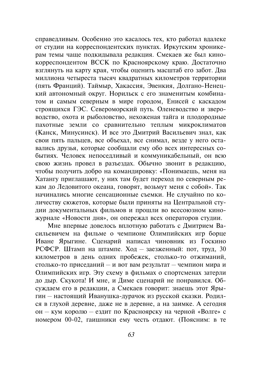справедливым. Особенно это касалось тех, кто работал вдалеке от студии на корреспондентских пунктах. Иркутским хроникерам темы чаще подкидывала редакция. Смекаев же был кинокорреспондентом ВССК по Красноярскому краю. Достаточно взглянуть на карту края, чтобы оценить масштаб его забот. Два миллиона четыреста тысяч квадратных километров территории (пять Франций). Таймыр. Хакассия. Эвенкия. Долгано-Ненецкий автономный округ. Норильск с его знаменитым комбинатом и самым северным в мире городом, Енисей с каскадом строящихся ГЭС. Североморский путь. Оленеводство и звероводство, охота и рыболовство, нехоженая тайга и плодородные пахотные земли со сравнительно теплым микроклиматов (Канск, Минусинск). И все это Дмитрий Васильевич знал, как свои пять пальцев, все объехал, все снимал, везде у него оставались друзья, которые сообщали ему обо всех интересных событиях. Человек непоседливый и коммуникабельный, он всю свою жизнь провел в разъездах. Обычно звонит в редакцию, чтобы получить добро на командировку: «Понимаешь, меня на Хатангу приглашают, у них там будет переход по северным рекам до Ледовитого океана, говорят, возьмут меня с собой». Так начинались многие сенсационные съемки. Не случайно по количеству сюжетов, которые были приняты на Центральной студии документальных фильмов и прошли во всесоюзном киножурнале «Новости дня», он опережал всех операторов студии.

Мне впервые довелось вплотную работать с Дмитрием Васильевичем на фильме о чемпионе Олимпийских игр борце Иване Ярыгине. Сценарий написал чиновник из Госкино РСФСР. Штамп на штампе. Ход - заезженный: пот, труд, 30 километров в день одних пробежек, столько-то отжиманий, столько-то приседаний - и вот вам результат - чемпион мира и Олимпийских игр. Эту схему в фильмах о спортсменах затерли до дыр. Скукота! И мне, и Диме сценарий не понравился. Обсуждаем его в редакции, а Смекаев говорит: знаешь этот Ярыгин - настоящий Иванушка-дурачок из русской сказки. Родился в глухой деревне, даже не в деревне, а на заимке. А сегодня он - кум королю - ездит по Красноярску на черной «Волге» с номером 00-02, гаишники ему честь отдают. (Поясним: в те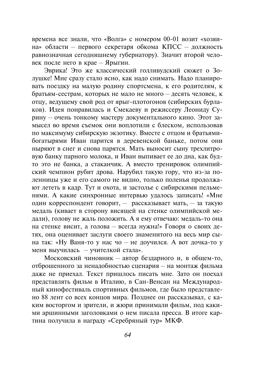времена все знали, что «Волга» с номером 00-01 возит «хозяина» области – первого секретаря обкома КПСС – должность равнозначная сегодняшнему губернатору). Значит второй человек после него в крае - Ярыгин.

Эврика! Это же классический голливудский сюжет о Золушке! Мне сразу стало ясно, как надо снимать. Надо планировать поездку на малую родину спортсмена, к его родителям, к братьям-сестрам, которых не мало не много - десять человек, к отцу, ведущему свой род от ярыг-плотогонов (сибирских бурлаков). Идея понравилась и Смекаеву и режиссеру Леониду Сурину - очень тонкому мастеру документального кино. Этот замысел во время съемок они воплотили с блеском, использовав по максимуму сибирскую экзотику. Вместе с отцом и братьямибогатырями Иван парится в деревенской баньке, потом они ныряют в снег и снова парятся. Мать выносит сыну трехлитровую банку парного молока, и Иван выпивает ее до дна, как будто это не банка, а стаканчик. А вместо тренировок олимпийский чемпион рубит дрова. Нарубил такую гору, что из-за поленницы уже и его самого не видно, только поленья продолжают лететь в кадр. Тут и охота, и застолье с сибирскими пельменями. А какие синхронные интервью удалось записать! «Мне один корреспондент говорит. - рассказывает мать. - за такую медаль (кивает в сторону висящей на стенке олимпийской медали), голову не жаль положить. А я ему отвечаю: медаль-то она на стенке висит, а голова – всегда нужна!» Говоря о своих детях, она оценивает заслуги своего знаменитого на весь мир сына так: «Ну Ваня-то у нас чо - не доучился. А вот дочка-то у меня выучилась - учителкой стала».

Московский чиновник - автор бездарного и, в общем-то, отброшенного за ненадобностью сценария - на монтаж фильма даже не приехал. Текст пришлось писать мне. Зато он поехал представлять фильм в Италию, в Сан-Венсан на Международный кинофестиваль спортивных фильмов, где было представлено 88 лент со всех концов мира. Позднее он рассказывал, с каким восторгом и зрители, и жюри принимали фильм, под какими аршинными заголовками о нем писала пресса. В итоге картина получила в награду «Серебряный тур» МКФ.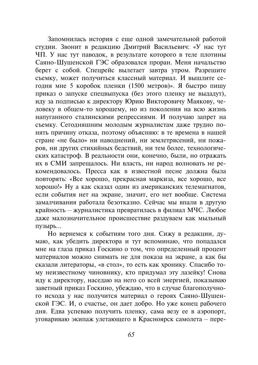Запомнилась история с еще одной замечательной работой студии. Звонит в редакцию Дмитрий Васильевич: «У нас тут ЧП. У нас тут паводок, в результате которого в теле плотины Саяно-Шушенской ГЭС образовался проран. Меня начальство берет с собой. Спецрейс вылетает завтра утром. Разрешите съемку, может получиться классный материал. И вышлите сегодня мне 5 коробок пленки (1500 метров)». Я быстро пишу приказ о запуске спецвыпуска (без этого пленку не выдадут), иду за подписью к директору Юрию Викторовичу Маякову, человеку в общем-то хорошему, но из поколения на всю жизнь напуганного сталинскими репрессиями. И получаю запрет на съемку. Сегодняшним молодым журналистам даже трудно понять причину отказа, поэтому объясняю: в те времена в нашей стране «не было» ни наводнений, ни землетрясений, ни пожаров, ни других стихийных бедствий, ни тем более, технологических катастроф. В реальности они, конечно, были, но отражать их в СМИ запрещалось. Ни власть, ни народ волновать не рекомендовалось. Пресса как в известной песне должна была повторять: «Все хорошо, прекрасная маркиза, все хорошо, все хорошо!» Ну а как сказал один из американских телемагнатов, если события нет на экране, значит, его нет вообще. Система замалчивания работала безотказно. Сейчас мы впали в другую крайность - журналистика превратилась в филиал МЧС. Любое даже малозначительное происшествие раздуваем как мыльный пузырь...

Но вернемся к событиям того дня. Сижу в редакции, думаю, как убедить директора и тут вспоминаю, что попадался мне на глаза приказ Госкино о том, что определенный процент материалов можно снимать не для показа на экране, а как бы сказали литераторы, «в стол», то есть как хронику. Спасибо тому неизвестному чиновнику, кто прилумал эту лазейку! Снова иду к директору, наседаю на него со всей энергией, показываю заветный приказ Госкино, убеждаю, что в случае благополучного исхода у нас получится материал о героях Саяно-Шушенской ГЭС. И, о счастье, он дает добро. Но уже конец рабочего дня. Едва успеваю получить пленку, сама везу ее в аэропорт, уговариваю экипаж улетающего в Красноярск самолета - пере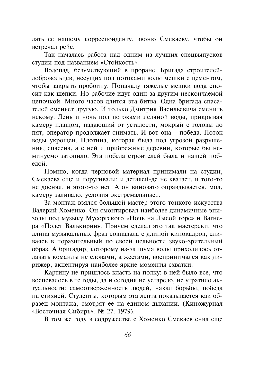дать ее нашему корреспонденту, звоню Смекаеву, чтобы он встречал рейс.

Так началась работа над одним из лучших спецвыпусков студии под названием «Стойкость».

Волопал, безумствующий в проране. Бригала строителейдобровольцев, несущих под потоками воды мешки с цементом, чтобы закрыть пробоину. Поначалу тяжелые мешки вода сносит как щепки. Но рабочие идут один за другим нескончаемой цепочкой. Много часов длится эта битва. Одна бригада спасателей сменяет другую. И только Дмитрия Васильевича сменить некому. День и ночь под потоками ледяной воды, прикрывая камеру плащом, падающий от усталости, мокрый с головы до пят, оператор продолжает снимать. И вот она - победа. Поток воды укрощен. Плотина, которая была под угрозой разрушения, спасена, а с ней и прибрежные деревни, которые бы неминуемо затопило. Эта победа строителей была и нашей побелой.

Помню, когда черновой материал принимали на студии, Смекаева еще и поругивали: и деталей-де не хватает, и того-то не лоснял. и этого-то нет. А он виновато оправдывается, мол, камеру заливало, условия экстремальные...

За монтаж взялся большой мастер этого тонкого искусства Валерий Хоменко. Он смонтировал наиболее динамичные эпизоды под музыку Мусоргского «Ночь на Лысой горе» и Вагнера «Полет Валькирии». Причем сделал это так мастерски, что длина музыкальных фраз совпадала с длиной кинокадров, сливаясь в поразительный по своей цельности звуко-зрительный образ. А бригадир, которому из-за шума воды приходилось отдавать команды не словами, а жестами, воспринимался как дирижер, акцентируя наиболее яркие моменты схватки.

Картину не пришлось класть на полку: в ней было все, что воспевалось в те годы, да и сегодня не устарело, не утратило актуальности: самоотверженность людей, накал борьбы, победа на стихией. Студенты, которым эта лента показывается как образец монтажа, смотрят ее на едином дыхании. (Киножурнал «Восточная Сибирь». № 27. 1979).

В том же году в содружестве с Хоменко Смекаев снял еще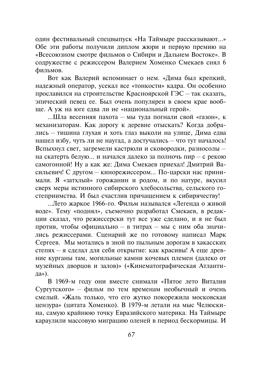один фестивальный спецвыпуск «На Таймыре рассказывают...» Обе эти работы получили диплом жюри и первую премию на «Всесоюзном смотре фильмов о Сибири и Дальнем Востоке». В содружестве с режиссером Валерием Хоменко Смекаев снял 6 фильмов.

Вот как Валерий вспоминает о нем. «Дима был крепкий, належный оператор, усекал все «тонкости» калра. Он особенно прославился на строительстве Красноярской ГЭС - так сказать, эпический певец ее. Был очень популярен в своем крае вообще. А уж на юге едва ли не «национальный герой».

...Шла весенняя пахота - мы туда погнали свой «газон», к механизаторам. Как дорогу к деревне отыскать? Когда добрались - тишина глухая и хоть глаз выколи на улице, Дима едва нашел избу, чуть ли не наугад, а достучались - что тут началось! Вспыхнул свет, загремели кастрюли и сковородки, разносолы на скатерть белую... и начался далеко за полночь пир - с рекою самогонной! Ну а как же: Лима Смекаев приехал! Лмитрий Васильевич! С другом - кинорежиссером... По-царски нас принимали. Я «затхлый» горожанин и родом, и по натуре, вкусил сверх меры истинного сибирского хлебосольства, сельского гостеприимства. И был счастлив причащением к сибирячеству!

...Лето жаркое 1966-го. Фильм назывался «Легенла о живой воде». Тему «поднял», съемочно разработал Смекаев, в редакции сказал, что режиссерски тут все уже сделано, и я не был против, чтобы официально - в титрах - мы с ним оба значились режиссерами. Сценарий же по готовому написал Марк Сергеев. Мы мотались в зной по пыльным дорогам в хакасских степях - я сделал для себя открытие: как красивы! А еще древние курганы там, могильные камни кочевых племен (далеко от музейных дворцов и залов)» («Кинематографическая Атлантида»).

В 1969-м году они вместе снимали «Пятое лето Виталия Сургутского» - фильм по тем временам необычный и очень смелый. «Жаль только, что его жутко покорежила московская нензура» (нитата Хоменко). В 1979-м летали на мыс Челюскина, самую крайнюю точку Евразийского материка. На Таймыре караулили массовую миграцию оленей в период бескормицы. И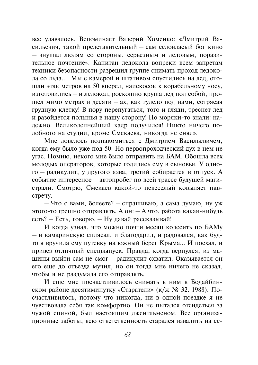все удавалось. Вспоминает Валерий Хоменко: «Дмитрий Васильевич, такой представительный - сам седовласый бог кино - внушал людям со стороны, серьезным и деловым, поразительное почтение». Капитан ледокола вопреки всем запретам техники безопасности разрешил группе снимать проход ледокола со льда... Мы с камерой и штативом спустились на лед, отошли этак метров на 50 вперед, наискосок к корабельному носу, изготовились - и ледокол, роскошно круша лед под собой, прошел мимо метрах в десяти - ах, как гудело под нами, сотрясая грудную клетку! В пору перепугаться, того и гляди, треснет лед и разойдется полынья в нашу сторону! Но моряки-то знали: надежно. Великолепнейший кадр получился! Никто ничего подобного на студии, кроме Смекаева, никогда не снял».

Мне довелось познакомиться с Дмитрием Васильевичем, когда ему было уже под 50. Но первопроходческий дух в нем не угас. Помню, некого мне было отправить на БАМ. Обошла всех молодых операторов, которые годились ему в сыновья. У одного - радикулит, у другого язва, третий собирается в отпуск. А событие интересное - автопробег по всей трассе будущей магистрали. Смотрю, Смекаев какой-то невеселый ковыляет навстречу.

- Что с вами, болеете? - спрашиваю, а сама думаю, ну уж этого-то грешно отправлять. А он: - А что, работа какая-нибудь есть? - Есть, говорю. - Ну давай рассказывай!

И когда узнал, что можно почти месяц колесить по БАМу - и камаринскую сплясал, и благодарил, и радовался, как будто я вручила ему путевку на южный берег Крыма... И поехал, и привез отличный спецвыпуск. Правда, когда вернулся, из машины выйти сам не смог - радикулит схватил. Оказывается он его еще до отъезда мучил, но он тогда мне ничего не сказал, чтобы я не раздумала его отправлять.

И еще мне посчастливилось снимать в ним в Бодайбинском районе десятиминутку «Старатели» (к/ж № 32. 1988). Посчастливилось, потому что никогда, ни в одной поездке я не чувствовала себя так комфортно. Он не пытался отсидеться за чужой спиной, был настоящим джентльменом. Все организационные заботы, всю ответственность старался взвалить на се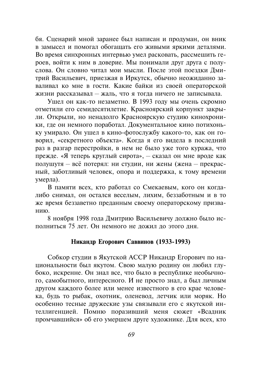бя. Сценарий мной заранее был написан и продуман, он вник в замысел и помогал обогащать его живыми яркими деталями. Во время синхронных интервью умел расковать, рассмешить героев, войти к ним в доверие. Мы понимали друг друга с полуслова. Он словно читал мои мысли. После этой поездки Дмитрий Васильевич, приезжая в Иркутск, обычно неожиданно заваливал ко мне в гости. Какие байки из своей операторской жизни рассказывал - жаль, что я тогда ничего не записывала.

Ушел он как-то незаметно. В 1993 году мы очень скромно отметили его семидесятилетие. Красноярский корпункт закрыли. Открыли, но неналолго Красноярскую студию кинохроники, где он немного поработал. Документальное кино потихоньку умирало. Он ушел в кино-фотослужбу какого-то, как он говорил, «секретного объекта». Когда я его видела в последний раз в разгар перестройки, в нем не было уже того куража, что прежде. «Я теперь круглый сирота», - сказал он мне вроде как полушутя - всё потерял: ни студии, ни жены (жена - прекрасный, заботливый человек, опора и поддержка, к тому времени умерла).

В памяти всех, кто работал со Смекаевым, кого он когдалибо снимал, он остался веселым, лихим, беззаботным и в то же время беззаветно преданным своему операторскому призванию.

8 ноября 1998 года Дмитрию Васильевичу должно было исполниться 75 лет. Он немного не дожил до этого дня.

#### Никандр Егорович Саввинов (1933-1993)

Собкор студии в Якутской АССР Никандр Егорович по национальности был якутом. Свою малую родину он любил глубоко, искренне. Он знал все, что было в республике необычного, самобытного, интересного. И не просто знал, а был личным другом каждого более или менее известного в его крае человека, будь то рыбак, охотник, оленевод, летчик или моряк. Но особенно тесные дружеские узы связывали его с якутской интеллигенцией. Помню поразивший меня сюжет «Всадник промчавшийся» об его умершем друге художнике. Для всех, кто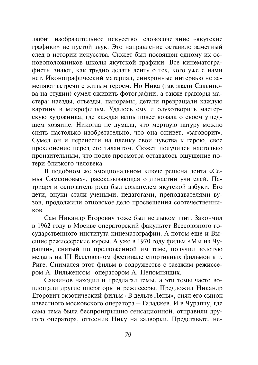любит изобразительное искусство, словосочетание «якутские графики» не пустой звук. Это направление оставило заметный след в истории искусства. Сюжет был посвящен одному их основоположников школы якутской графики. Все кинематографисты знают, как трудно делать ленту о тех, кого уже с нами нет. Иконографический материал, синхронные интервью не заменяют встречи с живым героем. Но Ника (так звали Саввинова на студии) сумел оживить фотографии, а также гравюры мастера: наезды, отъезды, панорамы, детали превращали каждую картину в микрофильм. Удалось ему и одухотворить мастерскую художника, где каждая вещь повествовала о своем ушедшем хозяине. Никогда не думала, что мертвую натуру можно снять настолько изобретательно, что она оживет, «заговорит». Сумел он и перенести на пленку свои чувства к герою, свое преклонение перед его талантом. Сюжет получился настолько пронзительным, что после просмотра оставалось ощущение потери близкого человека.

В подобном же эмоциональном ключе решена лента «Семья Самсоновых», рассказывающая о династии учителей. Патриарх и основатель рода был создателем якутской азбуки. Его дети, внуки стали учеными, педагогами, преподавателями вузов, продолжили отцовское дело просвещения соотечественни- $KOR$ 

Сам Никандр Егорович тоже был не лыком шит. Закончил в 1962 году в Москве операторский факультет Всесоюзного государственного института кинематографии. А потом еще и Высшие режиссерские курсы. А уже в 1970 году фильм «Мы из Чурапчи», снятый по предложенной им теме, получил золотую мелаль на III Всесоюзном фестивале спортивных фильмов в г. Риге. Снимался этот фильм в содружестве с заезжим режиссером А. Вилькенсом оператором А. Непомнящих.

Саввинов находил и предлагал темы, а эти темы часто воплощали другие операторы и режиссеры. Предложил Никандр Егорович экзотический фильм «В дельте Лены», снял его сынок известного московского оператора – Галаджев. И в Чурапчу, где сама тема была беспроигрышно сенсационной, отправили другого оператора, оттеснив Нику на задворки. Представьте, не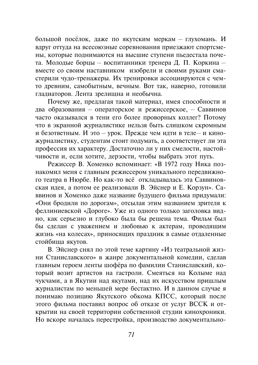большой посёлок, даже по якутским меркам - глухомань. И вдруг оттуда на всесоюзные соревнования приезжают спортсмены, которые поднимаются на высшие ступени пьедестала почета. Молодые борцы – воспитанники тренера Д. П. Коркина – вместе со своим наставником изобрели и своими руками смастерили чудо-тренажеры. Их тренировки ассоциируются с чемто древним, самобытным, вечным. Вот так, наверно, готовили гладиаторов. Лента зрелищна и необычна.

Почему же, предлагая такой материал, имея способности и два образования - операторское и режиссерское, - Саввинов часто оказывался в тени его более проворных коллег? Потому что в экранной журналистике нельзя быть слишком скромным и безответным. И это - урок. Прежде чем идти в теле - и киножурналистику, студентам стоит подумать, а соответствует ли эта профессия их характеру. Достаточно ли у них смелости, настойчивости и, если хотите, дерзости, чтобы выбрать этот путь.

Режиссер В. Хоменко вспоминает: «В 1972 году Ника познакомил меня с главным режиссером уникального передвижного театра в Нюрбе. Но как-то всё откладывалась эта Саввиновская идея, а потом ее реализовали В. Эйснер и Е. Корзун». Саввинов и Хоменко лаже название будущего фильма придумали: «Они бродили по дорогам», отсылая этим названием зрителя к феллиниевской «Дороге». Уже из одного только заголовка видно, как серьезно и глубоко была бы решена тема. Фильм был бы сделан с уважением и любовью к актерам, проводящим жизнь «на колесах», приносящих праздник в самые отдаленные стойбища якутов.

В. Эйснер снял по этой теме картину «Из театральной жизни Станиславского» в жанре документальной комедии, сделав главным героем ленты шофёра по фамилии Станиславский, который возит артистов на гастроли. Смеяться на Колыме над чукчами, а в Якутии над якутами, над их искусством пришлым журналистам по меньшей мере бестактно. И в данном случае я понимаю позицию Якутского обкома КПСС, который после этого фильма поставил вопрос об отказе от услуг ВССК и открытии на своей территории собственной студии кинохроники. Но вскоре началась перестройка, производство документально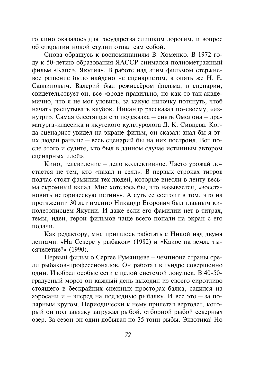го кино оказалось для государства слишком дорогим, и вопрос об открытии новой студии отпал сам собой.

Снова обращусь к воспоминаниям В. Хоменко. В 1972 году к 50-летию образования ЯАССР снимался полнометражный фильм «Капсэ, Якутия». В работе над этим фильмом стержневое решение было найдено не сценаристом, а опять же Н. Е. Саввиновым. Валерий был режиссёром фильма, в сценарии, свидетельствует он, все «вроде правильно, но как-то так академично, что я не мог уловить, за какую ниточку потянуть, чтоб начать распутывать клубок. Никандр рассказал по-своему, «изнутри». Самая блестящая его подсказка - снять Омолона - драматурга-классика и якутского культуролога Д. К. Сивцева. Когда сценарист увидел на экране фильм, он сказал: знал бы я этих людей раньше - весь сценарий бы на них построил. Вот после этого и судите, кто был в данном случае истинным автором сценарных идей».

Кино, телевидение - дело коллективное. Часто урожай достается не тем, кто «пахал и сеял». В первых строках титров подчас стоят фамилии тех людей, которые внесли в ленту весьма скромный вклад. Мне хотелось бы, что называется, «восстановить историческую истину». А суть ее состоит в том, что на протяжении 30 лет именно Никандр Егорович был главным кинолетописцем Якутии. И даже если его фамилии нет в титрах, темы, идеи, герои фильмов чаще всего попали на экран с его полачи.

Как редактору, мне пришлось работать с Никой над двумя лентами. «На Севере у рыбаков» (1982) и «Какое на земле тысячелетие?» (1990).

Первый фильм о Сергее Румянцеве - чемпионе страны срели рыбаков-профессионалов. Он работал в тундре совершенно один. Изобрел особые сети с целой системой ловушек. В 40-50градусный мороз он каждый день выходил из своего сиротливо стоящего в бескрайних снежных просторах балка, садился на аэросани и - вперед на подледную рыбалку. И все это - за полярным кругом. Периодически к нему прилетал вертолет, который он под завязку загружал рыбой, отборной рыбой северных озер. За сезон он один добывал по 35 тонн рыбы. Экзотика! Но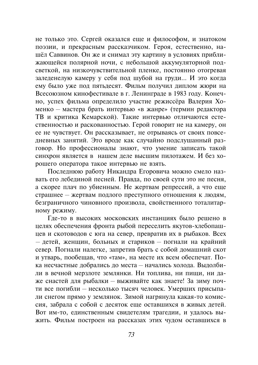не только это. Сергей оказался еще и философом, и знатоком поэзии, и прекрасным рассказчиком. Героя, естественно, нашёл Саввинов. Он же и снимал эту картину в условиях приближающейся полярной ночи, с небольшой аккумуляторной подсветкой, на низкочувствительной пленке, постоянно отогревая заледенелую камеру у себя под шубой на груди... И это когда ему было уже под пятьдесят. Фильм получил диплом жюри на Всесоюзном кинофестивале в г. Ленинграде в 1983 году. Конечно, успех фильма определило участие режиссёра Валерия Хоменко - мастера брать интервью «в жанре» (термин редактора ТВ и критика Кемарской). Такие интервью отличаются естественностью и раскованностью. Герой говорит не на камеру, он ее не чувствует. Он рассказывает, не отрываясь от своих повседневных занятий. Это вроде как случайно подслушанный разговор. Но профессионалы знают, что умение записать такой синхрон является в нашем деле высшим пилотажем. И без хорошего оператора такое интервью не взять.

Последнюю работу Никандра Егоровича можно смело назвать его лебединой песней. Правда, по своей сути это не песня, а скорее плач по убиенным. Не жертвам репрессий, а что еще страшнее - жертвам подлого преступного отношения к людям, безграничного чиновного произвола, свойственного тоталитарному режиму.

Гле-то в высоких московских инстанциях было решено в целях обеспечения фронта рыбой переселить якутов-хлебопашцев и скотоводов с юга на север, превратив их в рыбаков. Всех - детей, женщин, больных и стариков - погнали на крайний север. Погнали налегке, запретив брать с собой домашний скот и утварь, пообещав, что «там», на месте их всем обеспечат. Пока несчастные добрались до места - начались холода. Выдолбили в вечной мерзлоте землянки. Ни топлива, ни пищи, ни даже снастей для рыбалки - выживайте как знаете! За зиму почти все погибли - несколько тысяч человек. Умерших присыпали снегом прямо у землянок. Зимой нагрянула какая-то комиссия, забрала с собой с десяток еще оставшихся в живых детей. Вот им-то, единственным свидетелям трагедии, и удалось выжить. Фильм построен на рассказах этих чудом оставшихся в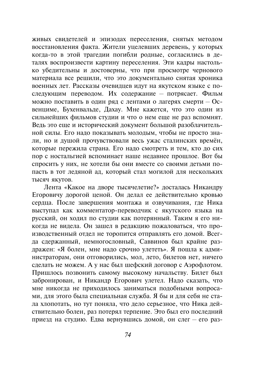живых свидетелей и эпизодах переселения, снятых методом восстановления факта. Жители уцелевших деревень, у которых когда-то в этой трагедии погибли родные, согласились в деталях воспроизвести картину переселения. Эти кадры настолько убедительны и достоверны, что при просмотре чернового материала все решили, что это документально снятая хроника военных лет. Рассказы очевилиев илут на якутском языке с последующим переводом. Их содержание - потрясает. Фильм можно поставить в один ряд с лентами о лагерях смерти - Освенциме, Бухенвальде, Дахау. Мне кажется, что это один из сильнейших фильмов студии и что о нем еще не раз вспомнят. Ведь это еще и исторический документ большой разоблачительной силы. Его надо показывать молодым, чтобы не просто знали, но и лушой прочувствовали весь ужас сталинских времён. которые пережила страна. Его нало смотреть и тем, кто ло сих пор с ностальгией вспоминает наше недавнее прошлое. Вот бы спросить у них, не хотели бы они вместе со своими детьми попасть в тот ледяной ад, который стал могилой для нескольких тысяч якутов.

Лента «Какое на дворе тысячелетие?» досталась Никандру Егоровичу дорогой ценой. Он делал ее действительно кровью сердца. После завершения монтажа и озвучивания, где Ника выступал как комментатор-переводчик с якутского языка на русский, он ходил по студии как потерянный. Таким я его никогда не видела. Он зашел в редакцию пожаловаться, что производственный отдел не торопится отправлять его домой. Всегда сдержанный, немногословный, Саввинов был крайне раздражен: «Я болен, мне надо срочно улететь». Я пошла к администраторам, они отговорились, мол, лето, билетов нет, ничего сделать не можем. А у нас был шефский договор с Аэрофлотом. Пришлось позвонить самому высокому начальству. Билет был забронирован, и Никандр Егорович улетел. Надо сказать, что мне никогда не приходилось заниматься подобными вопросами, для этого была специальная служба. Я бы и для себя не стала хлопотать, но тут поняла, что дело серьезное, что Ника действительно болен, раз потерял терпение. Это был его последний приезд на студию. Едва вернувшись домой, он слег - его раз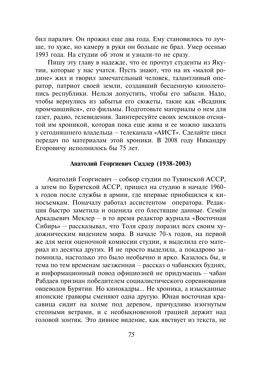бил паралич. Он прожил еще два года. Ему становилось то лучше, то хуже, но камеру в руки он больше не брал. Умер осенью 1993 года. На студии об этом и узнали-то не сразу.

Пишу эту главу в надежде, что ее прочтут студенты из Якутии, которые у нас учатся. Пусть знают, что на их «малой родине» жил и творил замечательный человек, талантливый оператор, патриот своей земли, создавший беспенную кинолетопись республики. Нельзя допустить, чтобы его забыли. Надо, чтобы вернулись из забытья его сюжеты, такие как «Всадник промчавшийся», его фильмы. Подготовьте материалы о нем для газет, радио, телевидения. Заинтересуйте своих земляков отснятой им хроникой, которая пока еще жива и ее можно заказать у сегодняшнего владельца - телеканала «АИСТ». Сделайте цикл передач по материалам этой хроники. В 2008 году Никандру Егоровичу исполнилось бы 75 лет.

## Анатолий Георгиевич Сидлер (1938-2003)

Анатолий Георгиевич - собкор студии по Тувинской АССР, а затем по Бурятской АССР, пришел на студию в начале 1960х годов после службы в армии, где впервые приобщился к киносъемкам. Поначалу работал ассистентом оператора. Редакция быстро заметила и оценила его блестящие данные. Семён Аркадьевич Меклер - в то время редактор журнала «Восточная Сибирь» - рассказывал, что Толя сразу поразил всех своим художническим видением мира. В начале 70-х годов, на первой же для меня оценочной комиссии студии, я выделила его материал из десятка других. И не просто выделила, а покадрово запомнила, настолько это было необычно и ярко. Казалось бы, и тема по тем временам заезженная - рассказ о чабанских буднях, и информационный повод официозней не придумаешь - чабан Рабдаев признан победителем социалистического соревнования овцеводов Бурятии. Но кинокадры... Не хроника, а изысканные японские гравюры сменяют одна другую. Юная восточная красавица сидит на холме под деревом, причудливо изогнутым степными ветрами, и с необыкновенной грацией держит над головой зонтик. Это дивное видение, как явствует из текста, не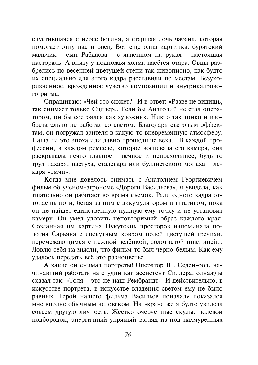спустившаяся с небес богиня, а старшая дочь чабана, которая помогает отцу пасти овец. Вот еще одна картинка: бурятский мальчик - сын Рабдаева - с ягненком на руках - настоящая пастораль. А внизу у подножья холма пасётся отара. Овцы разбрелись по весенней цветущей степи так живописно, как будто их специально для этого кадра расставили по местам. Безукоризненное, врожденное чувство композиции и внутрикадрового ритма.

Спрашиваю: «Чей это сюжет?» И в ответ: «Разве не вилишь. так снимает только Сидлер». Если бы Анатолий не стал оператором, он бы состоялся как художник. Никто так тонко и изобретательно не работал со светом. Благодаря световым эффектам, он погружал зрителя в какую-то вневременную атмосферу. Наша ли это эпоха или давно прошедшие века... В каждой профессии, в каждом ремесле, которое воспевала его камера, она раскрывала нечто главное - вечное и непреходящее, будь то труд пахаря, пастуха, сталевара или буддистского монаха - лекаря «эмчи».

Когда мне довелось снимать с Анатолием Георгиевичем фильм об учёном-агрономе «Дороги Васильева», я увидела, как тщательно он работает во время съемок. Ради одного кадра оттопаешь ноги, бегая за ним с аккумулятором и штативом, пока он не найдет единственную нужную ему точку и не установит камеру. Он умел уловить неповторимый образ каждого края. Созданная им картина Нукутских просторов напоминала полотна Сарьяна с лоскутным ковром полей цветущей гречихи, перемежающимся с нежной зелёнкой, золотистой пшеницей... Ловлю себя на мысли, что фильм-то был черно-белым. Как ему удалось передать всё это разноцветье.

А какие он снимал портреты! Оператор Ш. Седен-оол, начинавший работать на студии как ассистент Сидлера, однажды сказал так: «Толя - это же наш Рембрандт». И действительно, в искусстве портрета, в искусстве владения светом ему не было равных. Герой нашего фильма Васильев поначалу показался мне вполне обычным человеком. На экране же я будто увидела совсем другую личность. Жестко очерченные скулы, волевой подбородок, энергичный упрямый взгляд из-под нахмуренных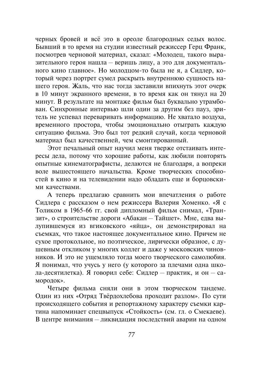черных бровей и всё это в ореоле благородных седых волос. Бывший в то время на студии известный режиссер Герц Франк, посмотрев черновой материал, сказал: «Молодец, такого выразительного героя нашла - веришь лицу, а это для документального кино главное». Но молодцом-то была не я, а Сидлер, который через портрет сумел раскрыть внутреннюю сущность нашего героя. Жаль, что нас тогда заставили впихнуть этот очерк в 10 минут экранного времени, в то время как он тянул на 20 минут. В результате на монтаже фильм был буквально утрамбован. Синхронные интервью шли один за другим без пауз, зритель не успевал переваривать информацию. Не хватало воздуха, временного простора, чтобы эмоционально отыграть каждую ситуацию фильма. Это был тот редкий случай, когда черновой материал был качественней, чем смонтированный.

Этот печальный опыт научил меня тверже отстаивать интересы дела, потому что хорошие работы, как любили повторять опытные кинематографисты, делаются не благодаря, а вопреки воле вышестоящего начальства. Кроме творческих способностей в кино и на телевидении надо обладать еще и борцовскими качествами

А теперь предлагаю сравнить мои впечатления о работе Сидлера с рассказом о нем режиссера Валерия Хоменко. «Я с Толиком в 1965-66 гг. свой дипломный фильм снимал, «Транзит», о строительстве дороги «Абакан - Тайшет». Мне, едва вылупившемуся из вгиковского «яйца», он демонстрировал на съемках, что такое настоящее документальное кино. Причем не сухое протокольное, но поэтическое, лирически образное, с душевным откликом у многих коллег и даже у московских чиновников. И это не ущемляло тогда моего творческого самолюбия. Я понимал, что учусь у него (у которого за плечами одна школа-десятилетка). Я говорил себе: Сидлер — практик, и он — самородок».

Четыре фильма сняли они в этом творческом тандеме. Один из них «Отряд Твёрдохлебова проходит разлом». По сути происходящего события и репортажному характеру съемки картина напоминает спецвыпуск «Стойкость» (см. гл. о Смекаеве). В центре внимания - ликвидация последствий аварии на одном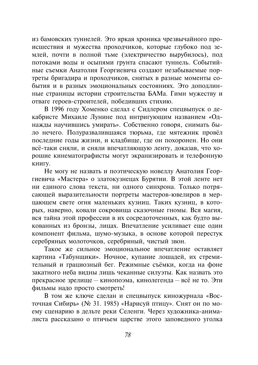из бамовских туннелей. Это яркая хроника чрезвычайного происшествия и мужества проходчиков, которые глубоко под землей, почти в полной тьме (электричество вырубилось), под потоками воды и осыпями грунта спасают туннель. Событийные съемки Анатолия Георгиевича создают незабываемые портреты бригадира и проходчиков, снятых в разные моменты события и в разных эмоциональных состояниях. Это доподлинные страницы истории строительства БАМа. Гимн мужеству и отваге героев-строителей, победивших стихию.

В 1996 году Хоменко сделал с Сидлером спецвыпуск о декабристе Михаиле Лунине под интригующим названием «Однажды научившись умирать». Собственно говоря, снимать было нечего. Полуразвалившаяся тюрьма, где мятежник провёл последние годы жизни, и кладбище, где он похоронен. Но они всё-таки сняли, и сняли впечатляющую ленту, доказав, что хорошие кинематографисты могут экранизировать и телефонную КНИГУ.

Не могу не назвать и поэтическую новеллу Анатолия Георгиевича «Мастера» о златокузнецах Бурятии. В этой ленте нет ни единого слова текста, ни одного синхрона. Только потрясающей выразительности портреты мастеров-ювелиров в мерцающем свете огня маленьких кузниц. Таких кузниц, в которых, наверно, ковали сокровища сказочные гномы. Вся магия, вся тайна этой профессии в их сосредоточенных, как будто выкованных из бронзы, лицах. Впечатление усиливает еще один компонент фильма, шумо-музыка, в основе которой перестук серебряных молоточков, серебряный, чистый звон.

Такое же сильное эмоциональное впечатление оставляет картина «Табуншики». Ночное, купание лошалей, их стремительный и грациозный бег. Режимные съёмки, когда на фоне закатного неба видны лишь чеканные силуэты. Как назвать это прекрасное зрелище - кинопоэма, кинолегенда - всё не то. Эти фильмы нало просто смотреть!

В том же ключе сделан и спецвыпуск киножурнала «Восточная Сибирь» (№ 31. 1985) «Нарисуй птицу». Снят он по моему сценарию в дельте реки Селенги. Через художника-анималиста рассказано о птичьем царстве этого заповедного уголка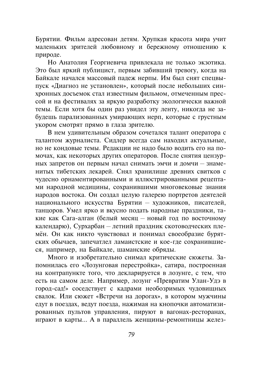Бурятии. Фильм адресован детям. Хрупкая красота мира учит маленьких зрителей любовному и бережному отношению к природе.

Но Анатолия Георгиевича привлекала не только экзотика. Это был яркий публицист, первым забивший тревогу, когда на Байкале начался массовый падеж нерпы. Им был снят спецвыпуск «Диагноз не установлен», который после небольших синхронных досъемок стал известным фильмом, отмеченным прессой и на фестивалях за яркую разработку экологически важной темы. Если хотя бы один раз увидел эту ленту, никогда не забудешь парализованных умирающих нерп, которые с грустным укором смотрят прямо в глаза зрителю.

В нем удивительным образом сочетался талант оператора с талантом журналиста. Сидлер всегда сам находил актуальные, но не кондовые темы. Редакции не надо было водить его на помочах, как некоторых других операторов. После снятия цензурных запретов он первым начал снимать эмчи и домчи - знаменитых тибетских лекарей. Снял хранилище древних свитков с чудесно орнаментированными и иллюстрированными рецептами народной медицины, сохранившими многовековые знания народов востока. Он создал целую галерею портретов деятелей национального искусства Бурятии - художников, писателей, танцоров. Умел ярко и вкусно подать народные праздники, такие как Сага-алган (белый месяц - новый год по восточному календарю), Сурхарбан - летний праздник скотоводческих племён. Он как никто чувствовал и понимал своеобразие бурятских обычаев, запечатлел ламаистские и кое-где сохранившиеся, например, на Байкале, шаманские обряды.

Много и изобретательно снимал критические сюжеты. Запомнилась его «Лозунговая перестройка», сатира, построенная на контрапункте того, что декларируется в лозунге, с тем, что есть на самом деле. Например, лозунг «Превратим Улан-Удэ в город-сад!» соседствует с кадрами необозримых чудовищных свалок. Или сюжет «Встречи на дорогах», в котором мужчины едут в поездах, ведут поезда, нажимая на кнопочки автоматизированных пультов управления, пируют в вагонах-ресторанах, играют в карты... А в параллель женщины-ремонтницы желез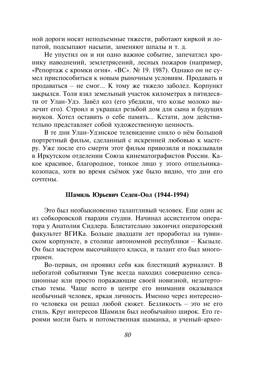ной дороги носят неподъемные тяжести, работают киркой и лопатой, подсыпают насыпи, заменяют шпалы и т. д.

Не упустил он и ни одно важное событие, запечатлел хронику наводнений, землетрясений, лесных пожаров (например, «Репортаж с кромки огня». «ВС». № 19. 1987). Однако он не сумел приспособиться к новым рыночным условиям. Продавать и продаваться – не смог... К тому же тяжело заболел. Корпункт закрылся. Толя взял земельный участок километрах в пятидесяти от Улан-Удэ. Завёл коз (его убедили, что козье молоко вылечит его). Строил и украшал резьбой дом для сына и будущих внуков. Хотел оставить о себе память... Кстати, дом действительно представляет собой художественную ценность.

В те дни Улан-Удэнское телевидение сняло о нём большой портретный фильм, слеланный с искренней любовью к мастеру. Уже после его смерти этот фильм привозили и показывали в Иркутском отделении Союза кинематографистов России. Какое красивое, благородное, тонкое лицо у этого отшельникакозопаса, хотя во время съёмок уже было видно, что дни его сочтены.

## Шамиль Юрьевич Селен-Оол (1944-1994)

Это был необыкновенно талантливый человек. Еше олин ас из собкоровской гвардии студии. Начинал ассистентом оператора у Анатолия Сидлера. Блистательно закончил операторский факультет ВГИКа. Больше двадцати лет проработал на тувинском корпункте, в столице автономной республики - Кызыле. Он был мастером высочайшего класса, и талант его был многогранен.

Во-первых, он проявил себя как блестящий журналист. В небогатой событиями Туве всегда находил совершенно сенсационные или просто поражающие своей новизной, незатертостью темы. Чаще всего в центре его внимания оказывался необычный человек, яркая личность. Именно через интересного человека он решал любой сюжет. Безликость - это не его стиль. Круг интересов Шамиля был необычайно широк. Его героями могли быть и потомственная шаманка, и ученый-архео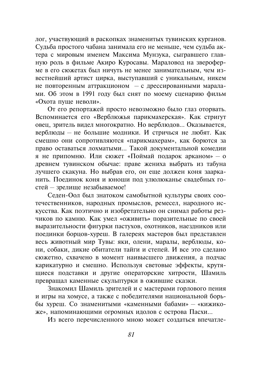лог, участвующий в раскопках знаменитых тувинских курганов. Судьба простого чабана занимала его не меньше, чем судьба актера с мировым именем Максима Мунзука, сыгравшего главную роль в фильме Акиро Куросавы. Мараловод на звероферме в его сюжетах был ничуть не менее занимательным, чем известнейший артист цирка, выступавший с уникальным, никем не повторенным аттракционом - с дрессированными маралами. Об этом в 1991 году был снят по моему сценарию фильм «Охота пуше неволи».

От его репортажей просто невозможно было глаз оторвать. Вспоминается его «Верблюжья парикмахерская». Как стригут овец, зритель видел многократно. Но верблюдов... Оказывается, верблюды - не большие модники. И стричься не любят. Как смешно они сопротивляются «парикмахерам», как борются за право оставаться лохматыми... Такой локументальной комелии я не припомню. Или сюжет «Поймай подарок арканом» - о древнем тувинском обычае: праве жениха выбрать из табуна лучшего скакуна. Но выбрав его, он еще лолжен коня заарканить. Поединок коня и юноши под улюлюканье свадебных гостей - зрелище незабываемое!

Селен-Оол был знатоком самобытной культуры своих соотечественников, народных промыслов, ремесел, народного искусства. Как поэтично и изобретательно он снимал работы резчиков по камню. Как умел «оживить» поразительные по своей выразительности фигурки пастухов, охотников, наездников или поединки борцов-хуреш. В галереях мастеров был представлен весь животный мир Тувы: яки, олени, маралы, верблюды, кони, собаки, дикие обитатели тайги и степей. И все это сделано сюжетно, схвачено в момент наивысшего движения, а подчас карикатурно и смешно. Используя световые эффекты, крутящиеся подставки и другие операторские хитрости, Шамиль превращал каменные скульптурки в ожившие сказки.

Знакомил Шамиль зрителей и с мастерами горлового пения и игры на хомусе, а также с победителями национальной борьбы хуреш. Со знаменитыми «каменными бабами» - «кижикоже», напоминающими огромных илолов с острова Пасхи...

Из всего перечисленного мною может создаться впечатле-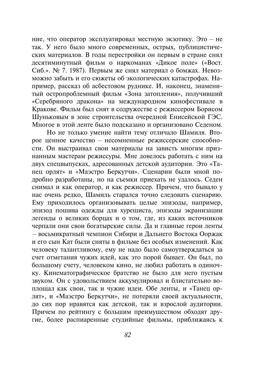ние, что оператор эксплуатировал местную экзотику. Это - не так. У него было много современных, острых, публицистических материалов. В годы перестройки он первым в стране снял десятиминутный фильм о наркоманах «Дикое поле» («Вост. Сиб.». № 7. 1987). Первым же снял материал о бомжах. Невозможно забыть и его сюжеты об экологических катастрофах. Например, рассказ об асбестовом руднике. И, наконец, знаменитый остропроблемный фильм «Зона затопления», получивший «Серебряного дракона» на международном кинофестивале в Кракове. Фильм был снят в содружестве с режиссером Борисом Шуньковым в зоне строительства очередной Енисейской ГЭС. Многое в этой ленте было подсказано и организовано Седеном.

Но не только умение найти тему отличало Шамиля. Второе ценное качество - несомненные режиссерские способности. Он выстраивал свои материалы на зависть многим признанным мастерам режиссуры. Мне довелось работать с ним на двух спецвыпусках, адресованных детской аудитории. Это «Танец орлят» и «Маэстро Беркутчи». Сценарии были мной подробно разработаны, но на съемки приехать не удалось. Седен снимал и как оператор, и как режиссер. Причем, что бывало у нас очень редко, Шамиль старался точно следовать сценарию. Ему приходилось организовывать целые эпизоды, например, эпизод пошива одежды для хурешиста, эпизоды экранизации легенды о великих борцах и о том, где, из каких источников черпали они свои богатырские силы. Да и главные герои ленты - восьмикратный чемпион Сибири и Дальнего Востока Ооржак и его сын Кат были сняты в фильме без особых изменений. Как человеку талантливому, ему не надо было самоутверждаться за счет отметания чужих идей, как это порой бывает. Он был, по большому счету, человеком кино, не любил работать в одиночку. Кинематографическое братство не было для него пустым звуком. Он с удовольствием аккумулировал и блистательно воплощал как свои, так и чужие идеи. Обе ленты, и «Танец орлят», и «Маэстро Беркутчи», не потеряли своей актуальности, до сих пор нравятся как детской, так и взрослой аудитории. Причем по рейтингу с большим преимуществом обходят другие, более распиаренные студийные фильмы, приближаясь к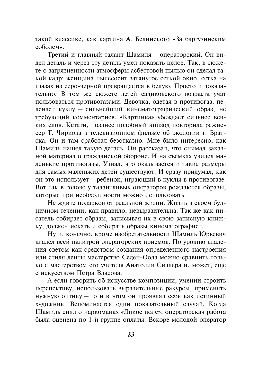такой классике, как картина А. Белинского «За баргузинским соболем»

Третий и главный талант Шамиля - операторский. Он видел деталь и через эту деталь умел показать целое. Так, в сюжете о загрязненности атмосферы асбестовой пылью он сделал такой кадр: женщина пылесосит затянутое сеткой окно, сетка на глазах из серо-черной превращается в белую. Просто и доказательно. В том же сюжете детей садиковского возраста учат пользоваться противогазами. Девочка, одетая в противогаз, пеленает куклу - сильнейший кинематографический образ, не требующий комментариев. «Картинка» убеждает сильнее всяких слов. Кстати, позднее подобный эпизод повторила режиссер Т. Чиркова в телевизионном фильме об экологии г. Братска. Он и там сработал безотказно. Мне было интересно, как Шамиль нашел такую деталь. Он рассказал, что снимал заказной материал о гражданской обороне. И на съемках увидел маленькие противогазы. Узнал, что оказывается и такие размеры для самых маленьких детей существуют. И сразу придумал, как он это использует - ребенок, играющий в куклы в противогазе. Вот так в голове у талантливых операторов рождаются образы, которые при необходимости можно использовать.

Не ждите подарков от реальной жизни. Жизнь в своем будничном течении, как правило, невыразительна. Так же как писатель собирает образы, записывая их в свою записную книжку, должен искать и собирать образы кинематографист.

Ну и, конечно, кроме изобретательности Шамиль Юрьевич владел всей палитрой операторских приемов. По уровню владения светом как средством создания определенного настроения или стиля ленты мастерство Седен-Оола можно сравнить только с мастерством его учителя Анатолия Сидлера и, может, еще с искусством Петра Власова.

А если говорить об искусстве композиции, умении строить перспективу, использовать выразительные ракурсы, применять нужную оптику - то и в этом он проявлял себя как истинный художник. Вспоминается один показательный случай. Когда Шамиль снял о наркоманах «Дикое поле», операторская работа была оценена по 1-й группе оплаты. Вскоре молодой оператор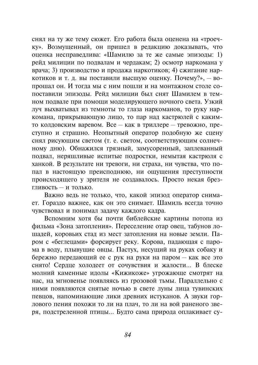снял на ту же тему сюжет. Его работа была оценена на «троечку». Возмущенный, он пришел в редакцию доказывать, что оценка несправедлива: «Шамилю за те же самые эпизоды: 1) рейд милиции по подвалам и чердакам; 2) осмотр наркомана у врача; 3) производство и продажа наркотиков; 4) сжигание наркотиков и т. д. вы поставили высшую оценку. Почему?», - вопрошал он. И тогда мы с ним пошли и на монтажном столе сопоставили эпизоды. Рейд милиции был снят Шамилем в темном полвале при помощи моделирующего ночного света. Узкий луч выхватывал из темноты то глаза наркоманов, то руку наркомана, прикрывающую лицо, то пар над кастрюлей с какимто колдовским варевом. Все - как в триллере - тревожно, преступно и страшно. Неопытный оператор подобную же сцену снял рисующим светом (т. е. светом, соответствующим солнечному дню). Обнажился грязный, замусоренный, заплеванный подвал, неряшливые испитые подростки, немытая кастрюля с ханкой. В результате ни тревоги, ни страха, ни чувства, что попал в настоящую преисподнюю, ни ощущения преступности происходящего у зрителя не создавалось. Просто некая брезгливость - и только.

Важно ведь не только, что, какой эпизод оператор снимает. Гораздо важнее, как он это снимает. Шамиль всегда точно чувствовал и понимал задачу каждого кадра.

Вспомним хотя бы почти библейские картины потопа из фильма «Зона затопления». Переселение отар овец, табунов лошадей, коровьих стад из мест затопления на новые земли. Паром с «беглецами» форсирует реку. Корова, падающая с парома в воду, плывущие овцы. Пастух, несущий на руках собаку и бережно передающий ее с рук на руки на паром – как все это снято! Серлце холодеет от сочувствия и жалости... В блеске молний каменные илолы «Кижикоже» угрожающе смотрят на нас. на мгновенье появляясь из грозовой тьмы. Параллельно с ними появляются снятые ночью в свете луны лица тувинских певцов, напоминающие лики древних истуканов. А звуки горлового пения похожи то ли на плач, то ли на вой раненого зверя, подстреленной птицы... Будто сама природа оплакивает су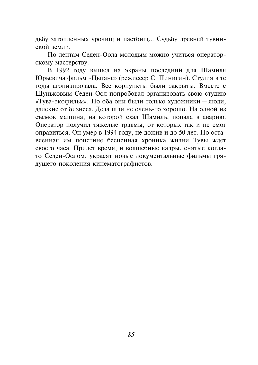дьбу затопленных урочищ и пастбищ... Судьбу древней тувинской земли.

По лентам Седен-Оола молодым можно учиться операторскому мастерству.

В 1992 году вышел на экраны последний для Шамиля Юрьевича фильм «Цыгане» (режиссер С. Пинигин). Студия в те годы агонизировала. Все корпункты были закрыты. Вместе с Шуньковым Седен-Оол попробовал организовать свою студию «Тува-экофильм». Но оба они были только художники - люди, далекие от бизнеса. Дела шли не очень-то хорошо. На одной из съемок машина, на которой ехал Шамиль, попала в аварию. Оператор получил тяжелые травмы, от которых так и не смог оправиться. Он умер в 1994 году, не дожив и до 50 лет. Но оставленная им поистине бесценная хроника жизни Тувы ждет своего часа. Придет время, и волшебные кадры, снятые когдато Седен-Оолом, украсят новые документальные фильмы грядущего поколения кинематографистов.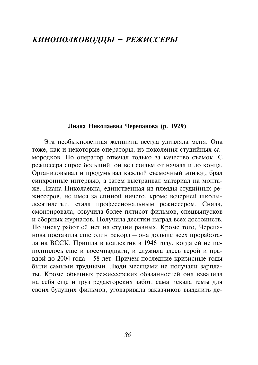# КИНОПОЛКОВОЛЦЫ - РЕЖИССЕРЫ

#### Лиана Николаевна Черепанова (р. 1929)

Эта необыкновенная женщина всегда удивляла меня. Она тоже, как и некоторые операторы, из поколения студийных самородков. Но оператор отвечал только за качество съемок. С режиссера спрос больший: он вел фильм от начала и до конца. Организовывал и продумывал каждый съемочный эпизод, брал синхронные интервью, а затем выстраивал материал на монтаже. Лиана Николаевна, единственная из плеяды студийных режиссеров, не имея за спиной ничего, кроме вечерней школылесятилетки, стала профессиональным режиссером. Сняла, смонтировала, озвучила более пятисот фильмов, спецвыпусков и сборных журналов. Получила десятки наград всех достоинств. По числу работ ей нет на студии равных. Кроме того, Черепанова поставила еще один рекорд - она дольше всех проработала на ВССК. Пришла в коллектив в 1946 году, когда ей не исполнилось еще и восемнадцати, и служила здесь верой и правдой до 2004 года - 58 лет. Причем последние кризисные годы были самыми трудными. Люди месяцами не получали зарплаты. Кроме обычных режиссерских обязанностей она взвалила на себя еще и груз редакторских забот: сама искала темы для своих будущих фильмов, уговаривала заказчиков выделить де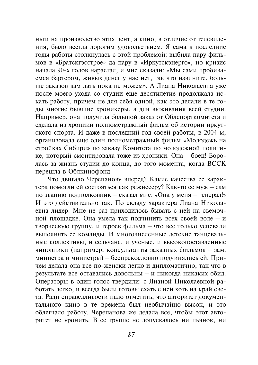ньги на производство этих лент, а кино, в отличие от телевидения, было всегда дорогим удовольствием. Я сама в последние годы работы столкнулась с этой проблемой: выбила пару фильмов в «Братскгэсстрое» да пару в «Иркутскэнерго», но кризис начала 90-х годов нарастал, и мне сказали: «Мы сами пробиваемся бартером, живых денег у нас нет, так что извините, больще заказов вам дать пока не можем». А Лиана Николаевна уже после моего ухода со студии еще десятилетие продолжала искать работу, причем не для себя одной, как это делали в те годы многие бывшие хроникеры, а для выживания всей студии. Например, она получила большой заказ от Облспорткомитета и сделала из хроники полнометражный фильм об истории иркутского спорта. И даже в последний год своей работы, в 2004-м, организовала еще один полнометражный фильм «Молодежь на стройках Сибири» по заказу Комитета по молодежной политике, который смонтировала тоже из хроники. Она - боец! Боролась за жизнь студии до конца, до того момента, когда ВССК перешла в Облкинофонд.

Что двигало Черепанову вперед? Какие качества ее характера помогли ей состояться как режиссеру? Как-то ее муж - сам по званию подполковник - сказал мне: «Она у меня - генерал!» И это действительно так. По складу характера Лиана Николаевна лидер. Мне не раз приходилось бывать с ней на съемочной площадке. Она умела так подчинить всех своей воле - и творческую группу, и героев фильма - что все только успевали выполнять ее команлы. И многочисленные летские танцевальные коллективы, и сельчане, и ученые, и высокопоставленные чиновники (например, консультанты заказных фильмов - зам. министра и министры) - беспрекословно подчинялись ей. Причем делала она все по-женски легко и дипломатично, так что в результате все оставались довольны - и никогда никаких обид. Операторы в один голос твердили: с Лианой Николаевной работать легко, и всегда были готовы ехать с ней хоть на край света. Ради справедливости надо отметить, что авторитет документального кино в те времена был необычайно высок, и это облегчало работу. Черепанова же делала все, чтобы этот авторитет не уронить. В ее группе не допускалось ни пьянок, ни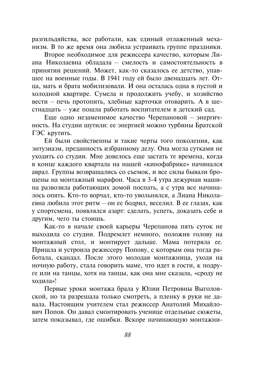разгильдяйства, все работали, как единый отлаженный механизм. В то же время она любила устраивать группе праздники.

Второе необходимое для режиссера качество, которым Лиана Николаевна обладала - смелость и самостоятельность в принятии решений. Может, как-то сказалось ее детство, упавшее на военные годы. В 1941 году ей было двенадцать лет. Отца, мать и брата мобилизовали. И она осталась одна в пустой и холодной квартире. Сумела и продолжить учебу, и хозяйство вести - печь протопить, хлебные карточки отоварить. А в шестнадцать - уже пошла работать воспитателем в детский сад.

Еще одно незаменимое качество Черепановой - энергичность. На студии шутили: ее энергией можно турбины Братской ГЭС крутить.

Ей были свойственны и такие черты того поколения, как энтузиазм, преданность избранному делу. Она могла сутками не уходить со студии. Мне довелось еще застать те времена, когда в конце каждого квартала на нашей «кинофабрике» начинался аврал. Группы возвращались со съемок, и все силы бывали брошены на монтажный марафон. Часа в 3-4 утра дежурная машина развозила работающих домой поспать, а с утра все начиналось опять. Кто-то ворчал, кто-то увольнялся, а Лиана Николаевна любила этот ритм - он ее болрил, веселил. В ее глазах, как у спортсмена, появлялся азарт: сделать, успеть, доказать себе и другим, чего ты стоишь.

Как-то в начале своей карьеры Черепанова пять суток не выходила со студии. Подремлет немного, положив голову на монтажный стол, и монтирует дальше. Мама потеряла ее. Пришла и устроила режиссеру Попову, с которым она тогда работала, скандал. После этого молодая монтажница, уходя на ночную работу, стала говорить маме, что идет в гости, к подруге или на танцы, хотя на танцы, как она мне сказала, «сроду не холила»!

Первые уроки монтажа брала у Юлии Петровны Выголовской, но та разрешала только смотреть, а пленку в руки не давала. Настоящим учителем стал режиссер Анатолий Михайлович Попов. Он давал смонтировать ученице отдельные сюжеты. затем показывал, где ошибки. Вскоре начинающую монтажни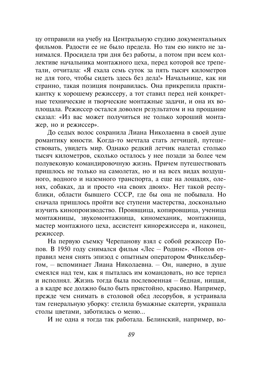цу отправили на учебу на Центральную студию документальных фильмов. Радости ее не было предела. Но там ею никто не занимался. Просидела три дня без работы, а потом при всем коллективе начальника монтажного цеха, перед которой все трепетали, отчитала: «Я ехала семь суток за пять тысяч километров не для того, чтобы силеть здесь без дела!» Начальнице, как ни странно, такая позиция понравилась. Она прикрепила практикантку к хорошему режиссеру, а тот ставил перед ней конкретные технические и творческие монтажные задачи, и она их воплощала. Режиссер остался доволен результатом и на прощание сказал: «Из вас может получиться не только хороший монтажер, но и режиссер».

До седых волос сохранила Лиана Николаевна в своей душе романтику юности. Когда-то мечтала стать летчицей, путешествовать, увидеть мир. Однако редкий летчик налетал столько тысяч километров, сколько осталось у нее позади за более чем полувековую командировочную жизнь. Причем путешествовать пришлось не только на самолетах, но и на всех видах воздушного, водного и наземного транспорта, а еще на лошалях, оленях, собаках, да и просто «на своих двоих». Нет такой республики, области бывшего СССР, где бы она не побывала. Но сначала пришлось пройти все ступени мастерства, досконально изучить кинопроизводство. Проявщица, копировщица, ученица монтажницы, звукомонтажница, киномеханик, монтажница, мастер монтажного цеха, ассистент кинорежиссера и, наконец, режиссер.

На первую съемку Черепанову взял с собой режиссер Попов. В 1950 году снимался фильм «Лес - Родине». «Попов отправил меня снять эпизод с опытным оператором Финкельбергом, - вспоминает Лиана Николаевна. - Он, наверно, в душе смеялся над тем, как я пыталась им командовать, но все терпел и исполнял. Жизнь тогда была послевоенная - бедная, нищая, а в кадре все должно было быть пристойно, красиво. Например, прежде чем снимать в столовой обед лесорубов, я устраивала там генеральную уборку: стелила бумажные скатерти, украшала столы цветами, заботилась о меню...

И не одна я тогда так работала. Белинский, например, во-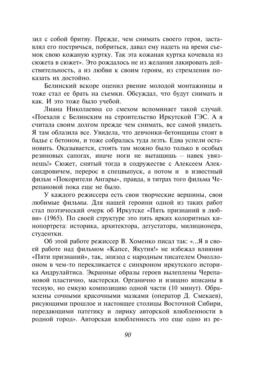зил с собой бритву. Прежде, чем снимать своего героя, заставлял его постричься, побриться, давал ему надеть на время съемок свою кожаную куртку. Так эта кожаная куртка кочевала из сюжета в сюжет». Это рождалось не из желания лакировать действительность, а из любви к своим героям, из стремления показать их лостойно.

Белинский вскоре оценил рвение молодой монтажницы и тоже стал ее брать на съемки. Обсуждал, что будут снимать и как. И это тоже было учебой.

Лиана Николаевна со смехом вспоминает такой случай. «Поехали с Белинским на строительство Иркутской ГЭС. А я считала своим долгом прежде чем снимать, все самой увидеть. Я там облазила все. Увидела, что девчонки-бетонщицы стоят в бадье с бетоном, и тоже собралась туда лезть. Едва успели остановить. Оказывается, стоять там можно было только в особых резиновых сапогах, иначе ноги не вытащишь - навек увязнешь!» Сюжет, снятый тогда в содружестве с Алексеем Александровичем, перерос в спецвыпуск, а потом и в известный фильм «Покорители Ангары», правда, в титрах того фильма Черепановой пока еще не было.

У каждого режиссера есть свои творческие вершины, свои любимые фильмы. Для нашей героини одной из таких работ стал поэтический очерк об Иркутске «Пять признаний в любви» (1965). По своей структуре это пять ярких колоритных кинопортрета: историка, архитектора, дегустатора, милиционера, студентки.

Об этой работе режиссер В. Хоменко писал так: «...Я в своей работе над фильмом «Капсе, Якутия!» не избежал влияния «Пяти признаний», так, эпизод с народным писателем Омоллооном в чем-то перекликается с синхроном иркутского историка Андрулайтиса. Экранные образы героев вылеплены Черепановой пластично, мастерски. Органично и изящно вписаны в тесную, но емкую композицию одной части (10 минут). Обрамлены сочными красочными мазками (оператор Д. Смекаев), рисующими прошлое и настоящее столицы Восточной Сибири, передающими патетику и лирику авторской влюбленности в родной город». Авторская влюбленность это еще одно из ре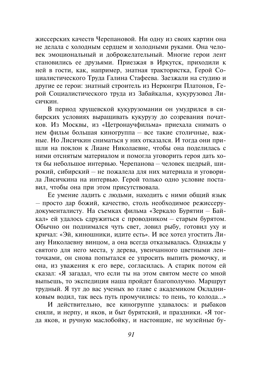жиссерских качеств Черепановой. Ни одну из своих картин она не делала с холодным сердцем и холодными руками. Она человек эмоциональный и доброжелательный. Многие герои лент становились ее друзьями. Приезжая в Иркутск, приходили к ней в гости, как, например, знатная трактористка, Герой Социалистического Труда Галина Стафеева. Заезжали на студию и другие ее герои: знатный строитель из Нерюнгри Платонов. Герой Социалистического труда из Забайкалья, кукурузовод Лисичкин

В период хрущевской кукурузомании он умудрился в сибирских условиях выращивать кукурузу до созревания початков. Из Москвы, из «Цетронаучфильма» приехала снимать о нем фильм большая киногруппа - все такие столичные, важные. Но Лисичкин сниматься у них отказался. И тогда они пришли на поклон к Лиане Николаевне, чтобы она поделилась с ними отснятым материалом и помогла уговорить героя дать хотя бы небольшое интервью. Черепанова - человек щедрый, широкий, сибирский - не пожалела для них материала и уговорила Лисичкина на интервью. Герой только одно условие поставил, чтобы она при этом присутствовала.

Ее умение ладить с людьми, находить с ними общий язык - просто дар божий, качество, столь необходимое режиссерудокументалисту. На съемках фильма «Зеркало Бурятии - Байкал» ей удалось сдружиться с проводником - старым бурятом. Обычно он поднимался чуть свет, ловил рыбу, готовил уху и кричал: «Эй, киношники, идите есть». И все хотел угостить Лиану Николаевну винцом, а она всегда отказывалась. Однажды у святого для него места, у дерева, увенчанного цветными ленточками, он снова попытался ее упросить выпить рюмочку, и она, из уважения к его вере, согласилась. А старик потом ей сказал: «Я загадал, что если ты на этом святом месте со мной выпьешь, то экспедиция наша пройдет благополучно. Маршрут трудный. Я тут до вас ученых во главе с академиком Окладниковым водил, так весь путь промучились: то пень, то колода...»

И действительно, все киногруппе удавалось: и рыбаков сняли, и нерпу, и яков, и быт бурятский, и праздники. «Я тогда яков, и ручную маслобойку, и настоящие, не музейные бу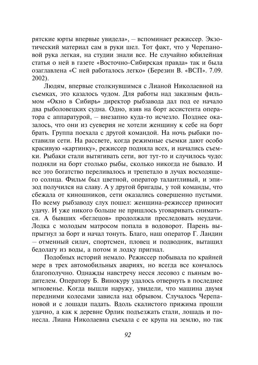рятские юрты впервые увидела», - вспоминает режиссер. Экзотический материал сам в руки шел. Тот факт, что у Черепановой рука легкая, на студии знали все. Не случайно юбилейная статья о ней в газете «Восточно-Сибирская правда» так и была озаглавлена «С ней работалось легко» (Березин В. «ВСП». 7.09.  $2002$ ).

Людям, впервые столкнувшимся с Лианой Николаевной на съемках, это казалось чудом. Для работы над заказным фильмом «Окно в Сибирь» директор рыбзавода дал под ее начало лва рыболовецких судна. Одно, взяв на борт ассистента оператора с аппаратурой. - внезапно кула-то исчезло. Позднее оказалось, что они из суеверия не хотели женщину к себе на борт брать. Группа поехала с другой командой. На ночь рыбаки поставили сети. На рассвете, когда режимные съемки дают особо красивую «картинку», режиссер подняла всех, и начались съемки. Рыбаки стали вытягивать сети, вот тут-то и случилось чудо: подняли на борт столько рыбы, сколько никогда не бывало. И все это богатство переливалось и трепетало в лучах восходящего солнца. Фильм был цветной, оператор талантливый, и эпизод получился на славу. А у другой бригады, у той команды, что сбежала от киношников, сети оказались совершенно пустыми. По всему рыбзаводу слух пошел: женщина-режиссер приносит удачу. И уже никого больше не пришлось уговаривать сниматься. А бывших «беглецов» продолжали преследовать неудачи. Лодка с молодым матросом попала в водоворот. Парень выпрыгнул за борт и начал тонуть. Благо, наш оператор Г. Ландин - отменный силач, спортсмен, пловец и подводник, вытащил бедолагу из воды, а потом и лодку пригнал.

Подобных историй немало. Режиссер побывала по крайней мере в трех автомобильных авариях, но всегда все кончалось благополучно. Однажды навстречу несся лесовоз с пьяным волителем. Оператору Б. Винокуру удалось отвернуть в последнее мгновенье. Когда вышли наружу, увидели, что машина двумя передними колесами зависла над обрывом. Случалось Черепановой и с лошади падать. Вдоль скалистого прижима прошли удачно, а как к деревне Орлик подъезжать стали, лошадь и понесла. Лиана Николаевна съехала с ее крупа на землю, но так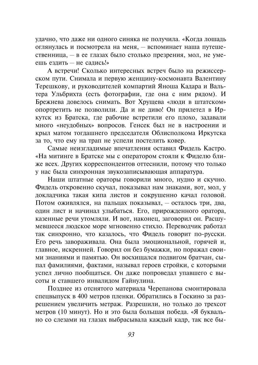удачно, что даже ни одного синяка не получила. «Когда лошадь оглянулась и посмотрела на меня, - вспоминает наша путешественница, - в ее глазах было столько презрения, мол, не умеешь ездить - не садись!»

А встречи! Сколько интересных встреч было на режиссерском пути. Снимала и первую женщину-космонавта Валентину Терешкову, и руководителей компартий Яноша Кадара и Вальтера Ульбрихта (есть фотографии, где она с ним рядом). И Брежнева довелось снимать. Вот Хрущева «люди в штатском» опортретить не позволили. Да и не диво! Он прилетел в Иркутск из Братска, где рабочие встретили его плохо, задавали много «неудобных» вопросов. Генсек был не в настроении и крыл матом тогдашнего председателя Облисполкома Иркутска за то, что ему на трап не успели постелить ковер.

Самые неизгладимые впечатления оставил Фидель Кастро. «На митинге в Братске мы с оператором стояли к Фиделю ближе всех. Других корреспондентов оттеснили, потому что только у нас была синхронная звукозаписывающая аппаратура.

Наши штатные ораторы говорили много, нудно и скучно. Фидель откровенно скучал, показывал нам знаками, вот, мол, у докладчика такая кипа листов и сокрушенно качал головой. Потом оживлялся, на пальцах показывал, - осталось три, два, один лист и начинал улыбаться. Его, прирожденного оратора, казенные речи утомляли. И вот, наконец, заговорил он. Расшумевшееся людское море мгновенно стихло. Переводчик работал так синхронно, что казалось, что Фидель говорит по-русски. Его речь завораживала. Она была эмоциональной, горячей и, главное, искренней. Говорил он без бумажки, но поражал своими знаниями и памятью. Он восхищался подвигом братчан, сыпал фамилиями, фактами, называл героев стройки, с которыми успел лично пообщаться. Он даже попроведал упавшего с высоты и ставшего инвалидом Гайнулина.

Позднее из отснятого материала Черепанова смонтировала спецвыпуск в 400 метров пленки. Обратились в Госкино за разрешением увеличить метраж. Разрешили, но только до трехсот метров (10 минут). Но и это была большая победа. «Я буквально со слезами на глазах выбрасывала каждый кадр, так все бы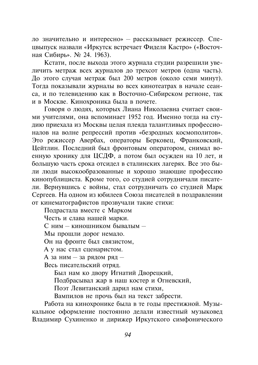ло значительно и интересно» - рассказывает режиссер. Спецвыпуск назвали «Иркутск встречает Фиделя Кастро» («Восточная Сибирь». № 24. 1963).

Кстати, после выхода этого журнала студии разрешили увеличить метраж всех журналов до трехсот метров (одна часть). До этого случая метраж был 200 метров (около семи минут). Тогда показывали журналы во всех кинотеатрах в начале сеанса, и по телевидению как в Восточно-Сибирском регионе, так и в Москве. Кинохроника была в почете.

Говоря о людях, которых Лиана Николаевна считает своими учителями, она вспоминает 1952 год. Именно тогда на студию приехала из Москвы целая плеяда талантливых профессионалов на волне репрессий против «безродных космополитов». Это режиссер Авербах, операторы Берковец, Франковский, Цейтлин. Последний был фронтовым оператором, снимал военную хронику для ЦСДФ, а потом был осужден на 10 лет, и большую часть срока отсидел в сталинских лагерях. Все это были люди высокообразованные и хорошо знающие профессию кинопублициста. Кроме того, со студией сотрудничали писатели. Вернувшись с войны, стал сотрудничать со студией Марк Сергеев. На одном из юбилеев Союза писателей в поздравлении от кинематографистов прозвучали такие стихи:

Подрастала вместе с Марком

Честь и слава нашей марки.

С ним - киношником бывалым -

Мы прошли дорог немало.

Он на фронте был связистом,

А у нас стал сценаристом.

А за ним - за рядом ряд -

Весь писательский отряд.

Был нам ко двору Игнатий Дворецкий,

Подбрасывал жар в наш костер и Огневский,

Поэт Левитанский дарил нам стихи,

Вампилов не прочь был на текст забрести.

Работа на кинохронике была в те годы престижной. Музыкальное оформление постоянно делали известный музыковед Владимир Сухиненко и дирижер Иркутского симфонического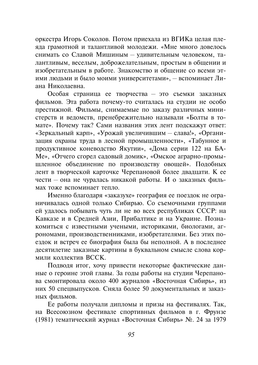оркестра Игорь Соколов. Потом приехала из ВГИКа целая плеяда грамотной и талантливой молодежи. «Мне много довелось снимать со Славой Мишиным - удивительным человеком, талантливым, веселым, доброжелательным, простым в общении и изобретательным в работе. Знакомство и общение со всеми этими людьми и было моими университетами», - вспоминает Лиана Николаевна

Особая страница ее творчества - это съемки заказных фильмов. Эта работа почему-то считалась на студии не особо престижной. Фильмы, снимаемые по заказу различных министерств и ведомств, пренебрежительно называли «Болты в томате». Почему так? Сами названия этих лент подскажут ответ: «Зеркальный карп», «Урожай увеличившим - слава!», «Организация охраны труда в лесной промышленности», «Табунное и продуктивное коневодство Якутии», «Дома серии 122 на БА-Ме», «Отчего сгорел садовый домик», «Омское аграрно-промышленное объединение по производству овощей». Подобных лент в творческой карточке Черепановой более двадцати. К ее чести - она не чуралась никакой работы. И о заказных фильмах тоже вспоминает тепло

Именно благодаря «заказухе» география ее поездок не ограничивалась одной только Сибирью. Со съемочными группами ей удалось побывать чуть ли не во всех республиках СССР: на Кавказе и в Средней Азии. Прибалтике и на Украине. Познакомиться с известными учеными, историками, биологами, агрономами, производственниками, изобретателями. Без этих поездок и встреч ее биография была бы неполной. А в последнее десятилетие заказные картины в буквальном смысле слова кормили коллектив ВССК.

Подводя итог, хочу привести некоторые фактические данные о героине этой главы. За годы работы на студии Черепанова смонтировала около 400 журналов «Восточная Сибирь», из них 50 спецвыпусков. Сняла более 50 документальных и заказных фильмов.

Ее работы получали дипломы и призы на фестивалях. Так. на Всесоюзном фестивале спортивных фильмов в г. Фрунзе (1981) тематический журнал «Восточная Сибирь» №. 24 за 1979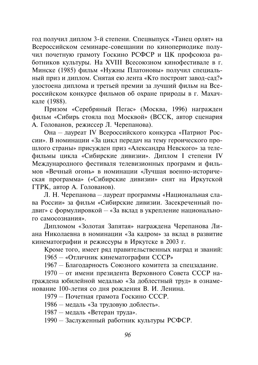год получил диплом 3-й степени. Спецвыпуск «Танец орлят» на Всероссийском семинаре-совещании по кинопериодике получил почетную грамоту Госкино РСФСР и ЦК профсоюза работников культуры. На XVIII Всесоюзном кинофестивале в г. Минске (1985) фильм «Нужны Платоновы» получил специальный приз и липлом. Снятая ею лента «Кто построит завод-сад?» удостоена диплома и третьей премии за лучший фильм на Всероссийском конкурсе фильмов об охране природы в г. Махачкале (1988).

Призом «Серебряный Пегас» (Москва, 1996) награжден фильм «Сибирь стояла под Москвой» (ВССК, автор сценария А. Голованов, режиссер Л. Черепанова).

Она - лауреат IV Всероссийского конкурса «Патриот России». В номинации «За цикл передач на тему героического прошлого страны» присужден приз «Александра Невского» за телефильмы цикла «Сибирские дивизии». Диплом I степени IV Международного фестиваля телевизионных программ и фильмов «Вечный огонь» в номинации «Лучшая военно-историческая программа» («Сибирские дивизии» снят на Иркутской ГТРК, автор А. Голованов).

Л. Н. Черепанова - лауреат программы «Национальная слава России» за фильм «Сибирские дивизии. Засекреченный подвиг» с формулировкой - «За вклад в укрепление национального самосознания».

Дипломом «Золотая Запятая» награждена Черепанова Лиана Николаевна в номинации «За кадром» за вклад в развитие кинематографии и режиссуры в Иркутске в 2003 г.

Кроме того, имеет ряд правительственных наград и званий: 1965 - «Отличник кинематографии СССР»

1967 - Благодарность Союзного комитета за спецзадание.

1970 - от имени президента Верховного Совета СССР награждена юбилейной медалью «За доблестный труд» в ознаменование 100-летия со дня рождения В. И. Ленина.

1979 - Почетная грамота Госкино СССР.

1986 - медаль «За трудовую доблесть».

1987 - мелаль «Ветеран труда».

1990 - Заслуженный работник культуры РСФСР.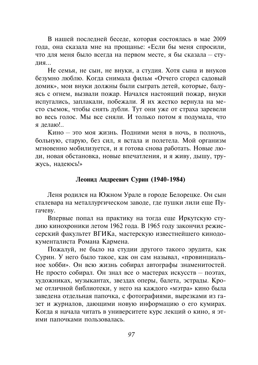В нашей последней беседе, которая состоялась в мае 2009 года, она сказала мне на прощанье: «Если бы меня спросили, что для меня было всегда на первом месте, я бы сказала - стулия...

Не семья, не сын, не внуки, а студия. Хотя сына и внуков безумно люблю. Когда снимала фильм «Отчего сгорел садовый домик», мои внуки должны были сыграть детей, которые, балуясь с огнем, вызвали пожар. Начался настоящий пожар, внуки испугались, заплакали, побежали. Я их жестко вернула на место съемок, чтобы снять дубли. Тут они уже от страха заревели во весь голос. Мы все сняли. И только потом я полумала, что я лелаю!

Кино - это моя жизнь. Подними меня в ночь, в полночь, больную, старую, без сил, я встала и полетела. Мой организм мгновенно мобилизуется, и я готова снова работать. Новые люди, новая обстановка, новые впечатления, и я живу, дышу, тружусь, надеюсь!»

## Леонид Андреевич Сурин (1940-1984)

Леня родился на Южном Урале в городе Белорецке. Он сын сталевара на металлургическом заводе, где пушки лили еще Пугачеву.

Впервые попал на практику на тогда еще Иркутскую стулию кинохроники летом 1962 года. В 1965 году закончил режиссерский факультет ВГИКа, мастерскую известнейшего кинодокументалиста Романа Кармена.

Пожалуй, не было на студии другого такого эрудита, как Сурин. У него было такое, как он сам называл, «провинциальное хобби». Он всю жизнь собирал автографы знаменитостей. Не просто собирал. Он знал все о мастерах искусств – поэтах, художниках, музыкантах, звездах оперы, балета, эстрады. Кроме отличной библиотеки, у него на каждого «мэтра» кино была заведена отдельная папочка, с фотографиями, вырезками из газет и журналов, дающими новую информацию о его кумирах. Когда я начала читать в университете курс лекций о кино, я этими папочками пользовалась.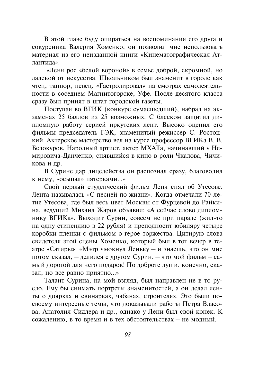В этой главе буду опираться на воспоминания его друга и сокурсника Валерия Хоменко, он позволил мне использовать материал из его неизданной книги «Кинематографическая Атлантила».

«Леня рос «белой вороной» в семье доброй, скромной, но лалекой от искусства. Школьником был знаменит в городе как чтец, танцор, певец. «Гастролировал» на смотрах самодеятельности в соседнем Магнитогорске, Уфе. После десятого класса сразу был принят в штат городской газеты.

Поступая во ВГИК (конкурс сумасшедший), набрал на экзаменах 25 баллов из 25 возможных. С блеском защитил дипломную работу серией иркутских лент. Высоко оценил его фильмы председатель ГЭК, знаменитый режиссер С. Ростоцкий. Актерское мастерство вел на курсе профессор ВГИКа В. В. Белокуров, Народный артист, актер МХАТа, начинавший у Немировича-Данченко, снявшийся в кино в роли Чкалова, Чичикова и др.

В Сурине дар лицедейства он распознал сразу, благоволил к нему, «осыпал» пятерками...»

Свой первый студенческий фильм Леня снял об Утесове. Лента называлась «С песней по жизни». Когла отмечали 70-летие Утесова, гле был весь ивет Москвы от Фуриевой ло Райкина, ведущий Михаил Жаров объявил: «А сейчас слово дипломнику ВГИКа». Выходит Сурин, совсем не при параде (жил-то на одну стипендию в 22 рубля) и преподносит юбиляру четыре коробки пленки с фильмом о герое торжества. Цитирую слова свидетеля этой сцены Хоменко, который был в тот вечер в театре «Сатиры»: «Мэтр чмокнул Леньку - и знаешь, что он мне потом сказал, - делился с другом Сурин, - что мой фильм - самый дорогой для него подарок! По доброте души, конечно, сказал, но все равно приятно...»

Талант Сурина, на мой взгляд, был направлен не в то русло. Ему бы снимать портреты знаменитостей, а он делал ленты о доярках и свинарках, чабанах, строителях. Это были посвоему интересные темы, что доказывали работы Петра Власова, Анатолия Сидлера и др., однако у Лени был свой конек. К сожалению, в то время и в тех обстоятельствах - не модный.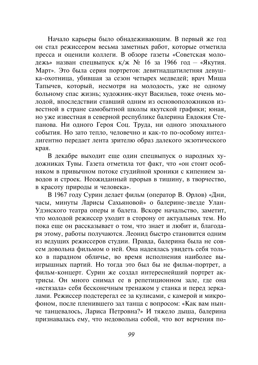Начало карьеры было обнадеживающим. В первый же год он стал режиссером весьма заметных работ, которые отметила пресса и оценили коллеги. В обзоре газеты «Советская молодежь» назван спецвыпуск к/ж № 16 за 1966 год - «Якутия. Март». Это была серия портретов: девятнадцатилетняя девушка-охотница, убившая за сезон четырех медведей; врач Миша Тапычев, который, несмотря на молодость, уже не одному больному спас жизнь; художник-якут Васильев, тоже очень молодой, впоследствии ставший одним из основоположников известной в стране самобытной школы якутской графики; юная, но уже известная в северной республике балерина Евдокия Степанова. Ни одного Героя Соц. Труда, ни одного эпохального события. Но зато тепло, человечно и как-то по-особому интеллигентно передает лента зрителю образ далекого экзотического края.

В декабре выходит еще один спецвыпуск о народных художниках Тувы. Газета отметила тот факт, что «он стоит особняком в привычном потоке студийной хроники с кипением заводов и строек. Неожиданный прорыв в тишину, в творчество, в красоту природы и человека».

В 1967 году Сурин делает фильм (оператор В. Орлов) «Дни. часы, минуты Ларисы Сахьяновой» о балерине-звезде Улан-Удэнского театра оперы и балета. Вскоре начальство, заметит, что молодой режиссер уходит в сторону от актуальных тем. Но пока еще он рассказывает о том, что знает и любит и, благодаря этому, работы получаются. Леонид быстро становится одним из ведущих режиссеров студии. Правда, балерина была не совсем довольна фильмом о ней. Она надеялась увидеть себя только в парадном обличье, во время исполнения наиболее выигрышных партий. Но тогда это был бы не фильм-портрет, а фильм-концерт. Сурин же создал интереснейший портрет актрисы. Он много снимал ее в репетиционном зале, где она «истязала» себя бесконечным тренажом у станка и перед зеркалами. Режиссер подстерегал ее за кулисами, с камерой и микрофоном, после пленившего зал танца с вопросом: «Как вам нынче танцевалось, Лариса Петровна?» И тяжело дыша, балерина признавалась ему, что недовольна собой, что вот верчения по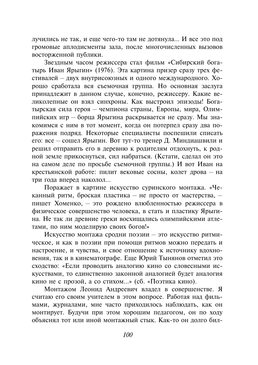лучились не так, и еще чего-то там не дотянула... И все это под громовые аплодисменты зала, после многочисленных вызовов восторженной публики.

Звездным часом режиссера стал фильм «Сибирский богатырь Иван Ярыгин» (1976). Эта картина призер сразу трех фестивалей - двух внутрисоюзных и одного международного. Хорошо сработала вся съемочная группа. Но основная заслуга принадлежит в данном случае, конечно, режиссеру. Какие великолепные он взял синхроны. Как выстроил эпизолы! Богатырская сила героя - чемпиона страны. Европы, мира, Олимпийских игр - борца Ярыгина раскрывается не сразу. Мы знакомимся с ним в тот момент, когда он потерпел сразу два поражения подряд. Некоторые специалисты поспешили списать его: все - сошел Ярыгин. Вот тут-то тренер Д. Миндиашвили и решил отправить его в деревню к родителям отдохнуть, к родной земле прикоснуться, сил набраться. (Кстати, сделал он это на самом деле по просьбе съемочной группы.) И вот Иван на крестьянской работе: пилит вековые сосны, колет дрова - на три гола вперел наколол...

Поражает в картине искусство суринского монтажа. «Чеканный ритм, броская пластика - не просто от мастерства, пишет Хоменко, - это рождено влюбленностью режиссера в физическое совершенство человека, в стать и пластику Ярыгина. Не так ли древние греки восхищались олимпийскими атлетами, по ним моделирую своих богов!»

Искусство монтажа сродни поэзии - это искусство ритмическое, и как в поэзии при помощи ритмов можно передать и настроение, и чувства, и свое отношение к источнику вдохновения, так и в кинематографе. Еще Юрий Тынянов отметил это сходство: «Если проводить аналогию кино со словесными искусствами, то единственно законной аналогией будет аналогия кино не с прозой, а со стихом...» (сб. «Поэтика кино).

Монтажом Леонид Андреевич владел в совершенстве. Я считаю его своим учителем в этом вопросе. Работая над фильмами, журналами, мне часто приходилось наблюдать, как он монтирует. Будучи при этом хорошим педагогом, он по ходу объяснял тот или иной монтажный стык. Как-то он долго бил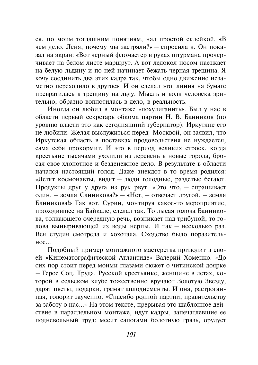ся, по моим тогдашним понятиям, над простой склейкой. «В чем дело, Леня, почему мы застряли?» - спросила я. Он показал на экран: «Вот черный фломастер в руках штурмана прочерчивает на белом листе маршрут. А вот ледокол носом наезжает на белую льдину и по ней начинает бежать черная трещина. Я хочу соединить два этих кадра так, чтобы одно движение незаметно переходило в другое». И он сделал это: линия на бумаге превратилась в трещину на льду. Мысль и воля человека зрительно, образно воплотилась в дело, в реальность.

Иногла он любил в монтаже «похулиганить». Был у нас в области первый секретарь обкома партии Н. В. Банников (по уровню власти это как сегодняшний губернатор). Иркутяне его не любили. Желая выслужиться перед Москвой, он заявил, что Иркутская область в поставках продовольствия не нуждается, сама себя прокормит. И это в период великих строек, когда крестьяне тысячами уходили из деревень в новые города, бросая свое хлопотное и безденежное дело. В результате в области начался настоящий голод. Даже анекдот в то время родился: «Летят космонавты, видят - люди голодные, раздетые бегают. Продукты друг у друга из рук рвут. «Это что, - спрашивает один, - земля Санникова?» - «Нет, - отвечает другой, - земля Банникова!» Так вот. Сурин. монтируя какое-то мероприятие. проходившее на Байкале, сделал так. То лысая голова Банникова, толкающего очередную речь, возникает над трибуной, то голова выныривающей из воды нерпы. И так - несколько раз. Вся студия смотрела и хохотала. Сходство было поразитель- $Hoe...$ 

Подобный пример монтажного мастерства приводит в своей «Кинематографической Атлантиде» Валерий Хоменко. «До сих пор стоит перед моими глазами сюжет о читинской доярке - Герое Соц. Труда. Русской крестьянке, женщине в летах, которой в сельском клубе тожественно вручают Золотую Звезду, дарят цветы, подарки, гремят аплодисменты. И она, растроганная, говорит заученно: «Спасибо родной партии, правительству за заботу о нас...» На этом тексте, прерывая это шаблонное действие в параллельном монтаже, идут кадры, запечатлевшие ее подневольный труд: месит сапогами болотную грязь, орудует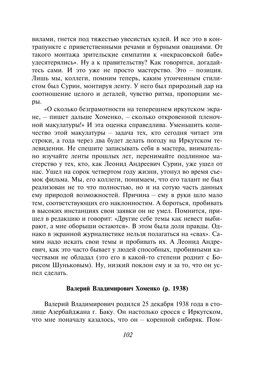вилами, гнется под тяжестью увесистых кулей. И все это в контрапункте с приветственными речами и бурными овациями. От такого монтажа зрительские симпатии к «некрасовской бабе» удесятерялись». Ну а к правительству? Как говорится, догадайтесь сами. И это уже не просто мастерство. Это - позиция. Лишь мы, коллеги, помним теперь, каким утонченным стилистом был Сурин, монтируя ленту. У него был природный дар на соотношение целого и деталей, чувство ритма, пропорции меpы.

«О сколько безграмотности на теперешнем иркутском экране. - пишет дальше Хоменко. - сколько откровенной пленочной макулатуры!» И эта оценка справедлива. Уменьшить количество этой макулатуры - задача тех, кто сегодня читает эти строки, а года через два будет делать погоду на Иркутском телевилении. Не спешите записывать себя в мастера, внимательно изучайте ленты прошлых лет, перенимайте подлинное мастерство у тех, кто, как Леонид Андреевич Сурин, уже ушел от нас. Ушел на сорок четвертом году жизни, утонул во время съемок фильма. Мы, его коллеги, понимаем, что его талант не был реализован не то что полностью, но и на сотую часть данных ему природой возможностей. Причина - ему в руки шло мало тем, соответствующих его наклонностям. А бороться, пробивать в высоких инстанциях свои заявки он не умел. Помнится, пришел в редакцию и говорит: «Другие себе темы как невест выбирают, а мне оборыши остаются». В этом была доля правды. Однако в экранной журналистике нельзя полагаться на «свах». Самим надо искать свои темы и пробивать их. А Леонид Андреевич, как это часто бывает у людей способных, пробивными качествами не обладал (это его в какой-то степени роднит с Борисом Шуньковым). Ну, низкий поклон ему и за то, что он успел слелать.

## Валерий Владимирович Хоменко (р. 1938)

Валерий Владимирович родился 25 декабря 1938 года в столице Азербайджана г. Баку. Он настолько сросся с Иркутском, что мне поначалу казалось, что он - коренной сибиряк. Пом-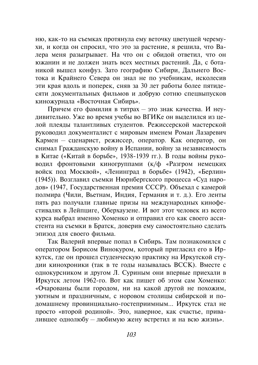ню, как-то на съемках протянула ему веточку цветущей черемухи, и когда он спросил, что это за растение, я решила, что Валера меня разыгрывает. На что он с обидой ответил, что он южанин и не должен знать всех местных растений. Да, с ботаникой вышел конфуз. Зато географию Сибири, Дальнего Востока и Крайнего Севера он знал не по учебникам, исколесив эти края влоль и поперек, сняв за 30 лет работы более пятилесяти документальных фильмов и добрую сотню спецвыпусков киножурнала «Восточная Сибирь».

Причем его фамилия в титрах - это знак качества. И неуливительно. Уже во время учебы во ВГИКе он вылелился из целой плеяды талантливых студентов. Режиссерской мастерской руководил документалист с мировым именем Роман Лазаревич Кармен – сценарист, режиссер, оператор. Как оператор, он снимал Гражданскую войну в Испании, войну за независимость в Китае («Китай в борьбе», 1938-1939 гг.). В годы войны руководил фронтовыми киногруппами (к/ф «Разгром немецких войск под Москвой», «Ленинград в борьбе» (1942), «Берлин» (1945)). Возглавил съемки Нюрнбергского процесса «Суд народов» (1947, Государственная премия СССР). Объехал с камерой полмира (Чили, Вьетнам, Индия, Германия и т. д.). Его ленты пять раз получали главные призы на международных кинофестивалях в Лейпциге, Оберхаузене. И вот этот человек из всего курса выбрал именно Хоменко и отправил его как своего ассистента на съемки в Братск, доверив ему самостоятельно сделать эпизод для своего фильма.

Так Валерий впервые попал в Сибирь. Там познакомился с оператором Борисом Винокуром, который пригласил его в Иркутск, где он прошел студенческую практику на Иркутской студии кинохроники (так в те годы называлась ВССК). Вместе с однокурсником и другом Л. Суриным они впервые приехали в Иркутск летом 1962-го. Вот как пишет об этом сам Хоменко: «Очарованы были городом, ни на какой другой не похожим, уютным и праздничным, с норовом столицы сибирской и подомашнему провинциально-гостеприимным... Иркутск стал не просто «второй родиной». Это, наверное, как счастье, привалившее однолюбу - любимую жену встретил и на всю жизнь».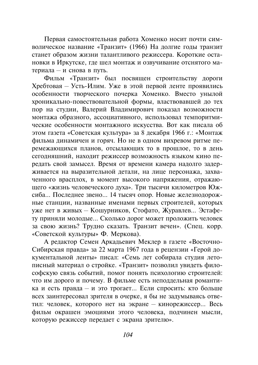Первая самостоятельная работа Хоменко носит почти символическое название «Транзит» (1966) На долгие годы транзит станет образом жизни талантливого режиссера. Короткие остановки в Иркутске, где шел монтаж и озвучивание отснятого материала - и снова в путь.

Фильм «Транзит» был посвящен строительству дороги Хребтовая - Усть-Илим. Уже в этой первой ленте проявились особенности творческого почерка Хоменко. Вместо унылой хроникально-повествовательной формы, властвовавшей до тех пор на студии, Валерий Владимирович показал возможности монтажа образного, ассоциативного, использовал темпоритмические особенности монтажного искусства. Вот как писала об этом газета «Советская культура» за 8 декабря 1966 г.: «Монтаж фильма динамичен и горяч. Но не в одном вихревом ритме перемежающихся планов, отсылающих то в прошлое, то в день сегодняшний, находит режиссер возможность языком кино передать свой замысел. Время от времени камера надолго задерживается на выразительной детали, на лице персонажа, захваченного врасплох, в момент высокого напряжения, отражающего «жизнь человеческого духа». Три тысячи километров Южсиба... Последнее звено... 14 тысяч опор. Новые железнодорожные станции, названные именами первых строителей, которых уже нет в живых - Кошурников, Стофато, Журавлев... Эстафету приняли молодые... Сколько дорог может проложить человек за свою жизнь? Трудно сказать. Транзит вечен». (Спец. корр. «Советской культуры» Ф. Меркова).

А редактор Семен Аркадьевич Меклер в газете «Восточно-Сибирская правда» за 22 марта 1967 года в рецензии «Герой документальной ленты» писал: «Семь лет собирала студия летописный материал о стройке. «Транзит» позволил увидеть философскую связь событий, помог понять психологию строителей: что им дорого и почему. В фильме есть неподдельная романтика и есть правда – и это трогает... Если спросить: кто больше всех заинтересовал зрителя в очерке, я бы не задумываясь ответил: человек, которого нет на экране – кинорежиссер... Весь фильм окрашен эмоциями этого человека, подчинен мысли, которую режиссер передает с экрана зрителю».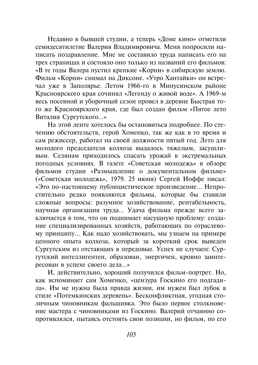Недавно в бывшей студии, а теперь «Доме кино» отметили семидесятилетие Валерия Владимировича. Меня попросили написать поздравление. Мне не составило труда написать его на трех страницах и состояло оно только из названий его фильмов: «В те годы Валера пустил крепкие «Корни» в сибирскую землю. Фильм «Корни» снимал на Диксоне. «Утро Хантайки» он встречал уже в Заполярье. Летом 1966-го в Минусинском районе Красноярского края сочинял «Легенду о живой воде». А 1969-м весь посевной и уборочный сезон провел в деревне Быстрая того же Красноярского края, где был создан фильм «Пятое лето Виталия Сургутского...»

На этой ленте хотелось бы остановиться подробнее. По стечению обстоятельств, герой Хоменко, так же как в то время и сам режиссер, работал на своей должности пятый год. Лето для молодого председателя колхоза выдалось тяжелым, засушливым. Селянам приходилось спасать урожай в экстремальных погодных условиях. В газете «Советская молодежь» в обзоре фильмов студии «Размышление о документальном фильме» («Советская молодежь», 1979, 25 июня) Сергей Иоффе писал: «Это по-настоящему публицистическое произведение... Непростительно редко появляются фильмы, которые бы ставили сложные вопросы: разумное хозяйствование, рентабельность, научная организация труда... Удача фильма прежде всего заключается в том, что он поднимает насущную проблему: создание специализированных хозяйств, работающих по отраслевому принципу... Как надо хозяйствовать, мы узнаем на примере ценного опыта колхоза, который за короткий срок выведен Сургутским из отстающих в передовые. Успех не случаен: Сургутский интеллигентен, образован, энергичен, кровно заинтересован в успехе своего дела...»

И, действительно, хороший получился фильм-портрет. Но, как вспоминает сам Хоменко, «цензура Госкино его подгадила». Им не нужна была правда жизни, им нужен был лубок в стиле «Потемкинских деревень». Бесконфликтная, угодная столичным чиновникам фальшивка. Это было первое столкновение мастера с чиновниками из Госкино. Валерий отчаянно сопротивлялся, пытаясь отстоять свои позиции, но фильм, по его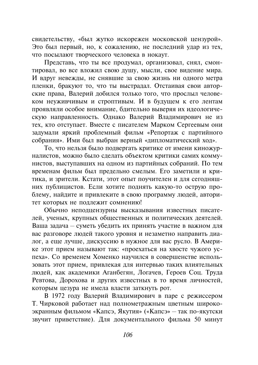свидетельству, «был жутко искорежен московской цензурой». Это был первый, но, к сожалению, не последний удар из тех, что посылают творческого человека в нокаут.

Представь, что ты все продумал, организовал, снял, смонтировал, во все вложил свою душу, мысли, свое видение мира. И вдруг невежды, не снявшие за свою жизнь ни одного метра пленки. бракуют то, что ты выстрадал. Отстаивая свои авторские права, Валерий добился только того, что прослыл человеком неуживчивым и строптивым. И в будущем к его лентам проявляли особое внимание, бдительно выверяя их идеологическую направленность. Однако Валерий Владимирович не из тех, кто отступает. Вместе с писателем Марком Сергеевым они задумали яркий проблемный фильм «Репортаж с партийного собрания». Ими был выбран верный «дипломатический ход».

То, что нельзя было подвергать критике от имени киножурналистов, можно было сделать объектом критики самих коммунистов, выступавших на одном из партийных собраний. По тем временам фильм был предельно смелым. Его заметили и критика, и зрители. Кстати, этот опыт поучителен и для сегодняшних публицистов. Если хотите поднять какую-то острую проблему, найдите и привлеките в свою программу людей, авторитет которых не подлежит сомнению!

Обычно неподцензурны высказывания известных писателей, ученых, крупных общественных и политических деятелей. Ваша задача - суметь убедить их принять участие в важном для вас разговоре людей такого уровня и незаметно направить диалог, а еще лучше, дискуссию в нужное для вас русло. В Америке этот прием называют так: «проехаться на хвосте чужого успеха». Со временем Хоменко научился в совершенстве использовать этот прием, привлекая для интервью таких влиятельных людей, как акалемики Аганбегян, Логачев, Героев Соц. Труда Ревтова, Дорохова и других известных в то время личностей, которым цезура не имела власти заткнуть рот.

В 1972 году Валерий Владимирович в паре с режиссером Т. Чирковой работает над полнометражным цветным широкоэкранным фильмом «Капсэ, Якутия» («Капсэ» - так по-якутски звучит приветствие). Для документального фильма 50 минут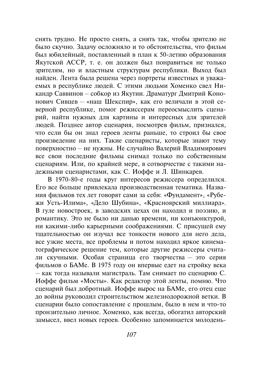снять трудно. Не просто снять, а снять так, чтобы зрителю не было скучно. Задачу осложняло и то обстоятельства, что фильм был юбилейный, поставленный в план к 50-летию образования Якутской АССР, т. е. он должен был понравиться не только зрителям, но и властным структурам республики. Выход был найден. Лента была решена через портреты известных и уважаемых в республике людей. С этими людьми Хоменко свел Никандр Саввинов - собкор из Якутии. Драматург Дмитрий Кононович Сивцев - «наш Шекспир», как его величали в этой северной республике, помог режиссерам переосмыслить сценарий, найти нужных для картины и интересных для зрителей людей. Позднее автор сценария, посмотрев фильм, признался, что если бы он знал героев ленты раньше, то строил бы свое произведение на них. Такие сценаристы, которые знают тему поверхностно - не нужны. Не случайно Валерий Владимирович все свои последние фильмы снимал только по собственным сценариям. Или, по крайней мере, в сотворчестве с такими надежными сценаристами, как С. Иоффе и Л. Шинкарев.

В 1970-80-е годы круг интересов режиссера определился. Его все больше привлекала производственная тематика. Названия фильмов тех лет говорят сами за себя: «Фундамент», «Рубежи Усть-Илима», «Дело Шубина», «Красноярский миллиард». В гуле новостроек, в заводских цехах он находил и поэзию, и романтику. Это не было ни данью времени, ни конъюнктурой, ни какими-либо карьерными соображениями. С присущей ему тщательностью он изучал все тонкости нового для него дела, все узкие места, все проблемы и потом находил яркое кинематографическое решение тем, которые другие режиссеры считали скучными. Особая страница его творчества - это серия фильмов о БАМе. В 1975 году он впервые едет на стройку века – как тогда называли магистраль. Там снимает по сценарию С. Иоффе фильм «Мосты». Как редактор этой ленты, помню. Что сценарий был добротный. Иоффе вырос на БАМе, его отец еще до войны руководил строительством железнодорожной ветки. В сценарии было сопоставление с прошлым, было в нем и что-то пронзительно личное. Хоменко, как всегда, обогатил авторский замысел, ввел новых героев. Особенно запоминается молодень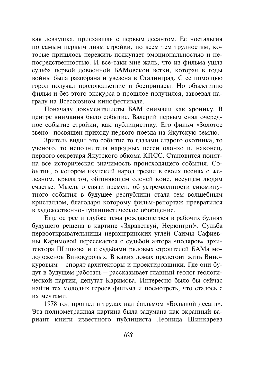кая девчушка, приехавшая с первым десантом. Ее ностальгия по самым первым дням стройки, по всем тем трудностям, которые пришлось пережить подкупает эмоциональностью и непосредственностью. И все-таки мне жаль, что из фильма ушла судьба первой довоенной БАМовской ветки, которая в годы войны была разобрана и увезена в Сталинград. С ее помощью город получал продовольствие и боеприпасы. Но объективно фильм и без этого экскурса в прошлое получился, завоевал награду на Всесоюзном кинофестивале.

Поначалу документалисты БАМ снимали как хронику. В центре внимания было событие. Валерий первым снял очередное событие стройки, как публицистику. Его фильм «Золотое звено» посвящен приходу первого поезда на Якутскую землю.

Зритель видит это событие то глазами старого охотника, то ученого, то исполнителя народных песен олонхо и, наконец, первого секретаря Якутского обкома КПСС. Становится понятна все историческая значимость происходящего события. События, о котором якутский народ грезил в своих песнях о железном, крылатом, обгоняющем оленей коне, несущем людям счастье. Мысль о связи времен, об устремленности сиюминутного события в будущее республики стала тем волшебным кристаллом, благодаря которому фильм-репортаж превратился в художественно-публицистическое обобщение.

Еще острее и глубже тема рождающегося в рабочих буднях будущего решена в картине «Здравствуй, Нерюнгри!». Судьба первооткрывательницы нерюнгринских углей Саимы Сафиевны Каримовой пересекается с судьбой автора «поляров» архитектора Шипкова и с сульбами рядовых строителей БАМа молодоженов Винокуровых. В каких домах предстоит жить Винокуровым - спорят архитекторы и проектировщики. Где они будут в будущем работать - рассказывает главный геолог геологической партии, депутат Каримова. Интересно было бы сейчас найти тех молодых героев фильма и посмотреть, что сталось с их мечтами.

1978 год прошел в трудах над фильмом «Большой десант». Эта полнометражная картина была задумана как экранный вариант книги известного публициста Леонида Шинкарева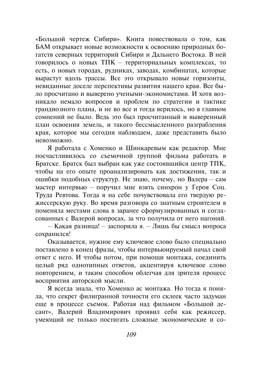«Большой чертеж Сибири». Книга повествовала о том, как БАМ открывает новые возможности к освоению природных богатств северных территорий Сибири и Дальнего Востока. В ней говорилось о новых ТПК - территориальных комплексах, то есть, о новых городах, рудниках, заводах, комбинатах, которые вырастут вдоль трассы. Все это открывало новые горизонты, невиданные доселе перспективы развития нашего края. Все было просчитано и выверено учеными-экономистами. И хотя возникало немало вопросов и проблем по стратегии и тактике грандиозного плана, и не во все и тогда верилось, но в главном сомнений не было. Вель это был просчитанный и выверенный план освоения земель, и такого бессмысленного разграбления края, которое мы сегодня наблюдаем, даже представить было невозможно.

Я работала с Хоменко и Шинкаревым как редактор. Мне посчастливилось со съемочной группой фильма работать в Братске. Братск был выбран как уже состоявшийся центр ТПК, чтобы на его опыте проанализировать как достижения, так и ошибки подобных структур. Не знаю, почему, но Валера - сам мастер интервью - поручил мне взять синхрон у Героя Соц. Труда Ревтова. Тогда я на себе почувствовала его твердую режиссерскую руку. Во время разговора со знатным строителем я поменяла местами слова в заранее сформулированных и согласованных с Валерой вопросах, за что получила от него нагоняй.

- Какая разница! - заспорила я. - Лишь бы смысл вопроса сохранился!

Оказывается, нужное ему ключевое слово было специально поставлено в конец фразы, чтобы интервью ируемый начал свой ответ с него. И чтобы потом, при помощи монтажа, соединить целый ряд однотипных ответов, акцентируя ключевое слово повторением, и таким способом облегчая для зрителя процесс восприятия авторской мысли.

Я всегда знала, что Хоменко ас монтажа. Но тогда я поняла, что секрет филигранной точности его склеек часто задуман еще в процессе съемок. Работая над фильмом «Большой десант», Валерий Владимирович проявил себя как режиссер, умеющий не только постигать сложные экономические и со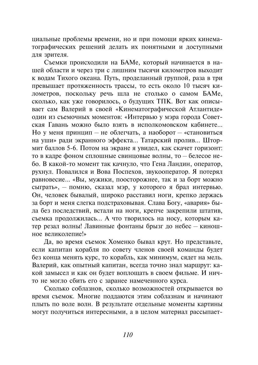циальные проблемы времени, но и при помощи ярких кинематографических решений делать их понятными и доступными для зрителя.

Съемки происходили на БАМе, который начинается в нашей области и через три с лишним тысячи километров выходит к водам Тихого океана. Путь, проделанный группой, раза в три превышает протяженность трассы, то есть около 10 тысяч километров, поскольку речь шла не столько о самом БАМе, сколько, как уже говорилось, о будущих ТПК. Вот как описывает сам Валерий в своей «Кинематографической Атлантиде» один из съемочных моментов: «Интервью у мэра города Советская Гавань можно было взять в исполкомовском кабинете... Но у меня принцип – не облегчать, а наоборот – «становиться на уши» ради экранного эффекта... Татарский пролив... Штормит баллов 5-6. Потом на экране я увидел, как скачет горизонт: то в кадре фоном сплошные свинцовые волны, то - белесое небо. В какой-то момент так качнуло, что Гена Ландин, оператор, рухнул. Повалился и Вова Поспехов, звукооператор. Я потерял равновесие... «Вы, мужики, поосторожнее, так и за борт можно сыграть», - помню, сказал мэр, у которого я брал интервью. Он, человек бывалый, широко расставил ноги, крепко держась за борт и меня слегка подстраховывая. Слава Богу, «авария» была без последствий, встали на ноги, крепче закрепили штатив, съемка продолжилась... А что творилось на носу, которым катер резал волны! Лавинные фонтаны брызг до небес - киношное великолепие!»

Да, во время съемок Хоменко бывал крут. Но представьте, если капитан корабля по совету членов своей команды будет без конца менять курс, то корабль, как минимум, сядет на мель. Валерий, как опытный капитан, всегда точно знал маршрут: какой замысел и как он будет воплощать в своем фильме. И ничто не могло сбить его с заранее намеченного курса.

Сколько соблазнов, сколько возможностей открывается во время съемок. Многие поддаются этим соблазнам и начинают плыть по воле волн. В результате отдельные моменты картины могут получиться интересными, а в целом материал рассыпает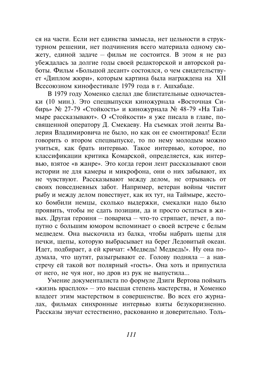ся на части. Если нет единства замысла, нет цельности в структурном решении, нет подчинения всего материала одному сюжету, единой задаче - фильм не состоится. В этом я не раз убеждалась за долгие годы своей редакторской и авторской работы. Фильм «Большой десант» состоялся, о чем свидетельствует «Диплом жюри», которым картина была награждена на XII Всесоюзном кинофестивале 1979 года в г. Ашхабаде.

В 1979 году Хоменко сделал две блистательные одночастевки (10 мин.). Это спецвыпуски киножурнала «Восточная Сибирь» № 27-79 «Стойкость» и киножурнала № 48-79 «На Таймыре рассказывают». О «Стойкости» я уже писала в главе, посвященной оператору Д. Смекаеву. На съемках этой ленты Валерия Владимировича не было, но как он ее смонтировал! Если говорить о втором спецвыпуске, то по нему молодым можно учиться, как брать интервью. Такое интервью, которое, по классификации критика Комарской, определяется, как интервью, взятое «в жанре». Это когда герои лент рассказывают свои истории не для камеры и микрофона, они о них забывают, их не чувствуют. Рассказывают между делом, не отрываясь от своих повселневных забот. Например, ветеран войны чистит рыбу и между делом повествует, как их тут, на Таймыре, жестоко бомбили немцы, сколько выдержки, смекалки надо было проявить, чтобы не сдать позиции, да и просто остаться в живых. Другая героиня - повариха - что-то стряпает, печет, а попутно с большим юмором вспоминает о своей встрече с белым медведем. Она выскочила из балка, чтобы набрать щепы для печки, щепы, которую выбрасывает на берег Ледовитый океан. Идет, подбирает, а ей кричат: «Медведь! Медведь!». Ну она подумала, что шутят, разыгрывают ее. Голову подняла - а навстречу ей такой вот полярный «гость». Она хоть и припустила от него, не чуя ног, но дров из рук не выпустила...

Умение документалиста по формуле Дзиги Вертова поймать «жизнь врасплох» - это высшая степень мастерства, и Хоменко владеет этим мастерством в совершенстве. Во всех его журналах, фильмах синхронные интервью взяты безукоризненно. Рассказы звучат естественно, раскованно и доверительно. Толь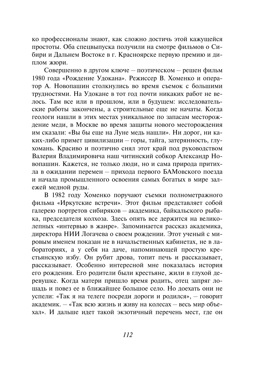ко профессионалы знают, как сложно достичь этой кажущейся простоты. Оба спецвыпуска получили на смотре фильмов о Сибири и Дальнем Востоке в г. Красноярске первую премию и диплом жюри.

Совершенно в другом ключе - поэтическом - решен фильм 1980 года «Рождение Удокана». Режиссер В. Хоменко и оператор А. Новопашин столкнулись во время съемок с большими трудностями. На Удокане в тот год почти никаких работ не велось. Там все или в прошлом, или в будущем: исследовательские работы закончены, а строительные еще не начаты. Когда геологи нашли в этих местах уникальное по запасам месторождение меди, в Москве во время защиты нового месторождения им сказали: «Вы бы еще на Луне медь нашли». Ни дорог, ни каких-либо примет цивилизации - горы, тайга, затерянность, глухомань. Красиво и поэтично снял этот край под руководством Валерия Владимировича наш читинский собкор Александр Новопашин. Кажется, не только люди, но и сама природа притихла в ожидании перемен - прихода первого БАМовского поезда и начала промышленного освоения самых богатых в мире залежей медной руды.

В 1982 году Хоменко поручают съемки полнометражного фильма «Иркутские встречи». Этот фильм представляет собой галерею портретов сибиряков - академика, байкальского рыбака, председателя колхоза. Здесь опять все держится на великолепных «интервью в жанре». Запоминается рассказ академика, директора НИИ Логачева о своем рождении. Этот ученый с мировым именем показан не в начальственных кабинетах, не в лабораториях, а у себя на даче, напоминающей простую крестьянскую избу. Он рубит дрова, топит печь и рассказывает, рассказывает. Особенно интересной мне показалась история его рождения. Его родители были крестьяне, жили в глухой деревушке. Когда матери пришло время родить, отец запряг лошадь и повез ее в ближайшее большое село. Но доехать они не успели: «Так я на телеге посреди дороги и родился», - говорит акалемик. - «Так всю жизнь и живу на колесах - весь мир объехал». И дальше идет такой экзотичный перечень мест, где он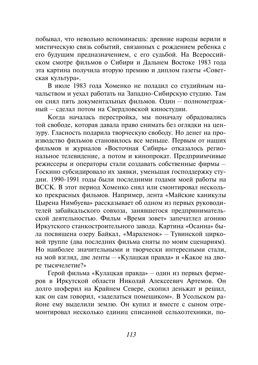побывал, что невольно вспоминаешь: древние народы верили в мистическую связь событий, связанных с рождением ребенка с его будущим предназначением, с его судьбой. На Всероссийском смотре фильмов о Сибири и Дальнем Востоке 1983 года эта картина получила вторую премию и диплом газеты «Советская культура».

В июле 1983 года Хоменко не поладил со студийным начальством и уехал работать на Западно-Сибирскую студию. Там он снял пять документальных фильмов. Один - полнометражный - слелал потом на Свердловской киностудии.

Когда началась перестройка, мы поначалу обрадовались той свободе, которая давала право снимать без оглядки на цензуру. Гласность подарила творческую свободу. Но денег на производство фильмов становилось все меньше. Первым от наших фильмов и журналов «Восточная Сибирь» отказалось региональное телевидение, а потом и кинопрокат. Предприимчивые режиссеры и операторы стали создавать собственные фирмы -Госкино субсилировало их заявки, уменьшая госполлержку студии. 1990-1991 годы были последними годами моей работы на ВССК. В этот период Хоменко снял или смонтировал несколько прекрасных фильмов. Например, лента «Майские каникулы Цырена Нимбуева» рассказывает об одном из первых руководителей забайкальского совхоза, занявшегося предпринимательской деятельностью. Фильм «Время зовет» запечатлел агонию Иркутского станкостроительного завода. Картина «Осанна» была посвящена озеру Байкал, «Мараленок» - Тувинской цирковой труппе (два последних фильма сняты по моим сценариям). Но наиболее значительными и творчески интересными стали, на мой взгляд, две ленты - «Кулацкая правда» и «Какое на дворе тысячелетие?»

Герой фильма «Кулацкая правда» — один из первых фермеров в Иркутской области Николай Алексеевич Артемов. Он долго шоферил на Крайнем Севере, скопил деньжат и решил, как он сам говорил, «заделаться помещиком». В Усольском районе ему выделили землю. Он купил и вместе с сыном отремонтировал несколько единиц списанной сельхозтехники, по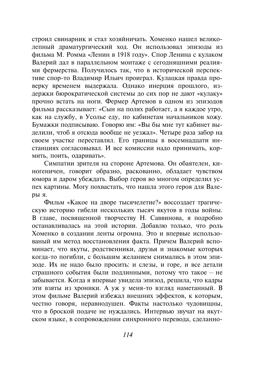строил свинарник и стал хозяйничать. Хоменко нашел великолепный драматургический ход. Он использовал эпизоды из фильма М. Ромма «Ленин в 1918 году». Спор Ленина с кулаком Валерий дал в параллельном монтаже с сегодняшними реалиями фермерства. Получилось так, что в исторической перспективе спор-то Владимир Ильич проиграл. Кулацкая правда проверку временем вылержала. Однако инерция прошлого, издержки бюрократической системы до сих пор не дают «кулаку» прочно встать на ноги. Фермер Артемов в одном из эпизодов фильма рассказывает: «Сын на полях работает, а я каждое утро, как на службу, в Усолье еду, по кабинетам начальников хожу. Бумажки подписываю. Говорю им: «Вы бы мне тут кабинет выделили, чтоб я отсюда вообще не уезжал». Четыре раза забор на своем участке переставлял. Его границы в восемнадцати инстанциях согласовывал. И все комиссии надо принимать, кормить, поить, одаривать».

Симпатии зрителя на стороне Артемова. Он обаятелен, киногеничен, говорит образно, раскованно, обладает чувством юмора и даром убеждать. Выбор героя во многом определил успех картины. Могу похвастать, что нашла этого героя для Валеры я.

Фильм «Какое на дворе тысячелетие?» воссоздает трагическую историю гибели нескольких тысяч якутов в годы войны. В главе, посвященной творчеству Н. Саввинова, я подробно останавливалась на этой истории. Добавлю только, что роль Хоменко в создании ленты огромна. Это и впервые использованый им метод восстановления факта. Причем Валерий вспоминает, что якуты, родственники, друзья и знакомые которых когда-то погибли, с большим желанием снимались в этом эпизоде. Их не надо было просить: и слезы, и горе, и все детали страшного события были подлинными, потому что такое - не забывается. Когда я впервые увидела эпизод, решила, что кадры эти взяты из хроники. А уж у меня-то взгляд наметанный. В этом фильме Валерий избежал внешних эффектов, к которым, честно говоря, неравнодушен. Факты настолько чудовищны, что в броской подаче не нуждались. Интервью звучат на якутском языке, в сопровождении синхронного перевода, сделанно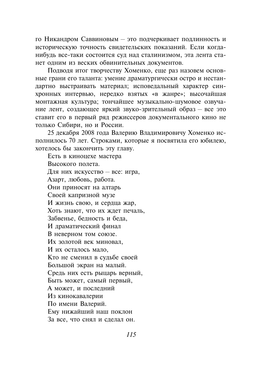го Никандром Саввиновым - это подчеркивает подлинность и историческую точность свидетельских показаний. Если когданибудь все-таки состоится суд над сталинизмом, эта лента станет одним из веских обвинительных документов.

Подводя итог творчеству Хоменко, еще раз назовем основные грани его таланта: умение драматургически остро и нестандартно выстраивать материал; исповедальный характер синхронных интервью, нередко взятых «в жанре»; высочайшая монтажная культура: тончайшее музыкально-шумовое озвучание лент, создающее яркий звуко-зрительный образ - все это ставит его в первый ряд режиссеров документального кино не только Сибири, но и России.

25 лекабря 2008 года Валерию Владимировичу Хоменко исполнилось 70 лет. Строками, которые я посвятила его юбилею, хотелось бы закончить эту главу.

Есть в киноцехе мастера Высокого полета. Для них искусство - все: игра, Азарт, любовь, работа. Они приносят на алтарь Своей капризной музе И жизнь свою, и сердца жар, Хоть знают, что их ждет печаль, Забвенье, бедность и беда, И драматический финал В неверном том союзе. Их золотой век миновал, И их осталось мало. Кто не сменил в судьбе своей Большой экран на малый. Средь них есть рыцарь верный, Быть может, самый первый, А может, и последний Из кинокавалерии По имени Валерий. Ему нижайший наш поклон За все, что снял и сделал он.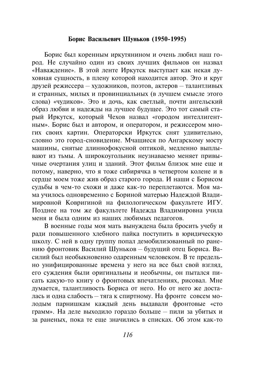#### Борис Васильевич Шуньков (1950-1995)

Борис был коренным иркутянином и очень любил наш город. Не случайно один из своих лучших фильмов он назвал «Наваждение». В этой ленте Иркутск выступает как некая духовная сущность, в плену которой находится автор. Это и круг друзей режиссера - художников, поэтов, актеров - талантливых и странных, милых и провинциальных (в лучшем смысле этого слова) «чудиков». Это и дочь, как светлый, почти ангельский образ любви и належлы на лучшее будущее. Это тот самый старый Иркутск, который Чехов назвал «городом интеллигентным». Борис был и автором, и оператором, и режиссером многих своих картин. Операторски Иркутск снят удивительно, словно это город-сновидение. Мчащиеся по Ангарскому мосту машины, снятые длиннофокусной оптикой, медленно выплывают из тьмы. А широкоугольник неузнаваемо меняет привычные очертания улиц и зданий. Этот фильм близок мне еще и потому, наверно, что я тоже сибирячка в четвертом колене и в сердце моем тоже жив образ старого города. И наши с Борисом сульбы в чем-то схожи и даже как-то переплетаются. Моя мама училось одновременно с Бориной матерью Надеждой Владимировной Ковригиной на филологическом факультете ИГУ. Позднее на том же факультете Надежда Владимировна учила меня и была одним из наших любимых педагогов.

В военные годы моя мать вынуждена была бросить учебу и ради повышенного хлебного пайка поступить в юридическую школу. С ней в одну группу попал демобилизованный по ранению фронтовик Василий Шуньков - будущий отец Бориса. Василий был необыкновенно одаренным человеком. В те предельно унифицированные времена у него на все был свой взгляд, его суждения были оригинальны и необычны, он пытался писать какую-то книгу о фронтовых впечатлениях, рисовал. Мне думается, талантливость Бориса от него. Но от него же досталась и одна слабость - тяга к спиртному. На фронте совсем молодым парнишкам каждый день выдавали фронтовые «сто грамм». На деле выходило гораздо больше - пили за убитых и за раненых, пока те еще значились в списках. Об этом как-то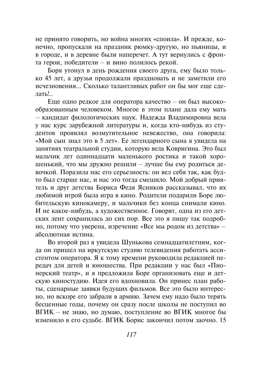не принято говорить, но война многих «споила». И прежде, конечно, пропускали на праздник рюмку-другую, но пьяницы, и в городе, и в деревне были наперечет. А тут вернулись с фронта герои, победители - и вино полилось рекой.

Боря утонул в день рождения своего друга, ему было только 45 лет, а друзья продолжали праздновать и не заметили его исчезновения... Сколько талантливых работ он бы мог еще сделать!..

Еще одно редкое для оператора качество - он был высокообразованным человеком. Многое в этом плане дала ему мать - кандидат филологических наук. Надежда Владимировна вела у нас курс зарубежной литературы и, когда кто-нибудь из студентов проявлял возмутительное невежество, она говорила: «Мой сын знал это в 5 лет». Ее легендарного сына я увидела на занятиях театральной студии, которую вела Ковригина. Это был мальчик лет одиннадцати маленького ростика и такой хорошенький, что мы дружно решили - лучше бы ему родиться девочкой. Поразила нас его серьезность: он вел себя так, как будто был старше нас, и нас это тогда смешило. Мой добрый приятель и друг детства Бориса Федя Ясников рассказывал, что их любимой игрой была игра в кино. Родители подарили Боре любительскую кинокамеру, и мальчики без конца снимали кино. И не какое-нибудь, а художественное. Говорят, одна из его детских лент сохранилась до сих пор. Все это я пишу так подробно, потому что уверена, изречение «Все мы родом из детства» абсолютная истина.

Во второй раз я увидела Шунькова семнадцатилетним, когда он пришел на иркутскую студию телевидения работать ассистентом оператора. Я к тому времени руководила редакцией передач для детей и юношества. При редакции у нас был «Пионерский театр», и я предложила Боре организовать еще и детскую киностудию. Идея его вдохновила. Он принес план работы, сценарные заявки будущих фильмов. Все это было интересно, но вскоре его забрали в армию. Зачем ему надо было терять бесценные годы, почему он сразу после школы не поступил во ВГИК - не знаю, но думаю, поступление во ВГИК многое бы изменило в его судьбе. ВГИК Борис закончил потом заочно. 15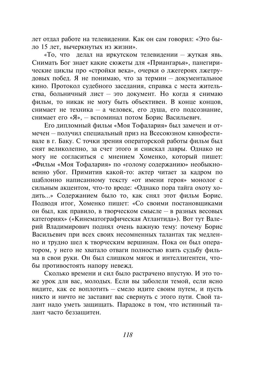лет отдал работе на телевидении. Как он сам говорил: «Это было 15 лет, вычеркнутых из жизни».

«То, что делал на иркутском телевидении - жуткая явь. Снимать Бог знает какие сюжеты для «Приангарья», панегирические циклы про «стройки века», очерки о лжегероях лжетрудовых побед. Я не понимаю, что за термин - документальное кино. Протокол судебного заседания, справка с места жительства, больничный лист - это документ. Но когда я снимаю фильм, то никак не могу быть объективен. В конце концов, снимает не техника - а человек, его душа, его подсознание, снимает его «Я», - вспоминал потом Борис Васильевич.

Его дипломный фильм «Моя Тофалария» был замечен и отмечен - получил специальный приз на Всесоюзном кинофестивале в г. Баку. С точки зрения операторской работы фильм был снят великолепно, за счет этого и снискал лавры. Однако не могу не согласиться с мнением Хоменко, который пишет: «Фильм «Моя Тофалария» по «голому содержанию» необыкновенно убог. Примитив какой-то: актер читает за калром по шаблонно написанному тексту «от имени героя» монолог с сильным акцентом, что-то вроде: «Однако пора тайга охоту ходить...» Содержанием было то, как снял этот фильм Борис. Полволя итог. Хоменко пишет: «Со своими постановшиками он был, как правило, в творческом смысле - в разных весовых категориях» («Кинематографическая Атлантида»). Вот тут Валерий Владимирович поднял очень важную тему: почему Борис Васильевич при всех своих несомненных талантах так медленно и трудно шел к творческим вершинам. Пока он был оператором, у него не хватало отваги полностью взять судьбу фильма в свои руки. Он был слишком мягок и интеллигентен, чтобы противостоять напору невежд.

Сколько времени и сил было растрачено впустую. И это тоже урок для вас, молодых. Если вы заболели темой, если ясно видите, как ее воплотить - смело идите своим путем, и пусть никто и ничто не заставит вас свернуть с этого пути. Свой талант нало уметь зашишать. Паралокс в том, что истинный талант часто беззащитен.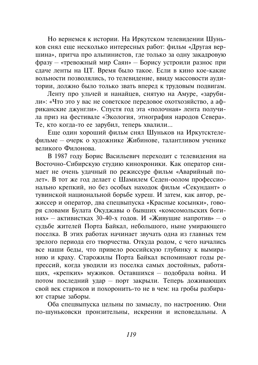Но вернемся к истории. На Иркутском телевидении Шуньков снял еще несколько интересных работ: фильм «Другая вершина», притча про альпинистов, где только за одну закадровую фразу - «тревожный мир Саян» - Борису устроили разнос при сдаче ленты на ЦТ. Время было такое. Если в кино кое-какие вольности позволялись, то телевидение, ввиду массовости аудитории, должно было только звать вперед к трудовым подвигам.

Ленту про ульчей и нанайцев, снятую на Амуре, «зарубили»: «Что это у вас не советское передовое охотхозяйство, а африканские джунгли». Спустя год эта «полочная» лента получила приз на фестивале «Экология, этнография народов Севера». Те, кто когда-то ее зарубил, теперь хвалили...

Еще один хороший фильм снял Шуньков на Иркутсктелефильме - очерк о художнике Жибинове, талантливом ученике великого Филонова

В 1987 году Борис Васильевич переходит с телевидения на Восточно-Сибирскую студию кинохроники. Как оператор снимает не очень удачный по режиссуре фильм «Аварийный полет». В тот же год делает с Шамилем Седен-оолом профессионально крепкий, но без особых находок фильм «Секундант» о тувинской национальной борьбе хуреш. И затем, как автор, режиссер и оператор, два спецвыпуска «Красные косынки», говоря словами Булата Окуджавы о бывших «комсомольских богинях» — активистках 30-40-х годов. И «Живущие напротив» — о судьбе жителей Порта Байкал, небольшого, ныне умирающего поселка. В этих работах начинает звучать одна из главных тем зрелого периода его творчества. Откуда родом, с чего начались все наши беды, что привело российскую глубинку к вымиранию и краху. Старожилы Порта Байкал вспоминают годы репрессий, когда уводили из поселка самых достойных, работящих, «крепких» мужиков. Оставшихся - подобрала война. И потом последний удар - порт закрыли. Теперь доживающих свой век стариков и похоронить-то не в чем: на гробы разбирают старые заборы.

Оба спецвыпуска цельны по замыслу, по настроению. Они по-шуньковски пронзительны, искренни и исповедальны. А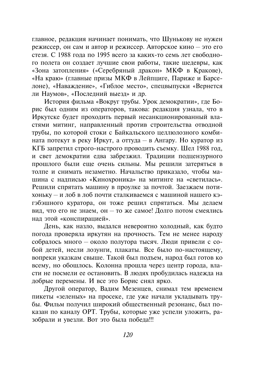главное, редакция начинает понимать, что Шунькову не нужен режиссер, он сам и автор и режиссер. Авторское кино - это его стезя. С 1988 года по 1995 всего за каких-то семь лет свободного полета он создает лучшие свои работы, такие шедевры, как «Зона затопления» («Серебряный дракон» МКФ в Кракове), «На краю» (главные призы МКФ в Лейпциге, Париже и Барселоне), «Наваждение», «Гиблое место», спецвыпуски «Вернется ли Наумов», «Последний выезд» и др.

История фильма «Вокруг трубы. Урок демократии», где Борис был одним из операторов, такова: редакция узнала, что в Иркутске будет проходить первый несанкционированный властями митинг, направленный против строительства отводной трубы, по которой стоки с Байкальского целлюлозного комбината потекут в реку Иркут, а оттуда – в Ангару. Но куратор из КГБ запретил строго-настрого проводить съемку. Шел 1988 год. и свет демократии едва забрезжил. Традиции подцензурного прошлого были еще очень сильны. Мы решили затеряться в толпе и снимать незаметно. Начальство приказало, чтобы машина с надписью «Кинохроника» на митинге на «светилась». Решили спрятать машину в проулке за почтой. Заезжаем потихоньку - и лоб в лоб почти сталкиваемся с машиной нашего кэгэбэшного куратора, он тоже решил спрятаться. Мы делаем вид, что его не знаем, он - то же самое! Долго потом смеялись над этой «конспирацией».

День, как назло, выдался невероятно холодный, как будто погода проверяла иркутян на прочность. Тем не менее народу собралось много - около полутора тысяч. Люди привели с собой детей, несли лозунги, плакаты. Все было по-настоящему, вопреки указкам свыше. Такой был подъем, народ был готов ко всему, но обошлось. Колонна прошла через центр города, власти не посмели ее остановить. В людях пробудилась надежда на добрые перемены. И все это Борис снял ярко.

Другой оператор, Вадим Мезенцев, снимал тем временем пикеты «зеленых» на просеке, где уже начали укладывать трубы. Фильм получил широкий обшественный резонанс. был показан по каналу ОРТ. Трубы, которые уже успели уложить, разобрали и увезли. Вот это была победа!!!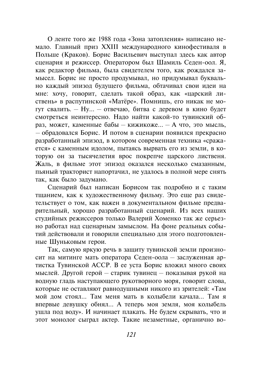О ленте того же 1988 года «Зона затопления» написано немало. Главный приз XXIII международного кинофестиваля в Польше (Краков). Борис Васильевич выступал здесь как автор сценария и режиссер. Оператором был Шамиль Седен-оол. Я, как редактор фильма, была свидетелем того, как рождался замысел. Борис не просто продумывал, но придумывал буквально кажлый эпизол булушего фильма, обтачивал свои илеи на мне: хочу, говорит, сделать такой образ, как «царский листвень» в распутинской «Матёре». Помнишь, его никак не могут свалить. - Ну... - отвечаю, битва с деревом в кино будет смотреться неинтересно. Нало найти какой-то тувинский образ, может, каменные бабы - кижикоже... - А что, это мысль, - обрадовался Борис. И потом в сценарии появился прекрасно разработанный эпизод, в котором современная техника «сражается» с каменным идолом, пытаясь вырвать его из земли, в которую он за тысячелетия врос покрепче царского лиственя. Жаль, в фильме этот эпизод оказался несколько смазанным, пьяный тракторист напортачил, не удалось в полной мере снять так, как было задумано.

Сценарий был написан Борисом так подробно и с таким тщанием, как к художественному фильму. Это еще раз свидетельствует о том, как важен в документальном фильме предварительный, хорошо разработанный сценарий. Из всех наших студийных режиссеров только Валерий Хоменко так же серьезно работал над сценарным замыслом. На фоне реальных событий действовали и говорили специально для этого подготовленные Шуньковым герои.

Так, самую яркую речь в защиту тувинской земли произносит на митинге мать оператора Седен-оола - заслуженная артистка Тувинской АССР. В ее уста Борис вложил много своих мыслей. Другой герой - старик тувинец - показывая рукой на водную гладь наступающего рукотворного моря, говорит слова, которые не оставляют равнодушными никого из зрителей: «Там мой дом стоял... Там меня мать в колыбели качала... Там я впервые девушку обнял... А теперь моя земля, моя колыбель ушла под воду». И начинает плакать. Не будем скрывать, что и этот монолог сыграл актер. Такие незаметные, органично во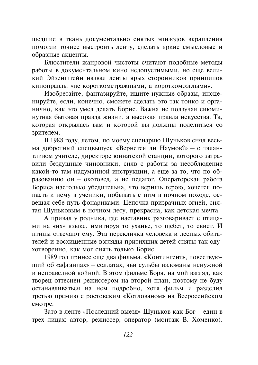шедшие в ткань документально снятых эпизодов вкрапления помогли точнее выстроить ленту, сделать яркие смысловые и образные акценты.

Блюстители жанровой чистоты считают подобные методы работы в локументальном кино нелопустимыми, но еще великий Эйзенштейн назвал ленты ярых сторонников принципов киноправды «не короткометражными, а короткомозглыми».

Изобретайте, фантазируйте, ищите нужные образы, инсценируйте, если, конечно, сможете сделать это так тонко и органично, как это умел делать Борис. Важна не ползучая сиюминутная бытовая правда жизни, а высокая правда искусства. Та, которая открылась вам и которой вы должны поделиться со зрителем.

В 1988 году, летом, по моему сценарию Шуньков снял весьма добротный спецвыпуск «Вернется ли Наумов?» - о талантливом учителе, директоре юннатской станции, которого затравили бездушные чиновники, сняв с работы за несоблюдение какой-то там надуманной инструкции, а еще за то, что по образованию он - охотовед, а не педагог. Операторская работа Бориса настолько убедительна, что веришь герою, хочется попасть к нему в ученики, побывать с ним в ночном походе, освещая себе путь фонариками. Цепочка призрачных огней, снятая Шуньковым в ночном лесу, прекрасна, как детская мечта.

А привал у родника, где наставник разговаривает с птицами на «их» языке, имитируя то уханье, то щебет, то свист. И птицы отвечают ему. Эта перекличка человека и лесных обитателей и восхищенные взгляды притихших детей сняты так одухотворенно, как мог снять только Борис.

1989 год принес еще два фильма. «Контингент», повествующий об «афганцах» - солдатах, чьи судьбы изломаны ненужной и неправедной войной. В этом фильме Боря, на мой взгляд, как творец оттеснен режиссером на второй план, поэтому не буду останавливаться на нем подробно, хотя фильм и разделил третью премию с ростовским «Котлованом» на Всероссийском смотре.

Зато в ленте «Последний выезд» Шуньков как Бог - един в трех лицах: автор, режиссер, оператор (монтаж В. Хоменко).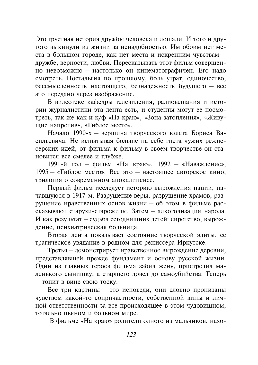Это грустная история дружбы человека и лошади. И того и другого выкинули из жизни за ненадобностью. Им обоим нет места в большом городе, как нет места и искренним чувствам дружбе, верности, любви. Пересказывать этот фильм совершенно невозможно - настолько он кинематографичен. Его надо смотреть. Ностальгия по прошлому, боль утрат, одиночество, бессмысленность настоящего, безнадежность будущего - все это передано через изображение.

В видеотеке кафедры телевидения, радиовещания и истории журналистики эта лента есть, и студенты могут ее посмотреть, так же как и к/ф «На краю», «Зона затопления», «Живущие напротив», «Гиблое место».

Начало 1990-х - вершина творческого взлета Бориса Васильевича. Не испытывая больше на себе гнета чужих режиссерских идей, от фильма к фильму в своем творчестве он становится все смелее и глубже.

1991-й год - фильм «На краю», 1992 - «Наваждение», 1995 - «Гиблое место». Все это - настоящее авторское кино, трилогия о современном апокалипсисе.

Первый фильм исследует историю вырождения нации, начавшуюся в 1917-м. Разрушение веры, разрушение храмов, разрушение нравственных основ жизни - об этом в фильме рассказывают старухи-старожилы. Затем - алкоголизация народа. И как результат - судьба сегодняшних детей: сиротство, вырождение, психиатрическая больница.

Вторая лента показывает состояние творческой элиты, ее трагическое увядание в родном для режиссера Иркутске.

Третья - демонстрирует нравственное вырождение деревни, представлявшей прежде фундамент и основу русской жизни. Один из главных героев фильма забил жену, пристрелил маленького сынишку, а старшего довел до самоубийства. Теперь - топит в вине свою тоску.

Все три картины - это исповеди, они словно пронизаны чувством какой-то сопричастности, собственной вины и личной ответственности за все происходящее в этом чудовищном, тотально пьяном и больном мире.

В фильме «На краю» родители одного из мальчиков, нахо-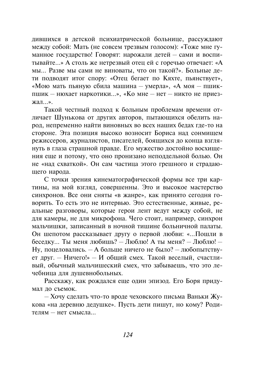дившихся в детской психиатрической больнице, рассуждают между собой: Мать (не совсем трезвым голосом): «Тоже мне гуманное государство! Говорят: нарожали детей - сами и воспитывайте...» А столь же нетрезвый отец ей с горечью отвечает: «А мы... Разве мы сами не виноваты, что он такой?». Больные дети подводят итог спору: «Отец бегает по Кяхте, пьянствует», «Мою мать пьяную сбила машина - умерла», «А моя - пшикпшик - нюхает наркотики...», «Ко мне - нет - никто не приезжал $\dots$ ».

Такой честный подход к больным проблемам времени отличает Шунькова от других авторов, пытающихся обелить народ, непременно найти виновных во всех наших бедах где-то на стороне. Эта позиция высоко возносит Бориса над сонмищем режиссеров, журналистов, писателей, боящихся до конца взглянуть в глаза страшной правде. Его мужество достойно восхищения еще и потому, что оно пронизано неподдельной болью. Он не «над схваткой». Он сам частица этого грешного и страдаюшего народа.

С точки зрения кинематографической формы все три картины, на мой взгляд, совершенны. Это и высокое мастерство синхронов. Все они сняты «в жанре», как принято сегодня говорить. То есть это не интервью. Это естественные, живые, реальные разговоры, которые герои лент ведут между собой, не для камеры, не для микрофона. Чего стоит, например, синхрон мальчишки, записанный в ночной тишине больничной палаты. Он шепотом рассказывает другу о первой любви: «... Пошли в беседку... Ты меня любишь? - Люблю! А ты меня? - Люблю! -Ну, поцеловались. - А больше ничего не было? - любопытствует друг. - Ничего!» - И общий смех. Такой веселый, счастливый, обычный мальчишеский смех, что забываешь, что это лечебница для душевнобольных.

Расскажу, как рождался еще один эпизод. Его Боря придумал до съемок.

- Хочу сделать что-то вроде чеховского письма Ваньки Жукова «на деревню дедушке». Пусть дети пишут, но кому? Родителям - нет смысла...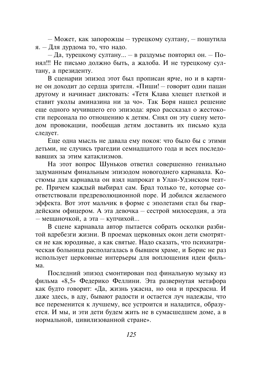- Может, как запорожцы - турецкому султану, - пошутила я. - Для дурдома то, что надо.

- Да, турецкому султану... - в раздумье повторил он. - Понял!!! Не письмо должно быть, а жалоба. И не турецкому султану, а президенту.

В сценарии эпизод этот был прописан ярче, но и в картине он доходит до сердца зрителя. «Пиши! - говорит один пацан другому и начинает диктовать: «Тетя Клава хлещет плеткой и ставит уколы аминазина ни за чо». Так Боря нашел решение еще одного мучившего его эпизода: ярко рассказал о жестокости персонала по отношению к детям. Снял он эту сцену методом провокации, пообещав детям доставить их письмо куда следует.

Еще одна мысль не давала ему покоя: что было бы с этими детьми, не случись трагедии семнадцатого года и всех последо-ВАВШИХ ЗА ЭТИМ КАТАКЛИЗМОВ

На этот вопрос Шуньков ответил совершенно гениально задуманным финальным эпизодом новогоднего карнавала. Костюмы для карнавала он взял напрокат в Улан-Удэнском театре. Причем каждый выбирал сам. Брал только те, которые соответствовали предреволюционной поре. И добился желаемого эффекта. Вот этот мальчик в форме с эполетами стал бы гвардейским офицером. А эта девочка - сестрой милосердия, а эта - мешаночкой, а эта - купчихой...

В сцене карнавала автор пытается собрать осколки разбитой вдребезги жизни. В проемах церковных окон дети смотрятся не как юродивые, а как святые. Надо сказать, что психиатрическая больница располагалась в бывшем храме, и Борис не раз использует церковные интерьеры для воплощения идеи фильма.

Последний эпизод смонтирован под финальную музыку из фильма «8,5» Федерико Феллини. Эта развернутая метафора как будто говорит: «Да, жизнь ужасна, но она и прекрасна. И даже здесь, в аду, бывают радости и остается луч надежды, что все переменится к лучшему, все устроится и наладится, образуется. И мы, и эти дети будем жить не в сумасшедшем доме, а в нормальной, цивилизованной стране».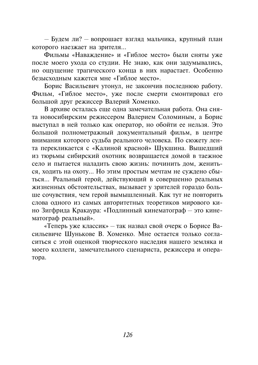- Будем ли? - вопрошает взгляд мальчика, крупный план которого наезжает на зрителя...

Фильмы «Наваждение» и «Гиблое место» были сняты уже после моего ухода со студии. Не знаю, как они задумывались, но ощущение трагического конца в них нарастает. Особенно безысхолным кажется мне «Гиблое место».

Борис Васильевич утонул, не закончив последнюю работу. Фильм, «Гиблое место», уже после смерти смонтировал его большой друг режиссер Валерий Хоменко.

В архиве осталась еще одна замечательная работа. Она снята новосибирским режиссером Валерием Соломиным, а Борис выступал в ней только как оператор, но обойти ее нельзя. Это большой полнометражный документальный фильм, в центре внимания которого судьба реального человека. По сюжету лента перекликается с «Калиной красной» Шукшина. Вышедший из тюрьмы сибирский охотник возвращается домой в таежное село и пытается наладить свою жизнь: починить дом, жениться, ходить на охоту... Но этим простым мечтам не суждено сбыться... Реальный герой, действующий в совершенно реальных жизненных обстоятельствах, вызывает у зрителей гораздо больше сочувствия, чем герой вымышленный. Как тут не повторить слова одного из самых авторитетных теоретиков мирового кино Зигфрида Кракаура: «Подлинный кинематограф - это кинематограф реальный».

«Теперь уже классик» - так назвал свой очерк о Борисе Васильевиче Шунькове В. Хоменко. Мне остается только согласиться с этой оценкой творческого наследия нашего земляка и моего коллеги, замечательного сценариста, режиссера и оператора.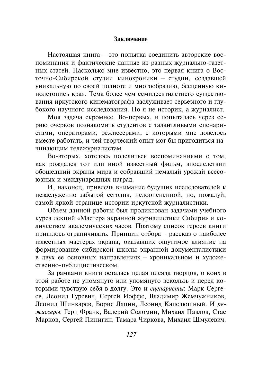#### Заключение

Настоящая книга - это попытка соединить авторские воспоминания и фактические данные из разных журнально-газетных статей. Насколько мне известно, это первая книга о Восточно-Сибирской студии кинохроники - студии, создавшей уникальную по своей полноте и многообразию, бесценную кинолетопись края. Тема более чем семидесятилетнего существования иркутского кинематографа заслуживает серьезного и глубокого научного исследования. Но я не историк, а журналист.

Моя задача скромнее. Во-первых, я попыталась через серию очерков познакомить студентов с талантливыми сценаристами, операторами, режиссерами, с которыми мне довелось вместе работать, и чей творческий опыт мог бы пригодиться начинающим тележурналистам.

Во-вторых, хотелось поделиться воспоминаниями о том, как рождался тот или иной известный фильм, впоследствии обошедший экраны мира и собравший немалый урожай всесоюзных и международных наград.

И, наконец, привлечь внимание будущих исследователей к незаслуженно забытой сегодня, недооцененной, но, пожалуй, самой яркой странице истории иркутской журналистики.

Объем данной работы был продиктован задачами учебного курса лекций «Мастера экранной журналистики Сибири» и количеством акалемических часов. Поэтому список героев книги пришлось ограничивать. Принцип отбора - рассказ о наиболее известных мастерах экрана, оказавших ошутимое влияние на формирование сибирской школы экранной документалистики в двух ее основных направлениях - хроникальном и художественно-публицистическом.

За рамками книги осталась целая плеяла творцов, о коих в этой работе не упомянуто или упомянуто вскользь и перед которыми чувствую себя в долгу. Это и сиенаристы: Марк Сергеев, Леонид Гуревич, Сергей Иоффе, Владимир Жемчужников, Леонид Шинкарев, Борис Лапин, Леонид Капелюшный. И режиссеры: Герц Франк, Валерий Соломин, Михаил Павлов, Стас Марков, Сергей Пинигин. Тамара Чиркова, Михаил Шмулевич.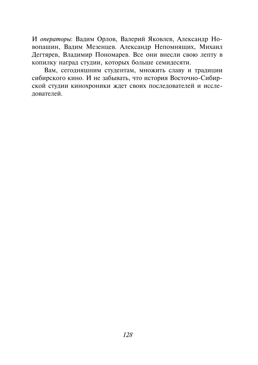И операторы: Вадим Орлов, Валерий Яковлев, Александр Новопашин, Вадим Мезенцев. Александр Непомнящих, Михаил Дегтярев, Владимир Пономарев. Все они внесли свою лепту в копилку наград студии, которых больше семидесяти.

Вам, сегодняшним студентам, множить славу и традиции сибирского кино. И не забывать, что история Восточно-Сибирской студии кинохроники ждет своих последователей и исслелователей.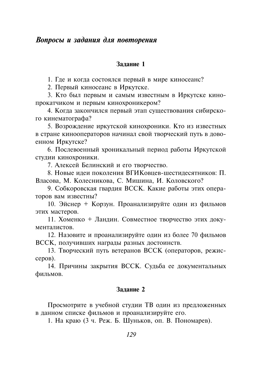## Вопросы и задания для повторения

#### Залание 1

1. Где и когда состоялся первый в мире киносеанс?

2. Первый киносеанс в Иркутске.

3. Кто был первым и самым известным в Иркутске кинопрокатчиком и первым кинохроникером?

4. Когда закончился первый этап существования сибирского кинематографа?

5. Возрождение иркутской кинохроники. Кто из известных в стране кинооператоров начинал свой творческий путь в довоенном Иркутске?

6. Послевоенный хроникальный период работы Иркутской студии кинохроники.

7. Алексей Белинский и его творчество.

8. Новые идеи поколения ВГИКовцев-шестидесятников: П. Власова, М. Колесникова, С. Мишина, И. Коловского?

9. Собкоровская гвардия ВССК. Какие работы этих операторов вам известны?

10. Эйснер + Корзун. Проанализируйте один из фильмов этих мастеров.

11. Хоменко + Ландин. Совместное творчество этих документалистов.

12. Назовите и проанализируйте один из более 70 фильмов ВССК, получивших награды разных достоинств.

13. Творческий путь ветеранов ВССК (операторов, режиссеров).

14. Причины закрытия ВССК. Судьба ее документальных фильмов.

#### Залание 2

Просмотрите в учебной студии ТВ один из предложенных в данном списке фильмов и проанализируйте его.

1. На краю (3 ч. Реж. Б. Шуньков, оп. В. Пономарев).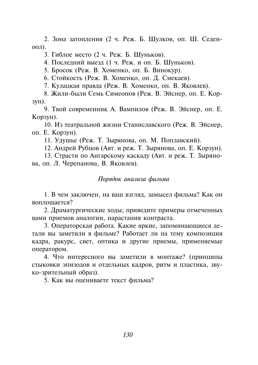2. Зона затопления (2 ч. Реж. Б. Шулков, оп. Ш. Седен- $(00\pi)$ .

3. Гиблое место (2 ч. Реж. Б. Шуньков).

4. Последний выезд (1 ч. Реж. и оп. Б. Шуньков).

5. Бросок (Реж. В. Хоменко, оп. Б. Винокур).

6. Стойкость (Реж. В. Хоменко, оп. Л. Смекаев).

7. Кулацкая правда (Реж. В. Хоменко, оп. В. Яковлев).

8. Жили-были Семь Симеонов (Реж. В. Эйснер, оп. Е. Кор-3VH).

9. Твой современник А. Вампилов (Реж. В. Эйснер, оп. Е. Корзун).

10. Из театральной жизни Станиславского (Реж. В. Эйснер, оп. Е. Корзун).

11. Удушье (Реж. Т. Зырянова, оп. М. Поплавский).

12. Андрей Рубцов (Авт. и реж. Т. Зырянова, оп. Е. Корзун).

13. Страсти по Ангарскому каскаду (Авт. и реж. Т. Зырянова, оп. Л. Черепанова, В. Яковлев).

Порядок анализа фильма

1. В чем заключен, на ваш взгляд, замысел фильма? Как он воплошается?

2. Драматургические ходы; приведите примеры отмеченных вами приемов аналогии, нарастания контраста.

3. Операторская работа. Какие яркие, запоминающиеся детали вы заметили в фильме? Работает ли на тему композиция кадра, ракурс, свет, оптика и другие приемы, применяемые оператором.

4. Что интересного вы заметили в монтаже? (принципы стыковки эпизодов и отдельных кадров, ритм и пластика, звуко-зрительный образ).

5. Как вы оцениваете текст фильма?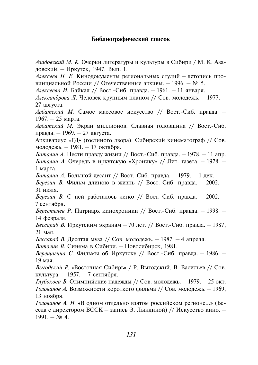### Библиографический список

Азадовский М. К. Очерки литературы и культуры в Сибири / М. К. Азадовский. - Иркутск, 1947. Вып. 1.

Алексеев Н. Е. Кинодокументы региональных студий - летопись провинциальной России // Отечественные архивы. - 1996. -  $N_2$  5.

Алексеева И. Байкал // Вост.-Сиб. правда. - 1961. - 11 января.

Александрова Л. Человек крупным планом // Сов. молодежь. - 1977. -27 августа.

Арбатский М. Самое массовое искусство // Вост.-Сиб. правда. - $1967. - 25$  марта.

Арбатский М. Экран миллионов. Славная годовшина // Вост.-Сиб. правда. - 1969. - 27 августа.

Архивариус «ГД» (гостиного двора). Сибирский кинематограф // Сов. молодежь. - 1981. - 17 октября.

Баталин А. Нести правду жизни // Вост.-Сиб. правда. - 1978. - 11 апр. Баталин А. Очерель в иркутскую «Хронику» // Лит. газета. - 1978. - $1$  марта.

Баталин А. Большой десант // Вост.-Сиб. правда. - 1979. - 1 дек.

Березин В. Фильм длиною в жизнь // Вост.-Сиб. правда. - 2002. -31 июля.

Березин В. С ней работалось легко // Вост.-Сиб. правла. - 2002. -7 сентября.

Берестенев Р. Патриарх кинохроники // Вост.-Сиб. правда. - 1998. -14 февраля.

*Бессараб В. Иркутским экранам - 70 лет. // Вост.-Сиб. правда. - 1987,*  $21$  Mag

*Бессараб В.* Десятая муза // Сов. молодежь. - 1987. - 4 апреля.

Ватолин В. Синема в Сибири. - Новосибирск, 1981.

Верещагина С. Фильмы об Иркутске // Вост.-Сиб. правда. - 1986. -19 мая.

Выгодский Р. «Восточная Сибирь» / Р. Выгодский, В. Васильев // Сов. культура. - 1957. - 7 сентября.

Глубокова В. Олимпийские надежды // Сов. молодежь. - 1979. - 25 окт. Голованов А. Возможности короткого фильма // Сов. молодежь. - 1969, 13 ноября.

Голованов А. И. «В одном отдельно взятом российском регионе...» (Беседа с директором ВССК - запись Э. Лындиной) // Искусство кино. - $1991. - N<sub>2</sub>$  4.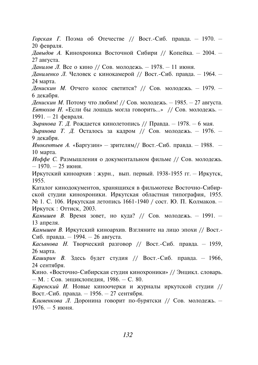Горская Г. Поэма об Отечестве // Вост.-Сиб. правда. - 1970. -20 февраля.

Давыдов А. Кинохроника Восточной Сибири // Копейка. - 2004. -27 августа.

Данилов Л. Все о кино // Сов. молодежь. - 1978. - 11 июня.

Даниленко Л. Человек с кинокамерой // Вост.-Сиб. правда. - 1964. -24 марта.

Денискин М. Отчего колос светится? // Сов. молодежь. - 1979. -6 декабря.

Денискин М. Потому что любим! // Сов. молодежь.  $-1985, -27$  августа. *Евтюхов Н.* «Если бы лошадь могла говорить...» // Сов. молодежь. -1991. - 21 февраля.

Зырянова Т. Д. Рождается кинолетопись // Правда. - 1978. - 6 мая.

Зырянова Т. Д. Осталось за кадром // Сов. молодежь. - 1976. -9 декабря.

Инокентьев А. «Баргузин» - зрителям// Вост.-Сиб. правда. - 1988. -10 марта.

Иоффе С. Размышления о документальном фильме // Сов. молодежь.  $-1970 - 25$  июня.

Иркутский киноархив: журн., вып. первый. 1938-1955 гг. - Иркутск, 1955.

Каталог кинолокументов, храняшихся в фильмотеке Восточно-Сибирской студии кинохроники. Иркутская областная типография, 1955. № 1. С. 106. Иркутская летопись 1661-1940 / сост. Ю. П. Колмаков. -Иркутск: Оттиск. 2003.

Камышев В. Время зовет, но куда? // Сов. молодежь. - 1991. -13 апреля.

Камышев В. Иркутский киноархив. Взгляните на лицо эпохи // Вост.-Сиб. правда. - 1994. - 26 августа.

Касьянова Н. Творческий разговор // Вост.-Сиб. правда. - 1959, 26 марта.

Каширин В. Здесь будет студия // Вост.-Сиб. правда. - 1966, 24 сентября.

Кино. «Восточно-Сибирская студия кинохроники» // Энцикл. словарь.  $-$  М.: Сов. энциклопедия, 1986. - С. 80.

Киренский И. Новые киноочерки и журналы иркутской студии // Вост.-Сиб. правда. - 1956. - 27 сентября.

Клименкова Л. Доронина говорит по-бурятски // Сов. молодежь. - $1976. - 5$  июня.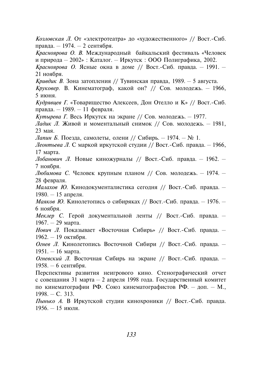Козловская Л. От «электротеатра» до «художественного» // Вост.-Сиб. правда. - 1974. - 2 сентября.

Красноярова О. В. Международный байкальский фестиваль «Человек и природа - 2002» : Каталог. - Иркутск : ООО Полиграфика, 2002.

Красноярова О. Ясные окна в доме // Вост.-Сиб. правда. - 1991. -21 ноября.

Кривдик В. Зона затопления // Тувинская правда, 1989. - 5 августа.

Круковер. В. Кинематограф, какой он? // Сов. молодежь. - 1966, 5 июня.

Кудрявиев Г. «Товарищество Алексеев, Дон Отелло и К» // Вост.-Сиб. правла. - 1989. - 11 февраля.

Кутырева Г. Весь Иркутск на экране // Сов. молодежь. - 1977.

Ладик Л. Живой и моментальный снимок // Сов. молодежь. - 1981, 23 мая.

Лапин Б. Поезда, самолеты, олени // Сибирь. - 1974. - № 1.

Леонтьева Л. С маркой иркутской студии // Вост.-Сиб. правда. - 1966, 17 марта.

Лобанович Л. Новые киножурналы // Вост.-Сиб. правла. - 1962. -7 ноября.

Любимова С. Человек крупным планом // Сов. молодежь. - 1974. -28 февраля.

Малахов Ю. Кинодокументалистика сегодня // Вост.-Сиб. правда. - $1980. - 15$  апреля.

Маяков Ю. Кинолетопись о сибиряках // Вост.-Сиб. правда. - 1976. -6 ноября.

Меклер С. Герой документальной ленты // Вост.-Сиб. правда. -1967. - 29 марта.

Нович Л. Показывает «Восточная Сибирь» // Вост.-Сиб. правда. -1962. - 19 октября.

Огнев Л. Кинолетопись Восточной Сибири // Вост.-Сиб. правда. - $1951. - 16$  марта.

Огневский Л. Восточная Сибирь на экране // Вост.-Сиб. правда. - $1958 - 6$  сентября.

Перспективы развития неигрового кино. Стенографический отчет с совещания 31 марта - 2 апреля 1998 года. Государственный комитет по кинематографии РФ. Союз кинематографистов РФ. - доп. - М.,  $1998. - C. 313.$ 

Пынько А. В Иркутской студии кинохроники // Вост.-Сиб. правда.  $1956. - 15$  июля.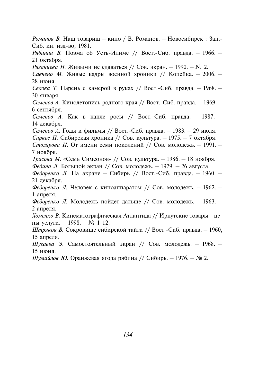*Романов В.* Наш товарищ – кино / В. Романов. – Новосибирск: Зап. Сиб. кн. изл-во. 1981. Рябинин В. Поэма об Усть-Илиме // Вост.-Сиб. правла. - 1966. -21 октября. Рязанцева Н. Живыми не сдаваться // Сов. экран. - 1990. - № 2. Савчено М. Живые кадры военной хроники // Копейка. - 2006. - $28$  июня Седова Т. Парень с камерой в руках // Вост.-Сиб. правда. - 1968. -30 января. Семенов А. Кинолетопись родного края // Вост.-Сиб. правда. - 1969. -6 сентября. Семенов А. Как в капле росы // Вост.-Сиб. правда. - 1987. -14 лекабря. Семенов А. Годы и фильмы // Вост.-Сиб. правда. - 1983. - 29 июля. Сиркес П. Сибирская хроника // Сов. культура. - 1975. - 7 октября. Столярова И. От имени семи поколений // Сов. молодежь. - 1991. -7 ноября. Трасова М. «Семь Симеонов» // Сов. культура. - 1986. - 18 ноября. Федина Л. Большой экран // Сов. молодежь. - 1979. - 26 августа. Федоренко Л. На экране – Сибирь // Вост.-Сиб. правла. – 1960. – 21 лекабря. Федоренко Л. Человек с киноаппаратом // Сов. молодежь. - 1962. - $1$  апреля. Федоренко Л. Молодежь пойдет дальше // Сов. молодежь. - 1963. -2 апреля. Хоменко В. Кинематографическая Атлантида // Иркутские товары. -цены услуги. - 1998. - № 1-12. Штряков В. Сокровище сибирской тайги // Вост.-Сиб. правла. - 1960. 15 апреля. Шугаева Э. Самостоятельный экран // Сов. молодежь. - 1968. -15 июня. Шумайлов Ю. Оранжевая ягода рябина // Сибирь. − 1976. – № 2.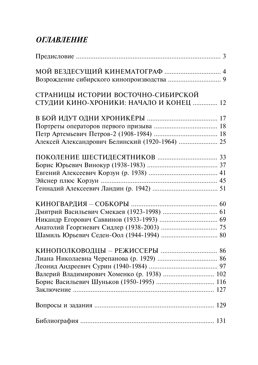# **ОГЛАВЛЕНИЕ**

| СТРАНИЦЫ ИСТОРИИ ВОСТОЧНО-СИБИРСКОЙ<br>СТУДИИ КИНО-ХРОНИКИ: НАЧАЛО И КОНЕЦ  12 |  |
|--------------------------------------------------------------------------------|--|
|                                                                                |  |
|                                                                                |  |
|                                                                                |  |
|                                                                                |  |
| Алексей Александрович Белинский (1920-1964)  25                                |  |
|                                                                                |  |
|                                                                                |  |
|                                                                                |  |
|                                                                                |  |
|                                                                                |  |
|                                                                                |  |
|                                                                                |  |
|                                                                                |  |
|                                                                                |  |
|                                                                                |  |
|                                                                                |  |
|                                                                                |  |
|                                                                                |  |
|                                                                                |  |
| Валерий Владимирович Хоменко (р. 1938)  102                                    |  |
| Борис Васильевич Шуньков (1950-1995)  116                                      |  |
|                                                                                |  |
|                                                                                |  |
|                                                                                |  |